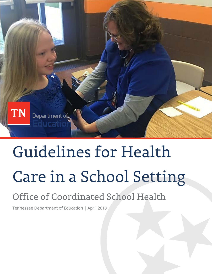

# Guidelines for Health Care in a School Setting

# Office of Coordinated School Health

Tennessee Department of Education | April 2019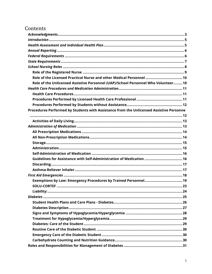# Contents

| Role of the Unlicensed Assistive Personnel (UAP)/School Personnel Who Volunteer 10      |
|-----------------------------------------------------------------------------------------|
|                                                                                         |
|                                                                                         |
|                                                                                         |
|                                                                                         |
| Procedures Performed by Students with Assistance from the Unlicensed Assistive Personne |
|                                                                                         |
|                                                                                         |
|                                                                                         |
|                                                                                         |
|                                                                                         |
|                                                                                         |
|                                                                                         |
|                                                                                         |
| Guidelines for Assistance with Self-Administration of Medication  16                    |
|                                                                                         |
|                                                                                         |
|                                                                                         |
|                                                                                         |
|                                                                                         |
|                                                                                         |
|                                                                                         |
|                                                                                         |
|                                                                                         |
|                                                                                         |
|                                                                                         |
|                                                                                         |
|                                                                                         |
|                                                                                         |
|                                                                                         |
|                                                                                         |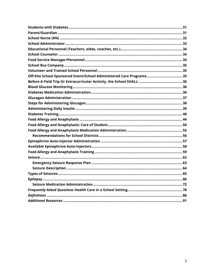<span id="page-2-0"></span>

| Off-Site School Sponsored Event/School Administered Care Programs35 |
|---------------------------------------------------------------------|
|                                                                     |
|                                                                     |
|                                                                     |
|                                                                     |
|                                                                     |
|                                                                     |
|                                                                     |
|                                                                     |
|                                                                     |
|                                                                     |
|                                                                     |
|                                                                     |
|                                                                     |
|                                                                     |
|                                                                     |
|                                                                     |
|                                                                     |
|                                                                     |
|                                                                     |
|                                                                     |
|                                                                     |
|                                                                     |
|                                                                     |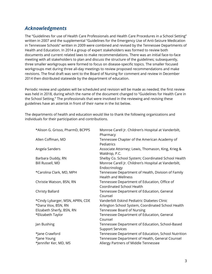# *Acknowledgments*

The "Guidelines for use of Health Care Professionals and Health Care Procedures in a School Setting" written in 2007 and the supplemental "Guidelines for the Emergency Use of Anti-Seizure Medication in Tennessee Schools" written in 2009 were combined and revised by the Tennessee Departments of Health and Education. In 2014 a group of expert stakeholders was formed to review both documents and current related laws to make recommendations. There was an initial face-to-face meeting with all stakeholders to plan and discuss the structure of the guidelines; subsequently, three smaller workgroups were formed to focus on disease-specific topics. The smaller focused workgroups met during three all-day meetings to review proposed recommendations and make revisions. The final draft was sent to the Board of Nursing for comment and review in December 2014 then distributed statewide by the department of education.

Periodic review and updates will be scheduled and revision will be made as needed; the first review was held in 2018, during which the name of the document changed to "Guidelines for Health Care in the School Setting." The professionals that were involved in the reviewing and revising these guidelines have an asterisk in front of their name in the list below.

The departments of health and education would like to thank the following organizations and individuals for their participation and contributions.

| *Alison G. Grisso, PharmD, BCPPS | Monroe Carell Jr. Children's Hospital at Vanderbilt,<br>Pharmacy                 |
|----------------------------------|----------------------------------------------------------------------------------|
| Allen Coffman, MD                | Tennessee Chapter of the American Academy of<br>Pediatrics                       |
| Angela Sanders                   | Associate Attorney; Lewis, Thomason, King, Krieg &<br>Waldrop, P.C.              |
| Barbara Duddy, RN                | Shelby Co. School System; Coordinated School Health                              |
| Bill Russell, MD                 | Monroe Carell Jr. Children's Hospital at Vanderbilt,<br>Endocrinology            |
| *Carolina Clark, MD, MPH         | Tennessee Department of Health, Division of Family<br><b>Health and Wellness</b> |
| Christie Watson, BSN, RN         | Tennessee Department of Education, Office of<br><b>Coordinated School Health</b> |
| Christy Ballard                  | Tennessee Department of Education, General<br>Counsel                            |
| *Cindy Lybarger, MSN, APRN, CDE  | Vanderbilt Eskind Pediatric Diabetes Clinic                                      |
| *Dana Viox, BSN, RN              | Arlington School System, Coordinated School Health                               |
| Elizabeth Sherfy, BSN, RN        | Tennessee Board of Nursing                                                       |
| *Elizabeth Taylor                | Tennessee Department of Education, General<br>Counsel                            |
| Jan Bushing                      | Tennessee Department of Education, School-Based<br><b>Support Services</b>       |
| *Jane Crawford                   | Tennessee Department of Education, School Nutrition                              |
| *Jane Young                      | Tennessee Department of Health, General Counsel                                  |
| *Jennifer Ker, MD, MS            | Allergy Partners of Middle Tennessee                                             |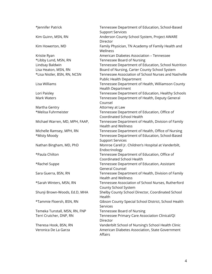| *Jennifer Patrick              | Tennessee Department of Education, School-Based<br><b>Support Services</b>       |
|--------------------------------|----------------------------------------------------------------------------------|
| Kim Guinn, MSN, RN             | Anderson County School System, Project AWARE<br>Director                         |
| Kim Howerton, MD               | Family Physician, TN Academy of Family Health and<br>Wellness                    |
| Kristie Ryan                   | American Diabetes Association - Tennessee                                        |
| *Libby Lund, MSN, RN           | Tennessee Board of Nursing                                                       |
| Lindsay Baldwin                | Tennessee Department of Education, School Nutrition                              |
| Lisa Heaton, MSN, RN           | Board of Nursing, Carter County School System                                    |
| *Lisa Nistler, BSN, RN, NCSN   | Tennessee Association of School Nurses and Nashville<br>Public Health Department |
| Lisa Williams                  | Tennessee Department of Health, Williamson County<br><b>Health Department</b>    |
| Lori Paisley                   | Tennessee Department of Education, Healthy Schools                               |
| <b>Mark Waters</b>             | Tennessee Department of Health, Deputy General<br>Counsel                        |
| Martha Gentry                  | Attorney at Law                                                                  |
| *Melisa Fuhrmeister            | Tennessee Department of Education, Office of<br><b>Coordinated School Health</b> |
| Michael Warren, MD, MPH, FAAP, | Tennessee Department of Health, Division of Family<br><b>Health and Wellness</b> |
| Michelle Ramsey, MPH, RN       | Tennessee Department of Health, Office of Nursing                                |
| *Misty Moody                   | Tennessee Department of Education, School-Based<br><b>Support Services</b>       |
| Nathan Bingham, MD, PhD        | Monroe Carell Jr. Children's Hospital at Vanderbilt,<br>Endocrinology            |
| *Paula Chilton                 | Tennessee Department of Education, Office of<br>Coordinated School Health        |
| *Rachel Suppe                  | Tennessee Department of Education, Assistant<br><b>General Counsel</b>           |
| Sara Guerra, BSN, RN           | Tennessee Department of Health, Division of Family<br><b>Health and Wellness</b> |
| *Sarah Winters, MSN, RN        | Tennessee Association of School Nurses, Rutherford<br>County School System       |
| Shunji Brown-Woods, Ed.D, MHA  | Shelby County School Director, Coordinated School<br>Health                      |
| *Tammie Floersh, BSN, RN       | Gibson County Special School District, School Health<br>Services                 |
| Temeka Tunstall, MSN, RN, FNP  | Tennessee Board of Nursing                                                       |
| Terri Crutcher, DNP, RN        | Tennessee Primary Care Association Clinical/QI<br>Director                       |
| Theresa Hook, BSN, RN          | Vanderbilt School of Nursing's School Health Clinic                              |
| Veronica De La Garza           | American Diabetes Association, State Government<br>Affairs                       |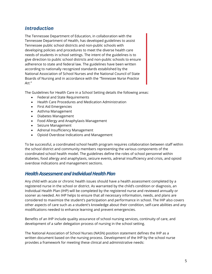# <span id="page-5-0"></span>*Introduction*

The Tennessee Department of Education, in collaboration with the Tennessee Department of Health, has developed guidelines to assist Tennessee public school districts and non-public schools with developing policies and procedures to meet the diverse health care needs of students in school settings. The intent of the guidelines is to give direction to public school districts and non-public schools to ensure adherence to state and federal law. The guidelines have been written according to nationally recognized standards established by the National Association of School Nurses and the National Council of State Boards of Nursing and in accordance with the *"Tennessee Nurse Practice Act."*

The Guidelines for Health Care in a School Setting details the following areas:

- Federal and State Requirements
- Health Care Procedures and Medication Administration
- First Aid Emergencies
- Asthma Management
- Diabetes Management
- Food Allergy and Anaphylaxis Management
- Seizure Management
- Adrenal Insufficiency Management
- Opioid Overdose Indications and Management

To be successful, a coordinated school health program requires collaboration between staff within the school district and community members representing the various components of the coordinated school health model. The guidelines define the roles of school personnel within diabetes, food allergy and anaphylaxis, seizure events, adrenal insufficiency and crisis, and opioid overdose indications and management sections.

# <span id="page-5-1"></span>*Health Assessment and Individual Health Plan*

Any child with acute or chronic health issues should have a health assessment completed by a registered nurse in the school or district. As warranted by the child's condition or diagnosis, an Individual Health Plan (IHP) will be completed by the registered nurse and reviewed annually or sooner as needed. An IHP helps to ensure that all necessary information, needs, and plans are considered to maximize the student's participation and performance in school. The IHP also covers other aspects of care such as a student's knowledge about their condition, self-care abilities and any modifications needed to enhance learning and prevent emergencies.

Benefits of an IHP include quality assurance of school nursing services, continuity of care, and development of a safer delegation process of nursing in the school setting.

The National Association of School Nurses (NASN) position statement defines the IHP as a written document based on the nursing process. Development of the IHP by the school nurse provides a framework for meeting these clinical and administrative needs: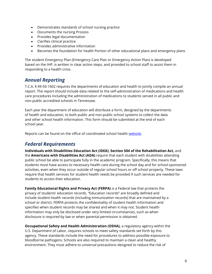- Demonstrates standards of school nursing practice
- Documents the nursing Process
- Provides legal documentation
- Clarifies clinical practice
- Provides administrative information
- Becomes the foundation for health Portion of other educational plans and emergency plans

The student Emergency Plan (Emergency Care Plan or Emergency Action Plan) is developed based on the IHP, is written in clear action steps, and provided to school staff to assist them in responding to a health crisis.

# <span id="page-6-0"></span>*Annual Reporting*

T.C.A. § 49-50-1602 requires the departments of education and health to jointly compile an annual report. The report should include data related to the self-administration of medications and health care procedures including the administration of medications to students served in all public and non-public accredited schools in Tennessee.

Each year the department of education will distribute a form, designed by the departments of health and education, to both public and non-public school systems to collect the data and other school health information. This form should be submitted at the end of each school year.

Reports can be found on the office of coordinated school health [website.](https://www.tn.gov/education/health-and-safety/coordinated-school-health/csh-reports-data.html)

# <span id="page-6-1"></span>*Federal Requirements*

**Individuals with Disabilities Education Act (IDEA)**, **Section 504 of the Rehabilitation Act,** and the **Americans with Disabilities Act (ADA)** require that each student with disabilities attending public school be able to participate fully in the academic program. Specifically, this means that students must have access to necessary health care during the school day and for school-sponsored activities, even when they occur outside of regular school hours or off school property. These laws require that health services for student health needs be provided if such services are needed for students to access their education.

**Family Educational Rights and Privacy Act (FERPA)** is a Federal law that protects the privacy of students' education records. "Education records" are broadly defined and include student health records (including immunization records) that are maintained by a school or district. FERPA protects the confidentiality of student health information and specifies when student records may be shared and when it may not. Student health information may only be disclosed under very limited circumstances, such as when disclosure is required by law or when parental permission is obtained.

**Occupational Safety and Health Administration (OSHA),** a regulatory agency within the U.S. Department of Labor, requires schools to meet safety standards set forth by this agency. These standards include the need for procedures to address possible exposure to bloodborne pathogens. Schools are also required to maintain a clean and healthy environment. They must adhere to universal precautions designed to reduce the risk of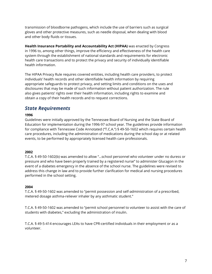transmission of bloodborne pathogens, which include the use of barriers such as surgical gloves and other protective measures, such as needle disposal, when dealing with blood and other body fluids or tissues.

**Health Insurance Portability and Accountability Act (HIPAA)** was enacted by Congress in 1996 to, among other things, improve the efficiency and effectiveness of the health care system through the establishment of national standards and requirements for electronic health care transactions and to protect the privacy and security of individually identifiable health information.

The HIPAA Privacy Rule requires covered entities, including health care providers, to protect individuals' health records and other identifiable health information by requiring appropriate safeguards to protect privacy, and setting limits and conditions on the uses and disclosures that may be made of such information without patient authorization. The rule also gives patients' rights over their health information, including rights to examine and obtain a copy of their health records and to request corrections.

# <span id="page-7-0"></span>*State Requirements*

# **1996**

Guidelines were initially approved by the Tennessee Board of Nursing and the State Board of Education for implementation during the 1996-97 school year. The guidelines provide information for compliance with Tennessee Code Annotated ("T.C.A.") § 49-50-1602 which requires certain health care procedures, including the administration of medications during the school day or at related events, to be performed by appropriately licensed health care professionals.

### **2002**

T.C.A. § 49-50-1602(b) was amended to allow "…school personnel who volunteer under no duress or pressure and who have been properly trained by a registered nurse" to administer Glucagon in the event of a diabetes emergency in the absence of the school nurse. The guidelines were revised to address this change in law and to provide further clarification for medical and nursing procedures performed in the school setting.

### **2004**

T.C.A. § 49-50-1602 was amended to "permit possession and self-administration of a prescribed, metered dosage asthma-reliever inhaler by any asthmatic student."

T.C.A. § 49-50-1602 was amended to "permit school personnel to volunteer to assist with the care of students with diabetes," excluding the administration of insulin.

T.C.A. § 49-5-414 encourages LEAs to have CPR-certified individuals in their employment or as a volunteer.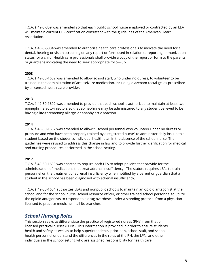T.C.A. § 49-3-359 was amended so that each public school nurse employed or contracted by an LEA will maintain current CPR certification consistent with the guidelines of the American Heart Association.

T.C.A. § 49-6-5004 was amended to authorize health care professionals to indicate the need for a dental, hearing or vision screening on any report or form used in relation to reporting immunization status for a child. Health care professionals shall provide a copy of the report or form to the parents or guardians indicating the need to seek appropriate follow-up.

# **2008**

T.C.A. § 49-50-1602 was amended to allow school staff, who under no duress, to volunteer to be trained in the administration of anti-seizure medication, including diazepam rectal gel as prescribed by a licensed health care provider.

# **2013**

T.C.A. § 49-50-1602 was amended to provide that each school is authorized to maintain at least two epinephrine auto-injectors so that epinephrine may be administered to any student believed to be having a life-threatening allergic or anaphylactic reaction.

### **2014**

T.C.A. § 49-50-1602 was amended to allow "…school personnel who volunteer under no duress or pressure and who have been properly trained by a registered nurse" to administer daily insulin to a student based on the student's individual health plan in the absence of the school nurse. The guidelines were revised to address this change in law and to provide further clarification for medical and nursing procedures performed in the school setting.

# **2017**

T.C.A. § 49-50-1603 was enacted to require each LEA to adopt policies that provide for the administration of medications that treat adrenal insufficiency. The statute requires LEAs to train personnel on the treatment of adrenal insufficiency when notified by a parent or guardian that a student in the school has been diagnosed with adrenal insufficiency.

T.C.A. § 49-50-1604 authorizes LEAs and nonpublic schools to maintain an opioid antagonist at the school and for the school nurse, school resource officer, or other trained school personnel to utilize the opioid antagonists to respond to a drug overdose, under a standing protocol from a physician licensed to practice medicine in all its branches.

# <span id="page-8-0"></span>*School Nursing Roles*

This section seeks to differentiate the practice of registered nurses (RNs) from that of licensed practical nurses (LPNs). This information is provided in order to ensure students' health and safety as well as to help superintendents, principals, school staff, and school health personnel understand the differences in the roles of the RN, the LPN, and other individuals in the school setting who are assigned responsibility for health care.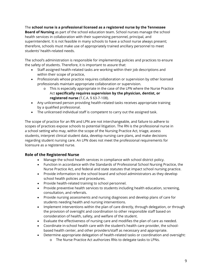The **school nurse is a professional licensed as a registered nurse by the Tennessee Board of Nursing** as part of the school education team. School nurses manage the school health services in collaboration with their supervising personnel, principal, and superintendent. It is not feasible in many schools to have a school nurse always present; therefore, schools must make use of appropriately trained ancillary personnel to meet students' health-related needs.

The school's administration is responsible for implementing policies and practices to ensure the safety of students. Therefore, it is important to assure that:

- Staff assigned health-related tasks are working within their job descriptions and within their scope of practice,
- Professionals whose practice requires collaboration or supervision by other licensed professionals maintain appropriate collaboration or supervision.
	- o This is especially appropriate in the case of the LPN where the Nurse Practice Act **specifically requires supervision by the physician, dentist, or registered nurse** (T.C.A. § 63-7-108).
- Any unlicensed person providing health-related tasks receives appropriate training by a qualified professional.
- The unlicensed individual staff is competent to carry out the assigned task.

The scope of practice for an RN and LPN are not interchangeable, and failure to adhere to scopes of practices expose schools to potential litigation. The RN is the professional nurse in a school setting who may, within the scope of the Nursing Practice Act, triage, assess students, interpret clinical student data, develop nursing care plans, and make decisions regarding student nursing care. An LPN does not meet the professional requirements for licensure as a registered nurse.

# <span id="page-9-0"></span>**Role of the Registered Nurse**

- Manage the school health services in compliance with school district policy.
- Function in accordance with the Standards of Professional School Nursing Practice, the Nurse Practice Act, and federal and state statutes that impact school nursing practice.
- Provide information to the school board and school administrators as they develop school health policies and procedures.
- Provide health-related training to school personnel.
- Provide preventive health services to students including health education, screening, consultation, and referrals.
- Provide nursing assessments and nursing diagnoses and develop plans of care for students needing health and nursing interventions.
- Implement interventions within the plan of care directly, through delegation, or through the provision of oversight and coordination to other responsible staff based on consideration of health, safety, and welfare of the student.
- Evaluate the effectiveness of nursing care and modifies the plan of care as needed.
- Coordinate in-school health care with the student's health care provider, the schoolbased health center, and other providers/staff as necessary and appropriate.
- Determine appropriate delegation of health-related tasks or coordination and oversight:
	- o The Nurse Practice Act authorizes RNs to delegate tasks to LPNs.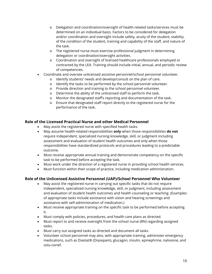- o Delegation and coordination/oversight of health-related tasks/services must be determined on an individual basis. Factors to be considered for delegation and/or coordination and oversight include safety, acuity of the student, stability of the condition of the student, training and capability of the staff, and nature of the task.
- o The registered nurse must exercise professional judgment in determining delegation or coordination/oversight activities.
- o Coordination and oversight of licensed healthcare professionals employed or contracted by the LEA. Training should include initial, annual, and periodic review of competencies.
- Coordinate and oversee unlicensed assistive personnel/school personnel volunteer*.*
	- o Identify students' needs and develop/consult on the plan of care.
	- o Identify the tasks to be performed by the school personnel volunteer.
	- o Provide direction and training to the school personnel volunteer.
	- o Determine the ability of the unlicensed staff to perform the task.
	- o Monitor the designated staff's reporting and documentation of the task.
	- o Ensure that designated staff report directly to the registered nurse for the performance of the task.

# <span id="page-10-0"></span>**Role of the Licensed Practical Nurse and other Medical Personnel**

- May assist the registered nurse with specified health tasks.
- May assume health-related responsibilities **only** when those responsibilities **do not**  require independent, specialized nursing knowledge, skill, or judgment including assessment and evaluation of student health outcomes and only when those responsibilities have standardized protocols and procedures leading to a predictable outcome.
- Must receive appropriate annual training and demonstrate competency on the specific task to be performed before accepting the task.
- Must work under the direction of a registered nurse in providing school health services.
- Must function within their scope of practice, including medication administration.

# <span id="page-10-1"></span>**Role of the Unlicensed Assistive Personnel (UAP)/School Personnel Who Volunteer**

- May assist the registered nurse in carrying out specific tasks that do not require independent, specialized nursing knowledge, skill, or judgment, including assessment and evaluation of student health outcomes and health counseling or teaching. (Examples of appropriate tasks include assistance with vision and hearing screenings and assistance with self-administration of medication*.*)
- Must receive appropriate training on the specific task to be performed before accepting it.
- Must comply with policies, procedures, and health care plans as directed.
- Must report to and receive oversight from the school nurse (RN) regarding assigned tasks.
- Must carry out assigned tasks as directed and document all tasks.
- Volunteer school personnel may also, with appropriate training, administer emergency medications, such as Diastat® (Diazepam), glucagon, insulin, epinephrine, naloxone, and solu-cortef.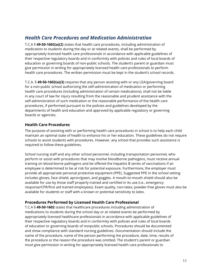# <span id="page-11-0"></span>*Health Care Procedures and Medication Administration*

T.C.A § **49-50-1602(a)(2)** states that health care procedures, including administration of medication to students during the day or at related events, shall be performed by appropriately licensed health care professionals in accordance with applicable guidelines of their respective regulatory boards and in conformity with policies and rules of local boards of education or governing boards of non-public schools. The student's parent or guardian must give permission in writing for appropriately licensed health care professionals to perform health care procedures. The written permission must be kept in the student's school records.

T.C.A. § **49-50-1602(a)(3)** requires that any person assisting with or any LEA/governing board for a non-public school authorizing the self-administration of medication or performing health care procedures (including administration of certain medications), shall not be liable in any court of law for injury resulting from the reasonable and prudent assistance with the self-administration of such medication or the reasonable performance of the health care procedures, if performed pursuant to the policies and guidelines developed by the departments of health and education and approved by applicable regulatory or governing boards or agencies.

# <span id="page-11-1"></span>**Health Care Procedures**

The purpose of assisting with or performing health care procedures in school is to help each child maintain an optimal state of health to enhance his or her education. These guidelines do not require schools to assist students with procedures. However, any school that provides such assistance is required to follow these guidelines.

School nursing staff and any other school personnel, including transportation personnel, who perform or assist with procedures that may involve bloodborne pathogens, must receive annual training on blood-borne pathogens and be offered the hepatitis B series of vaccinations if an employee is determined to be at risk for potential exposure. Furthermore, the employer must provide all appropriate personal protective equipment (PPE). Suggested PPE in the school setting includes gloves, face shield, apron/gown, and goggles. A mouth-to-mouth shield should also be available for use by those staff properly trained and certified in its use (i.e., emergency response/CPR/first aid trained employees). Exam quality, non-latex, powder-free gloves must also be available for students or staff with a known or potential sensitivity to latex.

# <span id="page-11-2"></span>**Procedures Performed by Licensed Health Care Professional**

T.C.A § **49-50-1602** states that healthcare procedures including administration of medications to students during the school day or at related events be performed by appropriately licensed healthcare professionals in accordance with applicable guidelines of their respective regulatory boards and in conformity with policies and rules of local boards of education or governing boards of nonpublic schools. Procedures should be documented and show compliance with standard nursing guidelines. Documentation should include the name of the procedure, name of the person performing the procedure, date, time, results of the procedure or the reason the procedure was omitted. The student's parent or guardian must give permission in writing for appropriately licensed health care professionals to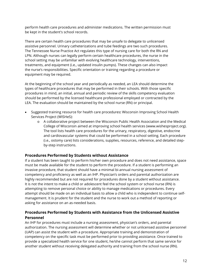perform health care procedures and administer medications. The written permission must be kept in the student's school records.

There are certain health care procedures that may be unsafe to delegate to unlicensed assistive personnel. Urinary catheterizations and tube feedings are two such procedures. The Tennessee Nurse Practice Act regulates this type of nursing care for both the RN and LPN. Although nurses can legally perform certain healthcare procedures, the nurse in the school setting may be unfamiliar with evolving healthcare technology, interventions, treatments, and equipment (i.e., updated insulin pumps). These changes can also impact the nurse's responsibilities. Specific orientation or training regarding a procedure or equipment may be required.

At the beginning of the school year and periodically as needed, an LEA should determine the types of healthcare procedures that may be performed in their schools. With those specific procedures in mind, an initial, annual and periodic review of the skills competency evaluation should be performed by the licensed healthcare professional employed or contracted by the LEA. The evaluation should be maintained by the school nurse (RN) or principal.

- Suggested training resource for health care procedures**:** Wisconsin Improving School Health Services Project (WISHeS):
	- o A collaborative project between the Wisconsin Public Health Association and the Medical College of Wisconsin aimed at improving school health services [\(www.wishesproject.org\)](https://dpi.wi.gov/sspw/pupil-services/school-nurse/training). The tool lists health care procedures for the urinary, respiratory, digestive, endocrine and cardiovascular systems that could be performed in a school setting. Each procedure (i.e., ostomy care) lists considerations, supplies, resources, reference, and detailed stepby-step instructions.

# <span id="page-12-0"></span>**Procedures Performed by Students without Assistance**

If a student has been taught to perform his/her own procedure and does not need assistance, space must be made available for the student to perform the procedure. If a student is performing an invasive procedure, that student should have a minimal bi-annual nursing assessment of competency and proficiency as well as an IHP. Physician's orders and parental authorization are highly recommended but are not required for procedures done by a student without assistance. It is not the intent to make a child or adolescent feel the school system or school nurse (RN) is attempting to remove personal choice or ability to manage medications or procedures. Every attempt should be made on an individual basis to allow a child who is independent to continue selfmanagement. It is prudent for the student and the nurse to work out a method of reporting or asking for assistance on an as-needed basis.

# <span id="page-12-1"></span>**Procedures Performed by Students with Assistance from the Unlicensed Assistive Personnel**

An IHP for procedures must include a nursing assessment, physician's orders, and parental authorization. The nursing assessment will determine whether or not unlicensed assistive personnel (UAP) can assist the student with a procedure. Appropriate training and demonstration of competency on the specific task must be performed prior to providing assistance. Once trained to provide a specialized health service for one student, he/she cannot perform that same service for another student without receiving delegated authority and training from the school nurse (RN).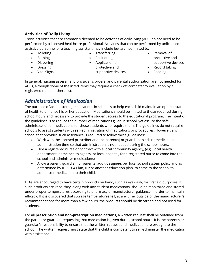# <span id="page-13-0"></span>**Activities of Daily Living**

Those activities that are commonly deemed to be activities of daily living (ADL) do not need to be performed by a licensed healthcare professional. Activities that can be performed by unlicensed assistive personnel or a teaching assistant may include but are not limited to:

- Toileting
- Bathing
- Diapering
- Dressing
- Vital Signs
- Transferring
- Positioning
- Application of protective and supportive devices
- Removal of protective and supportive devices
	- Record taking
- Feeding

In general, nursing assessment, physician's orders, and parental authorization are not needed for ADLs, although some of the listed items may require a check off competency evaluation by a registered nurse or therapist.

# <span id="page-13-1"></span>*Administration of Medication*

The purpose of administering medications in school is to help each child maintain an optimal state of health to enhance his or her education. Medications should be limited to those required during school hours and necessary to provide the student access to the educational program. The intent of the guidelines is to reduce the number of medications given in school, yet assure the safe administration of medications for those students who require them. The guidelines do not require schools to assist students with self-administration of medications or procedures. However, any school that provides such assistance is required to follow these guidelines:

- Work with the licensed prescriber and the parent(s) or guardian to adjust medication administration time so that administration is not needed during the school hours.
- Hire a registered nurse or contract with a local community agency, (e.g., local health department, home health agency, or local hospital, for a registered nurse to come into the school and administer medications).
- Allow a parent, guardian, or parental adult designee, per local school system policy and as determined by IHP, 504 Plan, IEP or another education plan, to come to the school to administer medication to their child.

LEAs are encouraged to have certain products on hand, such as eyewash, for first aid purposes. If such products are kept, they, along with any student medications, should be monitored and stored under proper temperatures according to pharmacy or manufacturer guidance in order to maintain efficacy. If it is discovered that storage temperatures fell, at any time, outside of the manufacturer's recommendations for more than a few hours, the products should be discarded and not used for students.

For all **prescription and non-prescription medications**, a written request shall be obtained from the parent or guardian requesting that medication is given during school hours. It is the parent's or guardian's responsibility to ensure that the written request and medication are brought to the school. The written request must state that the child is competent to self-administer the medication with assistance.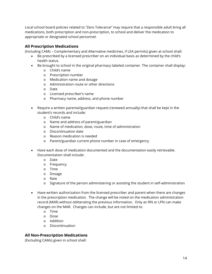Local school board policies related to "Zero Tolerance" may require that a responsible adult bring all medications, both prescription and non-prescription, to school and deliver the medication to appropriate or designated school personnel.

# <span id="page-14-0"></span>**All Prescription Medications**

(Including CAMs – Complementary and Alternative medicines, if LEA permits) given at school shall:

- Be prescribed by a licensed prescriber on an individual basis as determined by the child's health status.
- Be brought to school in the original pharmacy labeled container. The container shall display:
	- o Child's name
	- o Prescription number
	- o Medication name and dosage
	- o Administration route or other directions
	- o Date
	- o Licensed prescriber's name
	- o Pharmacy name, address, and phone number
- Require a written parental/guardian request (renewed annually) that shall be kept in the student's records and include:
	- o Child's name
	- o Name and address of parent/guardian
	- o Name of medication, dose, route, time of administration
	- o Discontinuation date
	- o Reason medication is needed
	- o Parent/guardian current phone number in case of emergency
- Have each dose of medication documented and the documentation easily retrievable. Documentation shall include:
	- o Date
	- o Frequency
	- o Time
	- o Dosage
	- o Rate
	- o Signature of the person administering or assisting the student in self-administration
- Have written authorization from the licensed prescriber and parent when there are changes in the prescription medication. The change will be noted on the medication administration record (MAR) without obliterating the previous information. Only an RN or LPN can make changes on the MAR. Changes can include, but are not limited to:
	- o Time
	- o Dose
	- o Addition
	- o Discontinuation

# <span id="page-14-1"></span>**All Non-Prescription Medications**

(Excluding CAMs) given in school shall: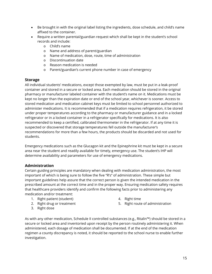- Be brought in with the original label listing the ingredients, dose schedule, and child's name affixed to the container.
- Require a written parental/guardian request which shall be kept in the student's school records and include:
	- o Child's name
	- o Name and address of parent/guardian
	- o Name of medication, dose, route, time of administration
	- o Discontinuation date
	- o Reason medication is needed
	- o Parent/guardian's current phone number in case of emergency

# <span id="page-15-0"></span>**Storage**

All individual students' medications, except those exempted by law, must be put in a leak-proof container and stored in a secure or locked area. Each medication should be stored in the original pharmacy or manufacturer labeled container with the student's name on it. Medications must be kept no longer than the expiration date or end of the school year, whichever is sooner. Access to stored medication and medication cabinet keys must be limited to school personnel authorized to administer medications. It is recommended that if a medication requires refrigeration, it be stored under proper temperatures according to the pharmacy or manufacturer guidance and in a locked refrigerator or in a locked container in a refrigerator specifically for medications. It is also recommended to keep a certified, calibrated thermometer in the refrigerator. If at any time it is suspected or discovered that storage temperatures fell outside the manufacturer's recommendations for more than a few hours, the products should be discarded and not used for students.

Emergency medications such as the Glucagon kit and the Epinephrine kit must be kept in a secure area near the student and readily available for timely, emergency use. The student's IHP will determine availability and parameters for use of emergency medications.

# <span id="page-15-1"></span>**Administration**

Certain guiding principles are mandatory when dealing with medication administration, the most important of which is being sure to follow the five "R's" of administration. These simple but important guidelines help assure that the correct person is given the intended medication in the prescribed amount at the correct time and in the proper way. Ensuring medication safety requires that healthcare providers identify and confirm the following facts prior to administering any medication and/or treatment:

- 1. Right patient (student)
- 2. Right drug or treatment
- 3. Right dose
- 4. Right time
- 5. Right route of administration

As with any other medication, Schedule II controlled substances (e.g., Ritalin™) should be stored in a secure or locked area and inventoried upon receipt by the person routinely administering it. When administered, each dosage of medication shall be documented. If at the end of the medication regimen a county discrepancy is noted, it should be reported to the school nurse to enable further investigation.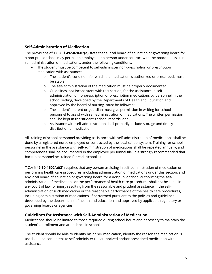# <span id="page-16-0"></span>**Self-Administration of Medication**

The provisions of T.C.A. § **49-50-1602(a)** state that a local board of education or governing board for a non-public school may permit an employee or a person under contract with the board to assist in self-administration of medications, under the following conditions:

- The student must be competent to self-administer non-prescription or prescription medication with assistance;
	- o The student's condition, for which the medication is authorized or prescribed, must be stable;
	- o The self-administration of the medication must be properly documented;
	- o Guidelines, not inconsistent with this section, for the assistance in selfadministration of nonprescription or prescription medications by personnel in the school setting, developed by the Departments of Health and Education and approved by the board of nursing, must be followed;
	- o The student's parent or guardian must give permission in writing for school personnel to assist with self-administration of medications. The written permission shall be kept in the student's school records; and
	- o Assistance with self-administration shall primarily include storage and timely distribution of medication.

All training of school personnel providing assistance with self-administration of medications shall be done by a registered nurse employed or contracted by the local school system. Training for school personnel in the assistance with self-administration of medications shall be repeated annually, and competencies shall be documented in the employee personnel file. It is strongly recommended that backup personnel be trained for each school site.

T.C.A § **49-50-1602(a)(3)** requires that any person assisting in self-administration of medication or performing health care procedures, including administration of medications under this section, and any local board of education or governing board for a nonpublic school authorizing the selfadministration of medications or the performance of health care procedures shall not be liable in any court of law for injury resulting from the reasonable and prudent assistance in the selfadministration of such medication or the reasonable performance of the health care procedures, including administration of medications, if performed pursuant to the policies and guidelines developed by the departments of health and education and approved by applicable regulatory or governing boards or agencies.

# <span id="page-16-1"></span>**Guidelines for Assistance with Self-Administration of Medication**

Medications should be limited to those required during school hours and necessary to maintain the student's enrollment and attendance in school.

The student should be able to identify his or her medication, identify the reason the medication is used, and be competent to self-administer the authorized and/or prescribed medication with assistance.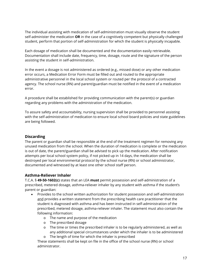The individual assisting with medication of self-administration must visually observe the student self-administer the medication **OR** in the case of a cognitively competent but physically challenged student, perform that portion of self-administration for which the student is physically incapable.

Each dosage of medication shall be documented and the documentation easily retrievable. Documentation shall include date, frequency, time, dosage, route and the signature of the person assisting the student in self-administration.

In the event a dosage is not administered as ordered (e.g., missed dose) or any other medication error occurs, a Medication Error Form must be filled out and routed to the appropriate administrative personnel in the local school system or routed per the protocol of a contracted agency. The school nurse (RN) and parent/guardian must be notified in the event of a medication error.

A procedure shall be established for providing communication with the parent(s) or guardian regarding any problems with the administration of the medication.

To assure safety and accountability, nursing supervision shall be provided to personnel assisting with the self-administration of medication to ensure local school board policies and state guidelines are being followed.

# <span id="page-17-0"></span>**Discarding**

The parent or guardian shall be responsible at the end of the treatment regimen for removing any unused medication from the school. When the duration of medication is complete or the medication is out of date, the parent/guardian shall be advised to pick up the medication. After notification attempts per local school system policy, if not picked up in 14 days, the medication shall be destroyed per local environmental protocol by the school nurse (RN) or school administrator, documented and witnessed by at least one other school staff person.

### <span id="page-17-1"></span>**Asthma-Reliever Inhaler**

T.C.A. § **49-50-1602(c)** states that an LEA **must** permit possession and self-administration of a prescribed, metered dosage, asthma-reliever inhaler by any student with asthma if the student's parent or guardian:

- Provides to the school written authorization for student possession and self-administration and provides a written statement from the prescribing health care practitioner that the student is diagnosed with asthma and has been instructed in self-administration of the prescribed, metered dosage, asthma-reliever inhaler. The statement must also contain the following information:
	- o The name and purpose of the medication
	- o The prescribed dosage
	- o The time or times the prescribed inhaler is to be regularly administered, as well as any additional special circumstances under which the inhaler is to be administered
	- o The length of time for which the inhaler is prescribed

These statements shall be kept on file in the office of the school nurse (RN) or school administrator.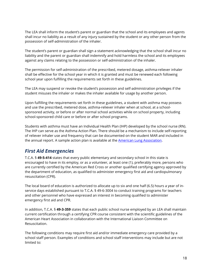The LEA shall inform the student's parent or guardian that the school and its employees and agents shall incur no liability as a result of any injury sustained by the student or any other person from the possession of self-administration of the inhaler.

The student's parent or guardian shall sign a statement acknowledging that the school shall incur no liability and the parent or guardian shall indemnify and hold harmless the school and its employees against any claims relating to the possession or self-administration of the inhaler.

The permission for self-administration of the prescribed, metered dosage, asthma-reliever inhaler shall be effective for the school year in which it is granted and must be renewed each following school year upon fulfilling the requirements set forth in these guidelines.

The LEA may suspend or revoke the student's possession and self-administration privileges if the student misuses the inhaler or makes the inhaler available for usage by another person.

Upon fulfilling the requirements set forth in these guidelines, a student with asthma may possess and use the prescribed, metered dose, asthma-reliever inhaler when at school, at a schoolsponsored activity, or before or after normal school activities while on school property, including school-sponsored child care or before or after school programs.

Students with asthma must have an Individual Health Plan (IHP) developed by the school nurse (RN). The IHP can serve as the Asthma Action Plan. There should be a mechanism to include self-reporting of reliever inhaler use and frequency that can be documented on the student MAR and included in the annual report. A sample action plan is available at the **American Lung Association**.

# <span id="page-18-0"></span>*First Aid Emergencies*

T.C.A. § **49-5-414** states that every public elementary and secondary school in this state is encouraged to have in its employ, or as a volunteer, at least one (1), preferably more, persons who are currently certified by the American Red Cross or another qualified certifying agency approved by the department of education, as qualified to administer emergency first aid and cardiopulmonary resuscitation (CPR).

The local board of education is authorized to allocate up to six and one half (6.5) hours a year of inservice days established pursuant to T.C.A. § 49-6-3004 to conduct training programs for teachers and other personnel who have expressed an interest in becoming qualified to administer emergency first aid and CPR.

In addition, T.C.A. § **49-3-359** states that each public school nurse employed by an LEA shall maintain current certification through a certifying CPR course consistent with the scientific guidelines of the American Heart Association in collaboration with the International Liaison Committee on Resuscitation.

The following conditions may require first aid and/or immediate emergency care provided by a school staff person. Examples of conditions and school staff interventions may include but are not limited to: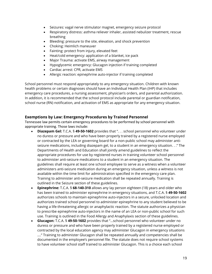- Seizures: vagal nerve stimulator magnet, emergency seizure protocol
- Respiratory distress: asthma reliever inhaler, assisted nebulizer treatment, rescue breathing
- Bleeding: pressure to the site, elevation, and shock prevention
- Choking: Heimlich maneuver
- Fainting: protect from injury, elevated feet
- Heat/cold emergency: application of a blanket, ice pack
- Major Trauma: activate EMS, airway management
- Hypoglycemic emergency: Glucagon injection if training completed
- Cardiac arrest: CPR, activate EMS
- Allergic reaction: epinephrine auto-injector if training completed

School personnel must respond appropriately to any emergency situation. Children with known health problems or certain diagnoses should have an Individual Health Plan (IHP) that includes emergency care procedures, a nursing assessment, physician's orders, and parental authorization. In addition, it is recommended that the school protocol include parental or guardian notification, school nurse (RN) notification, and activation of EMS as appropriate for any emergency situation.

# <span id="page-19-0"></span>**Exemptions by Law: Emergency Procedures by Trained Personnel**

Tennessee law permits certain emergency procedures to be performed by school personnel with appropriate training. Those laws include:

- **Diazepam Gel:** T.C.A. § **49-50-1602** provides that ". . . school personnel who volunteer under no duress or pressure and who have been properly trained by a registered nurse employed or contracted by the LEA or governing board for a non-public school may administer antiseizure medications, including diazepam gel, to a student in an emergency situation. . ." The Departments of Health and Education shall jointly amend guidelines to reflect the appropriate procedures for use by registered nurses in training volunteer school personnel to administer anti-seizure medications to a student in an emergency situation. The guidelines shall require at least one school employee to serve as a witness when a volunteer administers anti-seizure medication during an emergency situation, unless a witness is not available within the time limit for administration specified in the emergency care plan. Training to administer anti-seizure medication shall be repeated annually. Training is outlined in the Seizure section of these guidelines.
- **Epinephrine:** T.C.A. § **68-140-310** allows any lay person eighteen (18) years and older who has been trained to administer epinephrine in emergency situations, and T.C.A. § **49-50-1602** authorizes schools to maintain epinephrine auto-injectors in a secure, unlocked location and authorizes trained school personnel to administer epinephrine to any student believed to be having a life-threatening allergic or anaphylactic reaction. The statute authorizes a physician to prescribe epinephrine auto-injectors in the name of an LEA or non-public school for such use. Training is outlined in the Food Allergy and Anaphylaxis section of these guidelines.
- **Glucagon:** T.C.A. § **49-50-1602** provides that "…school personnel who volunteer under no duress or pressure and who have been properly trained by a registered nurse employed or contracted by the local education agency may administer Glucagon in emergency situations ...." Training to administer Glucagon shall be repeated annually and competencies shall be documented in the employee's personnel file. The statute does not require school systems to have volunteer school staff trained to administer Glucagon. This is a choice each school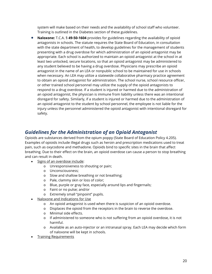system will make based on their needs and the availability of school staff who volunteer. Training is outlined in the Diabetes section of these guidelines.

• **Naloxone:** T.C.A. § **49-50-1604** provides for guidelines regarding the availability of opioid antagonists in schools. The statute requires the State Board of Education, in consultation with the state department of health, to develop guidelines for the management of students presenting with a drug overdose for which administration of an opioid antagonist may be appropriate. Each school is authorized to maintain an opioid antagonist at the school in at least two unlocked, secure locations, so that an opioid antagonist may be administered to any student believed to be having a drug overdose. Physicians may prescribe an opioid antagonist in the name of an LEA or nonpublic school to be maintained for use in schools when necessary. An LEA may utilize a statewide collaborative pharmacy practice agreement to obtain an opioid antagonist for administration. The school nurse, school resource officer, or other trained school personnel may utilize the supply of the opioid antagonists to respond to a drug overdose. If a student is injured or harmed due to the administration of an opioid antagonist, the physician is immune from liability unless there was an intentional disregard for safety. Similarly, if a student is injured or harmed due to the administration of an opioid antagonist to the student by school personnel, the employee is not liable for the injury unless the personnel administered the opioid antagonist with intentional disregard for safety.

# *Guidelines for the Administration of an Opioid Antagonist*

Opioids are substances derived from the opium poppy (State Board of Education Policy 4.205). Examples of opioids include illegal drugs such as heroin and prescription medications used to treat pain, such as oxycodone and methadone. Opioids bind to specific sites in the brain that affect breathing. Due to their effect on the brain, an opioid overdose can cause a person to stop breathing and can result in death.

- Signs of an overdose include:
	- o Unresponsiveness to shouting or pain;
	- o Unconsciousness;
	- o Slow and shallow breathing or not breathing;
	- o Pale, clammy skin or loss of color;
	- o Blue, purple or gray face, especially around lips and fingernails;
	- o Faint or no pulse; and/or
	- o Extremely small "pinpoint" pupils.
- Naloxone and Indications for Use
	- o An opioid antagonist is used when there is suspicion of an opioid overdose.
	- o Displaces the opioid from the receptors in the brain to reverse the overdose.
	- o Minimal side effects.
	- o If administered to someone who is not suffering from an opioid overdose, it is not harmful.
	- o Available as an auto-injector or an intranasal spray. Each LEA may decide which form of naloxone will be kept in schools.
- Training Requirements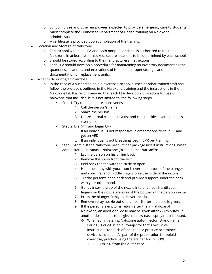- o School nurses and other employees expected to provide emergency care to students must complete the Tennessee Department of Health training on Naloxone administration.
- o A certificate is provided upon completion of the training.
- Location and Storage of Naloxone
	- o Each school within an LEA and each nonpublic school is authorized to maintain Naloxone in at least two unlocked, secure locations to be determined by each school.
	- o Should be stored according to the manufacturer's instructions.
	- o Each LEA should develop a procedure for maintaining an inventory documenting the quantities, locations, and expirations of Naloxone, proper storage, and documentation of replacement units.
- What to do during an overdose
	- o In the case of a suspected opioid overdose, school nurses or other trained staff shall follow the protocols outlined in the Naloxone training and the instructions in the Naloxone kit. It is recommended that each LEA develop a procedure for use of naloxone that includes, but is not limited to, the following steps:
		- **Step 1: Try to maintain responsiveness.** 
			- 1. Call the person's name.
			- 2. Shake the person.
			- 3. Utilize sternal rub (make a fist and rub knuckles over a person's sternum).
		- Step 2: Dial 911 and begin CPR.
			- 1. If an individual is not responsive, alert someone to call 911 and get an AED.
			- 2. If an individual is not breathing, begin CPR per training.
		- Step 3: Administer a Naloxone product per package insert instructions. When administering intranasal Naloxone (Brand name: Narcan™):
			- 1. Lay the person on his or her back.
			- 2. Remove the spray from the box.
			- 3. Peel back the tab with the circle to open.
			- 4. Hold the spray with your thumb over the bottom of the plunger and your first and middle fingers on either side of the nozzle.
			- 5. Tilt the person's head back and provide support under the neck with your other hand.
			- 6. Gently insert the tip of the nozzle into one nostril until your fingers on the nozzle are against the bottom of the person's nose.
			- 7. Press the plunger firmly to deliver the dose.
			- 8. Remove spray nozzle out of the nostril after the dose is given.
			- 9. If the person's symptoms return after the initial dose of Naloxone, an additional dose may be given after 2-3 minutes. If another dose needs to be given, a new nasal spray must be used.
				- \* When administering Naloxone auto-injector (Brand name: Evzio®): Evzio® is an auto-injector that gives voice instructions for each of the steps. A practice or "trainer" device is included. As part of the preparation for opioid overdose, practice using the Trainer for EVZIO®.
					- 1. Pull Evzio® from the outer case.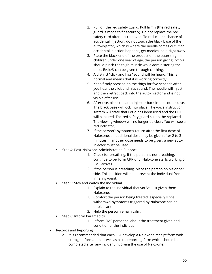- 2. Pull off the red safety guard. Pull firmly (the red safety guard is made to fit securely). Do not replace the red safety card after it is removed. To reduce the chance of accidental injection, do not touch the black base of the auto-injector, which is where the needle comes out. If an accidental injection happens, get medical help right away.
- 3. Place the black end of the product on the outer thigh. In children under one year of age, the person giving Evzio® should pinch the thigh muscle while administering the dose. Evzio® can be given through clothing.
- 4. A distinct "click and hiss" sound will be heard. This is normal and means that it is working correctly.
- 5. Keep firmly pressed on the thigh for five seconds after you hear the click and hiss sound. The needle will inject and then retract back into the auto-injector and is not visible after use.
- 6. After use, place the auto-injector back into its outer case. The black base will lock into place. The voice instruction system will state that Evzio has been used and the LED will blink red. The red safety guard cannot be replaced. The viewing window will no longer be clear. You will see a red indicator.
- 7. If the person's symptoms return after the first dose of Naloxone, an additional dose may be given after 2 to 3 minutes. If another dose needs to be given, a new autoinjector must be used.
- Step 4: Post-Naloxone Administration Support
	- 1. Check for breathing. If the person is not breathing, continue to perform CPR until Naloxone starts working or EMS arrives.
	- 2. If the person is breathing, place the person on his or her side. This position will help prevent the individual from inhaling vomit.
- Step 5: Stay and Watch the Individual
	- 1. Explain to the individual that you've just given them Naloxone.
	- 2. Comfort the person being treated, especially since withdrawal symptoms triggered by Naloxone can be unpleasant.
	- 3. Help the person remain calm.
- Step 6: Inform Paramedics
	- 1. Inform EMS personnel about the treatment given and condition of the individual.
- Records and Reporting
	- o It is recommended that each LEA develop a Naloxone receipt form with storage information as well as a use reporting form which should be completed after any incident involving the use of Naloxone.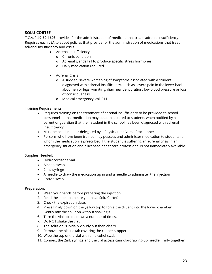# <span id="page-23-0"></span>**SOLU-CORTEF**

T.C.A. § **49-50-1603** provides for the administration of medicine that treats adrenal insufficiency. Requires each LEA to adopt policies that provide for the administration of medications that treat adrenal insufficiency and crisis.

- Adrenal Insufficiency
	- o Chronic condition
	- o Adrenal glands fail to produce specific stress hormones
	- o Daily medication required
- Adrenal Crisis
	- o A sudden, severe worsening of symptoms associated with a student diagnosed with adrenal insufficiency, such as severe pain in the lower back, abdomen or legs, vomiting, diarrhea, dehydration, low blood pressure or loss of consciousness
	- o Medical emergency, call 911

Training Requirements:

- Requires training on the treatment of adrenal insufficiency to be provided to school personnel so that medication may be administered to students when notified by a parent or guardian that their student in the school has been diagnosed with adrenal insufficiency.
- Must be conducted or delegated by a Physician or Nurse Practitioner.
- Persons who have been trained may possess and administer medication to students for whom the medication is prescribed if the student is suffering an adrenal crisis in an emergency situation and a licensed healthcare professional is not immediately available.

### Supplies Needed:

- Hydrocortisone vial
- Alcohol swab
- 2 mL syringe
- A needle to draw the medication up in and a needle to administer the injection
- Cotton swab

### Preparation:

- 1. Wash your hands before preparing the injection.
- 2. Read the label to ensure you have Solu-Cortef.
- 3. Check the expiration date.
- 4. Press firmly down on the yellow top to force the diluent into the lower chamber.
- 5. Gently mix the solution without shaking it.
- 6. Turn the vial upside down a number of times.
- 7. Do NOT shake the vial.
- 8. The solution is initially cloudy but then clears.
- 9. Remove the plastic tab covering the rubber stopper.
- 10. Wipe the top of the vial with an alcohol swab.
- 11. Connect the 2mL syringe and the vial access cannula/drawing-up needle firmly together.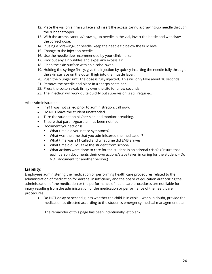- 12. Place the vial on a firm surface and insert the access cannula/drawing-up needle through the rubber stopper.
- 13. With the access cannula/drawing-up needle in the vial, invert the bottle and withdraw the correct dose.
- 14. If using a "drawing-up" needle, keep the needle tip below the fluid level.
- 15. Change to the injection needle.
- 16. Use the needle size recommended by your clinic nurse.
- 17. Flick out any air bubbles and expel any excess air.
- 18. Clean the skin surface with an alcohol swab.
- 19. Holding the syringe firmly, give the injection by quickly inserting the needle fully through the skin surface on the outer thigh into the muscle layer.
- 20. Push the plunger until the dose is fully injected. This will only take about 10 seconds.
- 21. Remove the needle and place in a sharps container.
- 22. Press the cotton swab firmly over the site for a few seconds.
- 23. The injection will work quite quickly but supervision is still required.

After Administration:

- If 911 was not called prior to administration, call now.
- Do NOT leave the student unattended.
- Turn the student on his/her side and monitor breathing.
- Ensure that parent/guardian has been notified.
- Document your actions!
	- What time did you notice symptoms?
	- What was the time that you administered the medication?
	- What time was 911 called and what time did EMS arrive?
	- What time did EMS take the student from school?
	- What actions were done to care for the student in an adrenal crisis? (Ensure that each person documents their own actions/steps taken in caring for the student – Do NOT document for another person.)

# <span id="page-24-0"></span>**Liability:**

Employees administering the medication or performing health care procedures related to the administration of medication for adrenal insufficiency and the board of education authorizing the administration of the medication or the performance of healthcare procedures are not liable for injury resulting from the administration of the medication or performance of the healthcare procedures.

• Do NOT delay or second guess whether the child is in crisis – when in doubt, provide the medication as directed according to the student's emergency medical management plan.

The remainder of this page has been intentionally left blank.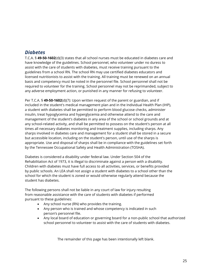# <span id="page-25-0"></span>*Diabetes*

T.C.A. § **49-50-1602**(d)(3) states that all school nurses must be educated in diabetes care and have knowledge of the guidelines. School personnel, who volunteer under no duress to assist with the care of students with diabetes, must receive training pursuant to the guidelines from a school RN. The school RN may use certified diabetes educators and licensed nutritionists to assist with the training. All training must be renewed on an annual basis and competency must be noted in the personnel file. School personnel shall not be required to volunteer for the training. School personnel may not be reprimanded, subject to any adverse employment action, or punished in any manner for refusing to volunteer.

Per T.C.A. § **49-50-1602**(d)(7): Upon written request of the parent or guardian, and if included in the student's medical management plan and in the Individual Health Plan (IHP), a student with diabetes shall be permitted to perform blood glucose checks, administer insulin, treat hypoglycemia and hyperglycemia and otherwise attend to the care and management of the student's diabetes in any area of the school or school grounds and at any school-related activity, and shall be permitted to possess on the student's person at all times all necessary diabetes monitoring and treatment supplies, including sharps. Any sharps involved in diabetes care and management for a student shall be stored in a secure but accessible location, including on the student's person, until use of the sharps is appropriate. Use and disposal of sharps shall be in compliance with the guidelines set forth by the Tennessee Occupational Safety and Health Administration (TOSHA).

Diabetes is considered a disability under federal law. Under Section 504 of the Rehabilitation Act of 1973, it is illegal to discriminate against a person with a disability. Children with diabetes must have full access to all activities, services, or benefits provided by public schools. An LEA shall not assign a student with diabetes to a school other than the school for which the student is zoned or would otherwise regularly attend because the student has diabetes.

The following persons shall not be liable in any court of law for injury resulting from reasonable assistance with the care of students with diabetes if performed pursuant to these guidelines:

- Any school nurse (RN) who provides the training.
- Any person who is trained and whose competency is indicated in such person's personnel file.
- Any local board of education or governing board for a non-public school that authorized school personnel to volunteer to assist with the care of students with diabetes.

The remainder of this page has been intentionally left blank.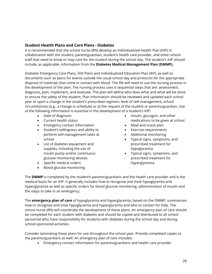# <span id="page-26-0"></span>**Student Health Plans and Care Plans - Diabetes**

It is recommended that the school nurse (RN) develop an Individualized Health Plan (IHP) in collaboration with the student, parent/guardian, student's health care provider, and other school staff that need to know or may care for the student during the school day. The student's IHP should include, as applicable, information from the **Diabetes Medical Management Plan (DMMP),** 

Diabetes Emergency Care Plans, 504 Plans and Individualized Education Plan (IEP), as well as documents such as plans for events outside the usual school day and protocols for the appropriate disposal of materials that come in contact with blood. The RN will need to use the nursing process in the development of the plan. The nursing process uses 6 sequential steps that are: assessment, diagnosis, plan, implement, and evaluate. The plan will define who does what and what will be done to ensure the safety of the student. Plan information should be reviewed and updated each school year or upon a change in the student's prescribed regimen, level of self-management, school circumstances (e.g., a change in schedule) or at the request of the student or parents/guardian. Use of the following information is essential in the development of a student's IHP:

- Date of diagnosis
- Current health status
- Emergency contact information
- Student's willingness and ability to perform self-management tasks at school
- List of diabetes equipment and supplies, including the use of insulin pump and/or continuous glucose monitoring devices
- Specific medical orders
- Blood glucose monitoring
- Insulin, glucagon, and other medications to be given at school
- Meal and snack plan
- Exercise requirements
- Additional monitoring
- Typical signs, symptoms, and prescribed treatment for hypoglycemia
- Typical signs, symptoms, and prescribed treatment for hyperglycemia

The **DMMP** is completed by the student's parents/guardians and the health care provider and is the medical basis for an IHP. It generally includes how to recognize and treat hypoglycemia and hyperglycemia as well as specific orders for blood glucose monitoring, administration of insulin and the steps to take in an emergency.

The **emergency plan of care** of hypoglycemia and hyperglycemia, based on the DMMP, summarizes how to recognize and treat hypoglycemia and hyperglycemia and who to contact for help. The school nurse (RN) will coordinate the development of these plans. An emergency plan of care should be completed for each student with diabetes and should be copied and distributed to all school personnel who have responsibility for students with diabetes during the school day and during school-sponsored activities.

Consider laminating these plans for use throughout the school year. Provide completed copies to the parents/guardians as well. An emergency plan of care includes:

• Emergency contact information for parents/guardians and health care provider.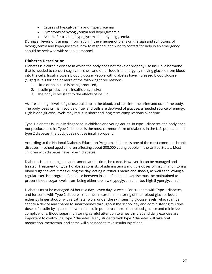- Causes of hypoglycemia and hyperglycemia.
- Symptoms of hypoglycemia and hyperglycemia.
- Actions for treating hypoglycemia and hyperglycemia.

During all levels of training, information in the emergency plans on the sign and symptoms of hypoglycemia and hyperglycemia, how to respond, and who to contact for help in an emergency should be reviewed with school personnel.

# <span id="page-27-0"></span>**Diabetes Description**

Diabetes is a chronic disease in which the body does not make or properly use insulin, a hormone that is needed to convert sugar, starches, and other food into energy by moving glucose from blood into the cells. Insulin lowers blood glucose. People with diabetes have increased blood glucose (sugar) levels for one or more of the following three reasons:

- 1. Little or no insulin is being produced,
- 2. Insulin production is insufficient, and/or
- 3. The body is resistant to the effects of insulin.

As a result, high levels of glucose build up in the blood, and spill into the urine and out of the body. The body loses its main source of fuel and cells are deprived of glucose, a needed source of energy. High blood glucose levels may result in short and long term complications over time.

Type 1 diabetes is usually diagnosed in children and young adults. In type 1 diabetes, the body does not produce insulin. Type 2 diabetes is the most common form of diabetes in the U.S. population. In type 2 diabetes, the body does not use insulin properly.

According to the National Diabetes Education Program, diabetes is one of the most common chronic diseases in school-aged children affecting about 208,000 young people in the United States. Most children with diabetes have Type 1 diabetes.

Diabetes is not contagious and cannot, at this time, be cured. However, it can be managed and treated. Treatment of type 1 diabetes consists of administering multiple doses of insulin, monitoring blood sugar several times during the day, eating nutritious meals and snacks, as well as following a regular exercise program. A balance between insulin, food, and exercise must be maintained to prevent blood sugar levels from being either too low (hypoglycemia) or too high (hyperglycemia).

Diabetes must be managed 24 hours a day, seven days a week. For students with Type 1 diabetes, and for some with Type 2 diabetes, that means careful monitoring of their blood glucose levels either by finger stick or with a catheter worn under the skin sensing glucose levels, which can be sent to a device and shared to smartphones throughout the school day and administering multiple doses of insulin by injection or with an insulin pump to control their blood glucose and minimize complications. Blood sugar monitoring, careful attention to a healthy diet and daily exercise are important to controlling Type 2 diabetes. Many students with type 2 diabetes will take oral medication, metformin, and some will also need to take insulin injections.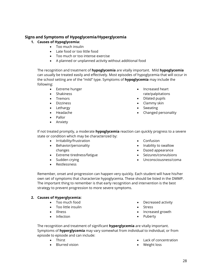# <span id="page-28-0"></span>**Signs and Symptoms of Hypoglycemia/Hyperglycemia**

# **1. Causes of Hypoglycemia:**

- Too much insulin
- Late food or too little food
- Too much or too intense exercise
- A planned or unplanned activity without additional food

The recognition and treatment of **hypoglycemia** are vitally important. Mild **hypoglycemia** can usually be treated easily and effectively. Most episodes of hypoglycemia that will occur in the school setting are of the "mild" type. Symptoms of **hypoglycemia** may include the following:

- Extreme hunger
- Shakiness
- Tremors
- Dizziness
- Lethargy
- Headache
- Pallor
- Anxiety
- Increased heart rate/palpitations
- Dilated pupils
- Clammy skin
- Sweating
- Changed personality

If not treated promptly, a moderate **hypoglycemia** reaction can quickly progress to a severe state or condition which may be characterized by:

- Irritability/frustration
- Behavior/personality changes
- Extreme tiredness/fatigue
- Sudden crying
- Restlessness
- Confusion
- Inability to swallow
- Dazed appearance
- Seizures/convulsions
- Unconsciousness/coma

Remember, onset and progression can happen very quickly. Each student will have his/her own set of symptoms that characterize hypoglycemia. These should be listed in the DMMP. The important thing to remember is that early recognition and intervention is the best strategy to prevent progression to more severe symptoms.

### **2. Causes of Hyperglycemia:**

- Too much food
- Too little insulin
- Illness
- Infection
- Decreased activity
- Stress
- Increased growth
- Puberty

The recognition and treatment of significant **hyperglycemia** are vitally important. Symptoms of **hyperglycemia** may vary somewhat from individual to individual, or from episode to episode and can include:

- Thirst
- Blurred vision
- Lack of concentration
- Weight loss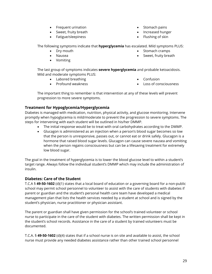- Frequent urination
- Sweet, fruity breath
- Fatigue/sleepiness
- Stomach pains
- Increased hunger
- Flushing of skin

The following symptoms indicate that **hyperglycemia** has escalated. Mild symptoms PLUS:

- Dry mouth
- Nausea
- Vomiting
- Stomach cramps
- Sweet, fruity breath

The last group of symptoms indicates **severe hyperglycemia** and probable ketoacidosis. Mild and moderate symptoms PLUS:

- Labored breathing
- Profound weakness
- Confusion
- Loss of consciousness

The important thing to remember is that intervention at any of these levels will prevent progression to more severe symptoms.

# <span id="page-29-0"></span>**Treatment for Hypoglycemia/Hyperglycemia**

Diabetes is managed with medication, nutrition, physical activity, and glucose monitoring. Intervene promptly when hypoglycemia is mild/moderate to prevent the progression to severe symptoms. The steps for intervening with each student will be outlined in his/her DMMP.

- The initial response would be to treat with oral carbohydrates according to the DMMP.
- Glucagon is administered as an injection when a person's blood sugar becomes so low that the person is unresponsive, passes out, or cannot eat or drink safely. Glucagon is a hormone that raised blood sugar levels. Glucagon can cause severe nausea and vomiting when the person regains consciousness but can be a lifesaving treatment for extremely low blood sugar.

The goal in the treatment of hyperglycemia is to lower the blood glucose level to within a student's target range. Always follow the individual student's DMMP which may include the administration of insulin.

# <span id="page-29-1"></span>**Diabetes: Care of the Student**

T.C.A § **49-50-1602** (d)(1) states that a local board of education or a governing board for a non-public school may permit school personnel to volunteer to assist with the care of students with diabetes if parent or guardian and the student's personal health care team have developed a medical management plan that lists the health services needed by a student at school and is signed by the student's physician, nurse practitioner or physician assistant.

The parent or guardian shall have given permission for the school's trained volunteer or school nurse to participate in the care of the student with diabetes. The written permission shall be kept in the student's school records. Assistance in the care of a student by trained volunteers must be documented.

T.C.A. § **49-50-1602** (d)(4) states that if a school nurse is on site and available to assist, the school nurse must provide any needed diabetes assistance rather than other trained school personnel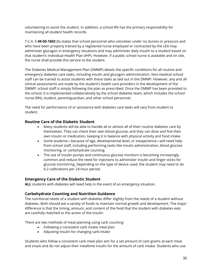volunteering to assist the student. In addition, a school RN has the primary responsibility for maintaining all student health records.

T.C.A. § **49-50-1602** (b) states that school personnel who volunteer under no duress or pressure and who have been properly trained by a registered nurse employed or contracted by the LEA may administer glucagon in emergency situations and may administer daily insulin to a student based on that student's Individual Health Plan (IHP). However, if a public school nurse is available and on site, the nurse shall provide this service to the student.

The Diabetes Medical Management Plan (DMMP) details the specific conditions for all routine and emergency diabetes care tasks, including insulin and glucagon administration. Non-medical school staff can be trained to assist students with these tasks as laid out in the DMMP. However, any and all clinical assessments are made by the student's health care providers in the development of the DMMP; school staff is simply following the plan as prescribed. Once the DMMP has been provided to the school, it is implemented collaboratively by the school diabetes team, which includes the school nurse (RN), student, parent/guardian, and other school personnel.

The need for performance of or assistance with diabetes care tasks will vary from student to student.

# <span id="page-30-0"></span>**Routine Care of the Diabetic Student**

- Many students will be able to handle all or almost all of their routine diabetes care by themselves. They can check their own blood glucose, and they can dose and five their own insulin or medication, keeping it in balance with physical activity and food intake.
- Some students—because of age, developmental level, or inexperience—will need help from school staff, including performing tasks like insulin administration, blood glucose monitoring, or carbohydrate counting.
- The use of insulin pumps and continuous glucose monitors is becoming increasingly common and reduce the need for injections to administer insulin and finger sticks for glucose monitoring. Depending on the type of device used, the student may need to do 0-2 calibrations per 24-hour period.

# <span id="page-30-1"></span>**Emergency Care of the Diabetic Student**

**ALL** students with diabetes will need help in the event of an emergency situation.

# <span id="page-30-2"></span>**Carbohydrate Counting and Nutrition Guidance**

The nutritional needs of a student with diabetes differ slightly from the needs of a student without diabetes. Both should eat a variety of foods to maintain normal growth and development. The major difference is that the timing, amount, and content of the food that the student with diabetes eats are carefully matched to the action of the insulin.

There are two methods of meal planning using carb counting:

- Following a consistent carb intake meal plan
- Adjusting insulin for changing carb intake

Students who follow a consistent carb meal plan aim for a set amount of carb grams at each meal and snack and do not adjust their mealtime insulin for the amount of carb intake. Students who use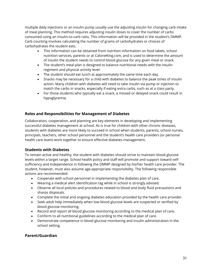multiple daily injections or an insulin pump usually use the adjusting insulin for changing carb intake of meal planning. This method requires adjusting insulin doses to cover the number of carbs consumed using an insulin-to-carb ratio. This information will be provided in the student's DMMP. Carb counting involves calculating the number of grams of carbohydrates or choices of carbohydrates the student eats.

- This information can be obtained from nutrition information on food labels, school nutrition services, parents or at CalorieKing.com, and is used to determine the amount of insulin the student needs to control blood glucose for any given meal or snack.
- The student's meal plan is designed to balance nutritional needs with the insulin regiment and physical activity level.
- The student should eat lunch at approximately the same time each day.
- Snacks may be necessary for a child with diabetes to balance the peak times of insulin action. Many children with diabetes will need to take insulin via pump or injection to match the carbs in snacks, especially if eating extra carbs, such as at a class party.
- For those students who typically eat a snack, a missed or delayed snack could result in hypoglycemia.

# <span id="page-31-0"></span>**Roles and Responsibilities for Management of Diabetes**

Collaboration, cooperation, and planning are key elements in developing and implementing successful diabetes management at school. As is true for children with other chronic diseases, students with diabetes are more likely to succeed in school when students, parents, school nurses, principals, teachers, other school personnel and the student's health care providers (or personal health care team) work together to ensure effective diabetes management.

# <span id="page-31-1"></span>**Students with Diabetes**

To remain active and healthy, the student with diabetes should strive to maintain blood glucose levels within a target range. School health policy and staff will promote and support toward selfsufficiency and independence in following the DMMP designed by his/her health care provider. The student, however, must also assume age-appropriate responsibility. The following responsible actions are recommended:

- Cooperate with school personnel in implementing the diabetes plan of care.
- Wearing a medical alert identification tag while in school is strongly advised.
- Observe all local policies and procedures related to blood and body fluid precautions and sharps disposals.
- Complete the initial and ongoing diabetes education provided by the health care provider.
- Seek adult help immediately when low blood glucose levels are suspected or verified by blood glucose monitoring.
- Record and report all blood glucose monitoring according to the medical plan of care.
- Conform to all nutritional guidelines according to the medical plan of care.
- Demonstrate competence in blood glucose monitoring and insulin administration in the school setting.

# <span id="page-31-2"></span>**Parent/Guardian**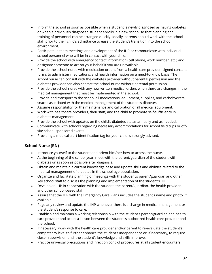- Inform the school as soon as possible when a student is newly diagnosed as having diabetes or when a previously diagnosed student enrolls in a new school so that planning and training of personnel can be arranged quickly. Ideally, parents should work with the school staff prior to their child's admittance to ease the student's transition into the school environment.
- Participate in team meetings and development of the IHP or communicate with individual school personnel who will be in contact with your child.
- Provide the school with emergency contact information (cell phone, work number, etc.) and designate someone to act on your behalf if you are unavailable.
- Provide the school nurse with medication orders from a health care provider, signed consent forms to administer medications, and health information on a need-to-know basis. The school nurse can consult with the diabetes provider without parental permission and the diabetes provider can also contact the school nurse without parental permission.
- Provide the school nurse with any new written medical orders when there are changes in the medical management that must be implemented in the school.
- Provide and transport to the school all medications, equipment, supplies, and carbohydrate snacks associated with the medical management of the student's diabetes.
- Assume responsibility for the maintenance and calibration of all medical equipment.
- Work with healthcare providers, their staff, and the child to promote self-sufficiency in diabetes management.
- Provide the school with updates on the child's diabetes status annually and as needed.
- Communicate with schools regarding necessary accommodations for school field trips or offsite school-sponsored events.
- Providing a medical alert identification tag for your child is strongly advised.

# <span id="page-32-0"></span>**School Nurse (RN)**

- Introduce yourself to the student and orient him/her how to access the nurse.
- At the beginning of the school year, meet with the parent/guardian of the student with diabetes or as soon as possible after diagnosis.
- Obtain and maintain a current knowledge base and update skills and abilities related to the medical management of diabetes in the school-age population.
- Organize and facilitate planning of meetings with the student's parent/guardian and other key school staff to discuss the planning and implementation of the student's IHP.
- Develop an IHP in cooperation with the student, the parent/guardian, the health provider, and other school-based staff.
- Assure that the IHP with the Emergency Care Plans includes the student's name and photo, if available.
- Regularly review and update the IHP whenever there is a change in medical management or the student's response to care.
- Establish and maintain a working relationship with the student's parent/guardian and health care provider and act as a liaison between the student's authorized health care provider and the school.
- If necessary, work with the health care provider and/or parent to re-evaluate the student's competency level to further enhance the student's independence or, if necessary, to require closer supervision until the student's knowledge and skills improve.
- Practice universal precautions and infection control procedures at all student encounters.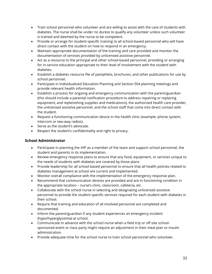- Train school personnel who volunteer and are willing to assist with the care of students with diabetes. The nurse shall be under no duress to qualify any volunteer unless such volunteer is trained and deemed by the nurse to be competent.
- Provide or arrange for student-specific training to all school-based personnel who will have direct contact with the student on how to respond in an emergency.
- Maintain appropriate documentation of the training and care provided and monitor the documentation of services provided by unlicensed assistive personnel.
- Act as a resource to the principal and other school-based personnel, providing or arranging for in-service education appropriate to their level of involvement with the student with diabetes.
- Establish a diabetes resource file of pamphlets, brochures, and other publications for use by school personnel.
- Participate in Individualized Education Planning and Section 504 planning meetings and provide relevant health information.
- Establish a process for ongoing and emergency communication with the parent/guardian (this should include a parental notification procedure to address repairing or replacing equipment, and replenishing supplies and medications), the authorized health care provider, the unlicensed assistive personnel, and the school staff that come into direct contact with the student.
- Request a functioning communication device in the health clinic (example: phone system, intercom or two-way radios).
- Serve as the student's advocate.
- Respect the student's confidentiality and right to privacy.

# <span id="page-33-0"></span>**School Administrator**

- Participate in planning the IHP as a member of the team and support school personnel, the student and parents in its implementation.
- Review emergency response plans to ensure that any food, equipment, or services unique to the needs of students with diabetes are covered by those plans.
- Provide leadership for all school-based personnel to ensure that all health policies related to diabetes management at school are current and implemented.
- Monitor overall compliance with the implementation of the emergency response plan.
- Recommend that communication devices are provided and are in functioning condition in the appropriate location – nurse's clinic, classroom, cafeteria, etc.
- Collaborate with the school nurse in selecting and designating unlicensed assistive personnel to provide the student-specific services required for each student with diabetes in their school.
- Require that training and education of all involved personnel are completed and documented.
- Inform the parent/guardian if any student experiences an emergency incident (hypo/hyperglycemia) at school.
- Communicate in advance with the school nurse when a field trip or off-site schoolsponsored event or class party might require an adjustment in their meal plan or insulin administration.
- Provide adequate time for the school nurse to train school personnel who volunteer.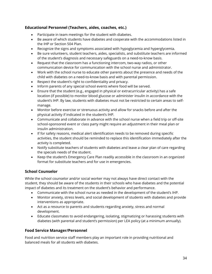# <span id="page-34-0"></span>**Educational Personnel (Teachers, aides, coaches, etc.)**

- Participate in team meetings for the student with diabetes.
- Be aware of which students have diabetes and cooperate with the accommodations listed in the IHP or Section 504 Plan.
- Recognize the signs and symptoms associated with hypoglycemia and hyperglycemia.
- Be sure volunteers, student teachers, aides, specialists, and substitute teachers are informed of the student's diagnosis and necessary safeguards on a need-to-know basis.
- Request that the classroom has a functioning intercom, two-way radios, or other communication device for communication with the school nurse and administrator.
- Work with the school nurse to educate other parents about the presence and needs of the child with diabetes on a need-to-know basis and with parental permission.
- Respect the student's right to confidentiality and privacy.
- Inform parents of any special school events where food will be served.
- Ensure that the student (e.g., engaged in physical or extracurricular activity) has a safe location (if possible) to monitor blood glucose or administer insulin in accordance with the student's IHP. By law, students with diabetes must not be restricted to certain areas to selfmanage.
- Monitor before exercise or strenuous activity and allow for snacks before and after the physical activity if indicated in the student's IHP.
- Communicate and collaborate in advance with the school nurse when a field trip or off-site school-sponsored event or class party might require an adjustment in their meal plan or insulin administration.
- If for safety reasons, medical alert identification needs to be removed during specific activities, the student should be reminded to replace this identification immediately after the activity is completed.
- Notify substitute teachers of students with diabetes and leave a clear plan of care regarding the specials needs of the student.
- Keep the student's Emergency Care Plan readily accessible in the classroom in an organized format for substitute teachers and for use in emergencies.

# <span id="page-34-1"></span>**School Counselor**

While the school counselor and/or social worker may not always have direct contact with the student, they should be aware of the students in their schools who have diabetes and the potential impact of diabetes and its treatment on the student's behavior and performance.

- Communicate with the school nurse as needed in the development of the student's IHP.
- Monitor anxiety, stress levels, and social development of students with diabetes and provide interventions as appropriate.
- Act as a resource to parents and students regarding anxiety, stress and normal development.
- Educate classmates to avoid endangering, isolating, stigmatizing or harassing students with diabetes (with parental and student's permission) per LEA policy (at a minimum annually).

# <span id="page-34-2"></span>**Food Service Manager/Personnel**

Food and nutrition service staff members play an important role in providing nutritional and balanced meals for all students with diabetes.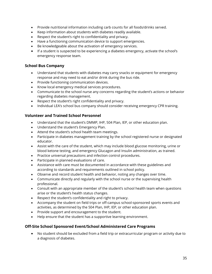- Provide nutritional information including carb counts for all foods/drinks served.
- Keep information about students with diabetes readily available.
- Respect the student's right to confidentiality and privacy.
- Have a functioning communication device to support emergencies.
- Be knowledgeable about the activation of emergency services.
- If a student is suspected to be experiencing a diabetes emergency, activate the school's emergency response team.

# <span id="page-35-0"></span>**School Bus Company**

- Understand that students with diabetes may carry snacks or equipment for emergency response and may need to eat and/or drink during the bus ride.
- Provide functioning communication devices.
- Know local emergency medical services procedures.
- Communicate to the school nurse any concerns regarding the student's actions or behavior regarding diabetes management.
- Respect the student's right confidentiality and privacy.
- Individual LEA's school bus company should consider receiving emergency CPR training.

# <span id="page-35-1"></span>**Volunteer and Trained School Personnel**

- Understand that the student's DMMP, IHP, 504 Plan, IEP, or other education plan.
- Understand the student's Emergency Plan.
- Attend the student's school health team meetings.
- Participate in diabetes management training by the school registered nurse or designated educator.
- Assist with the care of the student, which may include blood glucose monitoring, urine or blood ketone testing, and emergency Glucagon and Insulin administration, as trained.
- Practice universal precautions and infection control procedures.
- Participate in planned evaluations of care.
- Assistance with care must be documented in accordance with these guidelines and according to standards and requirements outlined in school policy.
- Observe and record student health and behavior, noting any changes over time.
- Communicate directly and regularly with the school nurse or the supervising health professional.
- Consult with an appropriate member of the student's school health team when questions arise or the student's health status changes.
- Respect the student's confidentiality and right to privacy.
- Accompany the student on field trips or off-campus school-sponsored sports events and activities, as determined by the 504 Plan, IHP, IEP, or other education plan.
- Provide support and encouragement to the student.
- Help ensure that the student has a supportive learning environment.

### <span id="page-35-2"></span>**Off-Site School Sponsored Event/School Administered Care Programs**

• No student should be excluded from a field trip or extracurricular program or activity due to a diagnosis of diabetes.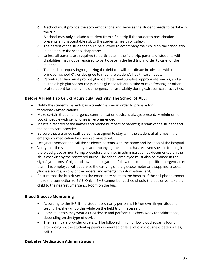- o A school must provide the accommodations and services the student needs to partake in the trip.
- o A school may only exclude a student from a field trip if the student's participation presents an unacceptable risk to the student's health or safety.
- o The parent of the student should be allowed to accompany their child on the school trip in addition to the school chaperone.
- o Unless all parents are required to participate in the field trip, parents of students with disabilities may not be required to participate in the field trip in order to care for the student.
- o The teacher requesting/organizing the field trip will coordinate in advance with the principal, school RN, or designee to meet the student's health care needs.
- o Parent/guardian must provide glucose meter and supplies, appropriate snacks, and a suitable high glucose source (such as glucose tablets, a tube of cake frosting, or other oral solution) for their child's emergency for availability during extracurricular activities.

## **Before A Field Trip Or Extracurricular Activity, the School SHALL:**

- Notify the student's parent(s) in a timely manner in order to prepare for food/snacks/medications.
- Make certain that an emergency communication device is always present. A minimum of two (2) people with cell phones is recommended.
- Maintain records of the names and phone numbers of parent/guardian of the student and the health care provider.
- Be sure that a trained staff person is assigned to stay with the student at all times if the emergency medication has been administered.
- Designate someone to call the student's parents with the name and location of the hospital.
- Verify that the school employee accompanying the student has received specific training in the blood glucose monitoring procedure and insulin administration as documented on the skills checklist by the registered nurse. The school employee must also be trained in the signs/symptoms of high and low blood sugar and follow the student specific emergency care plan. This employee will supervise the carrying of the glucose meter and supplies, snacks, glucose source, a copy of the orders, and emergency information card.
- Be sure that the bus driver has the emergency route to the hospital if the cell phone cannot make the connection to EMS. Only if EMS cannot be reached should the bus driver take the child to the nearest Emergency Room on the bus.

#### **Blood Glucose Monitoring**

- According to the IHP, if the student ordinarily performs his/her own finger stick and testing, he/she will do this while on the field trip if necessary.
- Some students may wear a CGM device and perform 0-3 checks/day for calibrations, depending on the type of device.
- The healthcare provider orders will be followed if high or low blood sugar is found. If after doing so, the student appears disoriented or level of consciousness deteriorates, call 911.

#### **Diabetes Medication Administration**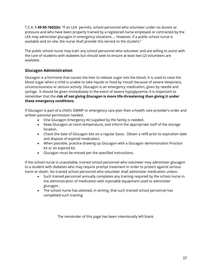T.C.A. § **49-50-1602(b)**: "If an LEA permits, school personnel who volunteer under no duress or pressure and who have been properly trained by a registered nurse employed or contracted by the LEA may administer glucagon in emergency situations … However, if a public school nurse is available and on site, the nurse shall provide this service to the student."

The public school nurse may train any school personnel who volunteer and are willing to assist with the care of students with diabetes but should seek to ensure at least two (2) volunteers are available.

## **Glucagon Administration**

Glucagon is a hormone that causes the liver to release sugar into the blood. It is used to raise the blood sugar when a child is unable to take liquids or food by mouth because of severe sleepiness, unconsciousness or seizure activity. Glucagon is an emergency medication, given by needle and syringe. It should be given immediately in the event of severe hypoglycemia. It is important to remember that the **risk of not giving Glucagon is more life-threatening than giving it under these emergency conditions.**

If Glucagon is part of a child's DMMP or emergency care plan then a health care provider's order and written parental permission needed.

- One Glucagon Emergency Kit supplied by the family is needed.
- Keep Glucagon at room temperature, and inform the appropriate staff of the storage location.
- Check the date of Glucagon kits on a regular basis. Obtain a refill prior to expiration date and dispose of expired medication.
- When possible, practice drawing up Glucagon with a Glucagon demonstration Practice kit or an expired kit.
- Glucagon must be missed per the specified instructions.

If the school nurse is unavailable, trained school personnel who volunteer may administer glucagon to a student with diabetes who may require prompt treatment in order to protect against serious harm or death. No trained school personnel who volunteer shall administer medication unless:

- Such trained personnel annually completes any training required by the school nurse in the administration of medication with injectable equipment used to administer glucagon.
- The school nurse has attested, in writing, that such trained school personnel has completed such training.

The remainder of this page has been intentionally left blank.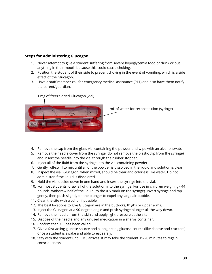#### **Steps for Administering Glucagon**

- 1. Never attempt to give a student suffering from severe hypoglycemia food or drink or put anything in their mouth because this could cause choking.
- 2. Position the student of their side to prevent choking in the event of vomiting, which is a side effect of the Glucagon.
- 3. Have a staff member call for emergency medical assistance (911) and also have them notify the parent/guardian.



1 mg of freeze dried Glucagon (vial)

1 mL of water for reconstitution (syringe)

- 4. Remove the cap from the glass vial containing the powder and wipe with an alcohol swab.
- 5. Remove the needle cover from the syringe (do not remove the plastic clip from the syringe) and insert the needle into the vial through the rubber stopper.
- 6. Inject all of the fluid from the syringe into the vial containing powder.
- 7. Gently roll/swirl to mix until all of the powder is dissolved in the liquid and solution is clear.
- 8. Inspect the vial. Glucagon, when mixed, should be clear and colorless like water. Do not administer if the liquid is discolored.
- 9. Hold the vial upside down in one hand and insert the syringe into the vial.
- 10. For most students, draw all of the solution into the syringe. For use in children weighing <44 pounds, withdraw half of the liquid (to the 0.5 mark on the syringe). Invert syringe and tap gently, then push slightly on the plunger to expel any large air bubble.
- 11. Clean the site with alcohol if possible.
- 12. The best locations to give Glucagon are in the buttocks, thighs or upper arms.
- 13. Inject the Glucagon at a 90-degree angle and push syringe plunger all the way down.
- 14. Remove the needle from the skin and apply light pressure at the site.
- 15. Dispose of the needle and any unused medication in a sharps container.
- 16. Confirm that 911 has been called.
- 17. Give a fast-acting glucose source and a long-acting glucose source (like cheese and crackers) once a student is awake and able to eat safely.
- 18. Stay with the student until EMS arrives. It may take the student 15-20 minutes to regain consciousness.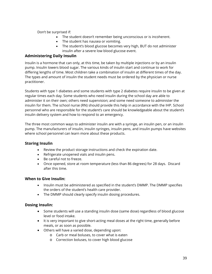#### Don't be surprised if:

- The student doesn't remember being unconscious or is incoherent.
- The student has nausea or vomiting.
- The student's blood glucose becomes very high, BUT do not administer insulin after a severe low blood glucose event.

#### **Administering Daily Insulin**

Insulin is a hormone that can only, at this time, be taken by multiple injections or by an insulin pump. Insulin lowers blood sugar. The various kinds of insulin start and continue to work for differing lengths of time. Most children take a combination of insulin at different times of the day. The types and amount of insulin the student needs must be ordered by the physician or nurse practitioner.

Students with type 1 diabetes and some students with type 2 diabetes require insulin to be given at regular times each day. Some students who need insulin during the school day are able to administer it on their own; others need supervision; and some need someone to administer the insulin for them. The school nurse (RN) should provide this help in accordance with the IHP. School personnel who are responsible for the student's care should be knowledgeable about the student's insulin delivery system and how to respond to an emergency.

The three most common ways to administer insulin are with a syringe, an insulin pen, or an insulin pump. The manufacturers of insulin, insulin syringes, insulin pens, and insulin pumps have websites where school personnel can learn more about these products.

#### **Storing Insulin**

- Review the product storage instructions and check the expiration date.
- Refrigerate unopened vials and insulin pens.
- Be careful not to freeze.
- Once opened, store at room temperature (less than 86 degrees) for 28 days. Discard after this time.

#### **When to Give Insulin:**

- Insulin must be administered as specified in the student's DMMP. The DMMP specifies the orders of the student's health care provider.
- The DMMP should clearly specify insulin dosing procedures.

#### **Dosing Insulin:**

- Some students will use a standing insulin dose (same dose) regardless of blood glucose level or food intake.
- It is very important to give short-acting meal doses at the right time, generally before meals, or as soon as possible.
- Others will have a varied dose, depending upon:
	- o Carb or meal boluses, to cover what is eaten
	- o Correction boluses, to cover high blood glucose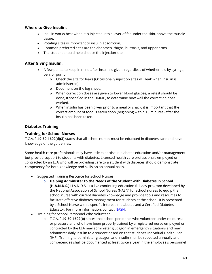#### **Where to Give Insulin:**

- Insulin works best when it is injected into a layer of fat under the skin, above the muscle tissue.
- Rotating sites is important to insulin absorption.
- Common preferred sites are the abdomen, thighs, buttocks, and upper arms.
- The student should help choose the injection site.

#### **After Giving Insulin:**

- A few points to keep in mind after insulin is given, regardless of whether it is by syringe, pen, or pump:
	- o Check the site for leaks (Occasionally injection sites will leak when insulin is administered).
	- o Document on the log sheet.
	- o When correction doses are given to lower blood glucose, a retest should be done, if specified in the DMMP, to determine how well the correction dose worked.
	- o When insulin has been given prior to a meal or snack, it is important that the correct amount of food is eaten soon (beginning within 15 minutes) after the insulin has been taken.

### **Diabetes Training**

### **Training for School Nurses**

T.C.A. § **49-50-1602(d)(3)** states that all school nurses must be educated in diabetes care and have knowledge of the guidelines.

Some health care professionals may have little expertise in diabetes education and/or management but provide support to students with diabetes. Licensed health care professionals employed or contracted by an LEA who will be providing care to a student with diabetes should demonstrate competency for both knowledge and skills on an annual basis.

- Suggested Training Resource for School Nurses
	- o **Helping Administer to the Needs of the Student with Diabetes in School (H.A.N.D.S.)** H.A.N.D.S. is a live continuing education full-day program developed by the National Association of School Nurses (NASN) for school nurses to equip the school nurse with current diabetes knowledge and provide tools and resources to facilitate effective diabetes management for students at the school. It is presented by a School Nurse with a specific interest in diabetes and a Certified Diabetes Educator. For more information, contact NASN.
- Training for School Personnel Who Volunteer
	- o T.C.A. § **49-50-1602(b)** states that school personnel who volunteer under no duress or pressure and who have been properly trained by a registered nurse employed or contracted by the LEA may administer glucagon in emergency situations and may administer daily insulin to a student based on that student's Individual Health Plan (IHP). Training to administer glucagon and insulin shall be repeated annually and competencies shall be documented at least twice a year in the employee's personnel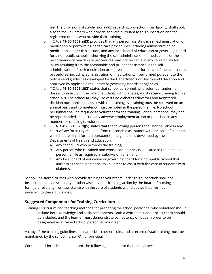file. The provisions of subdivision (a)(3) regarding protection from liability shall apply also to the volunteers who provide services pursuant to this subsection and the registered nurses who provide their training.

- o T.C.A. § **49-50-1602(a)(3)** provides that any person assisting in self-administration of medication or performing health care procedures, including administration of medications under this section, and any local board of education or governing board for a non-public school authorizing the self-administration of medications or the performance of health care procedures shall not be liable in any court of law for injury resulting from the reasonable and prudent assistance in the selfadministration of such medication or the reasonable performance of the health care procedures, including administration of medications, if performed pursuant to the policies and guidelines developed by the Departments of Health and Education and approved by applicable regulatory or governing boards or agencies.
- o T.C.A. § **49-50-1602(d)(3)** states that school personnel, who volunteer under no duress to assist with the care of students with diabetes, must receive training from a school RN. The school RN may use certified diabetes educators and Registered dietitian nutritionists to assist with the training. All training must be renewed on an annual basis and competency must be noted in the personnel file. No school personnel shall be required to volunteer for the training. School personnel may not be reprimanded, subject to any adverse employment action or punished in any manner for refusing to volunteer.
- o T.C.A. § **49-50-1602(d)(5)** states that the following persons shall not be liable in any court of law for injury resulting from reasonable assistance with the care of students with diabetes if performed pursuant to the guidelines developed by the Departments of Health and Education:
	- A. Any school RN who provides the training;
	- B. Any person who is trained and whose competency is indicated in the person's personnel file as required in subdivision (d)(3); and
	- C. Any local board of education or governing board for a non-public school that authorizes school personnel to volunteer to assist with the care of students with diabetes.

School Registered Nurses who provide training to volunteers under this subsection shall not be subject to any disciplinary or otherwise adverse licensing action by the board of nursing for injury resulting from assistance with the care of students with diabetes if performed pursuant to these guidelines.

#### **Suggested Components for Training Curriculum**

Training curriculum and teaching methods for preparing the school personnel who volunteer should include both knowledge and skills components. Both a written test and a skills check should be included, and the learner must demonstrate competency on both in order to be designated as a trained school personnel volunteer.

A copy of the training guidelines, test and skills check results, and a record of staff training must be maintained by the school nurse (RN) or principal.

Content shall include, at a minimum, the following elements so that the learner: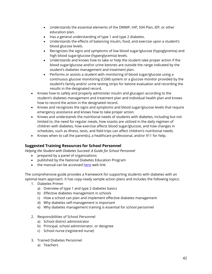- Understands the essential elements of the DMMP, IHP, 504 Plan, IEP, or other education plan.
- Has a general understanding of type 1 and type 2 diabetes.
- Understands the effects of balancing insulin, food, and exercise upon a student's blood glucose levels.
- Recognizes the signs and symptoms of low blood sugar/glucose (hypoglycemia) and high blood sugar/glucose (hyperglycemia) levels.
- Understands and knows how to take or help the student take proper action if the blood sugar/glucose and/or urine ketones are outside the range indicated by the student's diabetes management and treatment plan.
- Performs or assists a student with monitoring of blood sugar/glucose using a continuous glucose monitoring (CGM) system or a glucose monitor provided by the student's family and/or urine testing strips for ketone evaluation and recording the results in the designated record.
- Knows how to safely and properly administer insulin and glucagon according to the student's diabetes management and treatment plan and individual health plan and knows how to record the action in the designated record.
- Knows and recognizes the signs and symptoms and blood sugar/glucose levels that require emergency assistance and knows how to take proper action.
- Knows and understands the nutritional needs of students with diabetes, including but not limited to, the need for regular meals, how snacks are utilized in the daily regimen of children with diabetes, how exercise affects blood sugar/glucose, and how changes in schedules, such as illness, tests, and field trips can affect children's nutritional needs.
- Knows when to call the parent(s), a healthcare professional, and/or 911 for help.

## **Suggested Training Resources for School Personnel**

*Helping the Student with Diabetes Succeed: A Guide for School Personnel*

- prepared by a panel of organizations
- published by the National Diabetes Education Program
- the manual can be accesse[d here](http://ndep.nih.gov/hcp-businesses-and-schools/Schools.aspx) web link:

The comprehensive guide provides a framework for supporting students with diabetes with an optimal team approach. It has copy-ready sample action plans and includes the following topics:

- 1. Diabetes Primer
	- a) Overview of type 1 and type 2 diabetes basics
	- b) Effective diabetes management in schools
	- c) How a school can plan and implement effective diabetes management
	- d) Why diabetes self-management is important
	- e) Why diabetes management training is essential for school personnel
- 2. Responsibilities of School Personnel
	- a) School district administrator
	- b) Principal, school administrator, or designee
	- c) School nurse (registered nurse)
- 3. Trained Diabetes Personnel
	- a) Teachers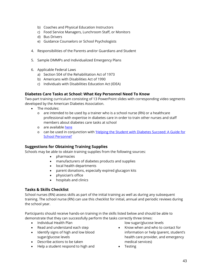- b) Coaches and Physical Education Instructors
- c) Food Service Managers, Lunchroom Staff, or Monitors
- d) Bus Drivers
- e) Guidance Counselors or School Psychologists
- 4. Responsibilities of the Parents and/or Guardians and Student
- 5. Sample DMMPs and Individualized Emergency Plans
- 6. Applicable Federal Laws
	- a) Section 504 of the Rehabilitation Act of 1973
	- b) Americans with Disabilities Act of 1990
	- c) Individuals with Disabilities Education Act (IDEA)

#### **Diabetes Care Tasks at School: What Key Personnel Need To Know**

Two-part training curriculum consisting of 13 PowerPoint slides with corresponding video segments developed by the American Diabetes Association.

- The modules:
	- $\circ$  are intended to be used by a trainer who is a school nurse (RN) or a healthcare professional with expertise in diabetes care in order to train other nurses and staff members about diabetes care tasks at school
	- o are available [here](http://www.diabetes.org/schooltraining)
	- o can be used in conjunction with 'Helping the Student with Diabetes Succeed: A Guide for [School Personnel'](http://www.diabetes.org/living-with-diabetes/parents-and-kids/diabetes-care-at-%20school/school-staff-trainings/diabetes-care-tasks.html)

#### **Suggestions for Obtaining Training Supplies**

Schools may be able to obtain training supplies from the following sources:

- pharmacies
- manufacturers of diabetes products and supplies
- local health departments
- parent donations, especially expired glucagon kits
- physician's office
- hospitals and clinics

#### **Tasks & Skills Checklist**

School nurses (RN) assess skills as part of the initial training as well as during any subsequent training. The school nurse (RN) can use this checklist for initial, annual and periodic reviews during the school year.

Participants should receive hands-on training in the skills listed below and should be able to demonstrate that they can successfully perform the tasks correctly three times:

- Individual Health Plan
- Read and understand each step
- Identify signs of high and low blood sugar/glucose levels
- Describe actions to be taken
- Help a student respond to high and

low sugar/glucose levels

- Know when and who to contact for information or help (parent, student's health care provider, and emergency medical services)
- Testing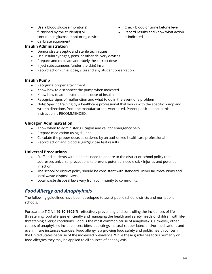- Use a blood glucose monitor(s) furnished by the student(s) or continuous glucose monitoring device
- Calibrate equipment

#### **Insulin Administration**

- Demonstrate aseptic and sterile techniques
- Use insulin syringes, pens, or other delivery devices
- Prepare and calculate accurately the correct dose
- Inject subcutaneous (under the skin) insulin
- Record action (time, dose, site) and any student observation

#### **Insulin Pump**

- Recognize proper attachment
- Know how to disconnect the pump when indicated
- Know how to administer a bolus dose of insulin
- Recognize signs of malfunction and what to do in the event of a problem
- Note: Specific training by a healthcare professional that works with the specific pump and written directions from the manufacturer is warranted. Parent participation in this instruction is RECOMMENDED.

#### **Glucagon Administration**

- Know when to administer glucagon and call for emergency help
- Prepare medication using diluent
- Calculate the proper dose, as ordered by an authorized healthcare professional
- Record action and blood sugar/glucose test results

#### **Universal Precautions**

- Staff and students with diabetes need to adhere to the district or school policy that addresses universal precautions to prevent potential needle stick injuries and potential infection.
- The school or district policy should be consistent with standard Universal Precautions and local waste-disposal laws.
- Local waste disposal laws vary from community to community.

# *Food Allergy and Anaphylaxis*

The following guidelines have been developed to assist public school districts and non-public schools.

Pursuant to T.C.A § **49-50-1602(f)** - effectively preventing and controlling the incidences of lifethreatening food allergies efficiently and managing the health and safety needs of children with lifethreatening allergic conditions. Food is the most common cause of anaphylaxis. However, other causes of anaphylaxis include insect bites, bee stings, natural rubber latex, and/or medications and even in rare instances exercise. Food allergy is a growing food safety and public health concern in the United States because of the increased prevalence. While these guidelines focus primarily on food allergies they may be applied to all sources of anaphylaxis.

- Check blood or urine ketone level
- Record results and know what action is indicated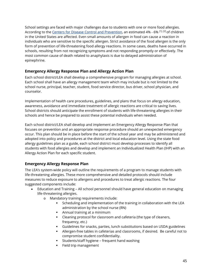School settings are faced with major challenges due to students with one or more food allergies. According to the [Centers for Disease Control and Prevention,](http://www.cdc.gov/HealthyYouth/foodallergies/) an estimated 4% - 6% <sup>[1], [2]</sup> of children in the United States are affected. Even small amounts of allergen in food can cause a reaction in individuals who are sensitive to the specific allergen. Strict avoidance of the food allergen is the only form of prevention of life-threatening food allergy reactions. In some cases, deaths have occurred in schools, resulting from not recognizing symptoms and not responding promptly or effectively. The most common cause of death related to anaphylaxis is due to delayed administration of epinephrine.

## **Emergency Allergy Response Plan and Allergy Action Plan**

Each school district/LEA shall develop a comprehensive program for managing allergies at school. Each school shall have an allergy management team which may include but is not limited to the school nurse, principal, teacher, student, food service director, bus driver, school physician, and counselor.

Implementation of health care procedures, guidelines, and plans that focus on allergy education, awareness, avoidance and immediate treatment of allergic reactions are critical to saving lives. School districts should anticipate the enrollment of students with life-threatening allergies in their schools and hence be prepared to assist these potential individuals when needed.

Each school district/LEA shall develop and implement an Emergency Allergy Response Plan that focuses on prevention and an appropriate response procedure should an unexpected emergency occur. This plan should be in place before the start of the school year and may be administered and adopted into policy and procedures at the district and local education level. Using the state food allergy guidelines plan as a guide, each school district must develop processes to identify all students with food allergies and develop and implement an Individualized Health Plan (IHP) with an Allergy Action Plan for each specific student.

## **Emergency Allergy Response Plan**

The LEA's system-wide policy will outline the requirements of a program to manage students with life-threatening allergies. These more comprehensive and detailed protocols should include measures to reduce exposure to allergens and procedures to treat allergic reactions. The four suggested components include:

- Education and Training All school personnel should have general education on managing life-threatening allergies.
	- o Mandatory training requirements include:
		- **Scheduling and implementation of the training in collaboration with the LEA** administration by the school nurse (RN)
		- Annual training at a minimum
		- Cleaning protocol for classroom and cafeteria (the type of cleaners, frequency, etc.)
		- Guidelines for snacks, parties, lunch substitutions based on USDA guidelines
		- Allergen-free tables in cafeterias and classrooms, if desired. Be careful not to compromise student confidentiality.
		- Students/staff hygiene frequent hand washing
		- **Field trip management**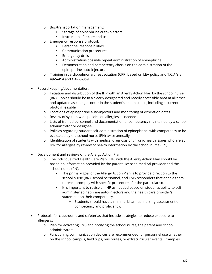- o Bus/transportation management:
	- Storage of epinephrine auto-injectors
	- **Instructions for care and use**
- o Emergency response protocol:
	- **Personnel responsibilities**
	- **Communication procedures**
	- **Emergency drills**
	- Administration/possible repeat administration of epinephrine
	- Demonstration and competency checks on the administration of the epinephrine auto-injectors
- o Training in cardiopulmonary resuscitation (CPR) based on LEA policy and T.C.A.'s § **49-5-414** and § **49-3-359**
- Record keeping/documentation:
	- o Initiation and distribution of the IHP with an Allergy Action Plan by the school nurse (RN). Copies should be in a clearly designated and readily accessible area at all times and updated as changes occur in the student's health status, including a current photo if feasible.
	- o Locations of epinephrine auto-injectors and monitoring of expiration dates
	- o Review of system-wide policies on allergies as needed.
	- o Lists of trained personnel and documentation of competency maintained by a school administrator or designee.
	- o Policies regarding student self-administration of epinephrine, with competency to be evaluated by the school nurse (RN) twice annually.
	- o Identification of students with medical diagnosis or chronic health issues who are at risk for allergies by review of health information by the school nurse (RN).
- Development and reviews of the Allergy Action Plan:
	- o The Individualized Health Care Plan (IHP) with the Allergy Action Plan should be based on information provided by the parent, licensed medical provider and the school nurse (RN).
		- The primary goal of the Allergy Action Plan is to provide direction to the school nurse (RN), school personnel, and EMS responders that enable them to react promptly with specific procedures for the particular student.
		- It is important to revise an IHP as needed based on student's ability to selfadminister epinephrine auto-injectors and the health care provider's statement on their competency.
			- $\triangleright$  Students should have a minimal bi-annual nursing assessment of competency and proficiency.
- Protocols for classrooms and cafeterias that include strategies to reduce exposure to allergens:
	- o Plan for activating EMS and notifying the school nurse, the parent and school administrators.
	- o Functioning communication devices are recommended for personnel use whether on the school campus, field trips, bus routes, or extracurricular events. Examples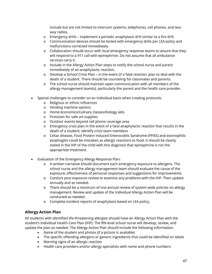include but are not limited to intercom systems, telephones, cell phones, and twoway radios.

- o Emergency drills implement a periodic anaphylaxis drill similar to a fire drill.
- o Communication devices should be tested with emergency drills per LEA policy and malfunctions corrected immediately.
- $\circ$  Collaboration should occur with local emergency response teams to assure that they will respond to a 911 call with epinephrine. Do not assume that all ambulance services carry it.
- o Include in the Allergy Action Plan steps to notify the school nurse and parent immediately of an anaphylactic reaction.
- $\circ$  Develop a School Crisis Plan in the event of a fatal reaction, plan to deal with the death of a student. There should be counseling for classmates and parents.
- o The school nurse should maintain open communication with all members of the allergy management team(s), particularly the parent and the health care provider.
- Special challenges to consider on an individual basis when creating protocols:
	- o Religious or ethnic influences
	- o Vending machine options
	- o Home economics/culinary classes/biology labs
	- o Provision for safe art supplies
	- o Outdoor events beyond cell phone coverage area
	- o Emergency crisis plan in the event of a fatal anaphylactic reaction that results in the death of a student; identify crisis team members
	- o Celiac disease, Food Protein Induced Enterocolitis Syndrome (FPIES) and eosinophilic esophagitis could be mistaken as allergic reactions to food. It should be clearly stated in the IHP of the child with this diagnosis that epinephrine is not the appropriate treatment.
- Evaluation of the Emergency Allergy Response Plan:
	- o A written narrative should document each emergency exposure to allergens. The school nurse and the allergy management team should evaluate the cause of the exposure, effectiveness of personal responses and suggestions for improvements.
	- o Conduct post exposure review to examine any problems with the IHP. Then update annually and as needed.
	- o There should be a minimum of one annual review of system-wide policies on allergy management. Review and update of the Individual Allergy Action Plan will be conducted as needed.
	- o Complete incident reports of anaphylaxis based on LEA policy.

## **Allergy Action Plan**

All students with identified life-threatening allergies should have an Allergy Action Plan with the student's Individual Health Care Plan (IHP). The RN-level school nurse will develop, review, and update the plan as needed. The Allergy Action Plan should include the following information:

- Name of the student and photos (if a picture is available)
- The specific offending allergens or generic ingredients that could be identified on labels
- Warning signs of an allergic reaction
- Health care providers and/or allergy specialists with name and phone numbers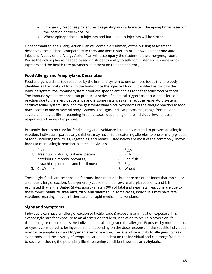- Emergency response procedures designating who administers the epinephrine based on the location of the exposure
- Where epinephrine auto-injectors and backup auto-injectors will be stored

Once formalized, the Allergy Action Plan will contain a summary of the nursing assessment describing the student's competency to carry and administer his or her own epinephrine autoinjectors. A copy of the Allergy Action Plan will accompany the student to the emergency room. Revise the action plan as needed based on student's ability to self-administer epinephrine autoinjectors and the health care provider's statement on their competency.

## **Food Allergy and Anaphylaxis Description**

Food allergy is a distorted response by the immune system to one or more foods that the body identifies as harmful and toxic to the body. Once the ingested food is identified as toxic by the immune system, the immune system produces specific antibodies to that specific food or foods. The immune system response can produce a series of chemical triggers as part of the allergic reaction due to the allergic substance and in some instances can affect the respiratory system, cardiovascular system, skin, and the gastrointestinal tract. Symptoms of the allergic reaction to food may appear in one or several body systems. The signs and symptoms may range from mild to severe and may be life-threatening in some cases, depending on the individual level of dose response and mode of exposure.

Presently there is no cure for food allergy and avoidance is the only method to prevent an allergic reaction. Individuals, particularly children, may have life-threatening allergies to one or many groups of food. Including fish, fruits, vegetables, and meats. Listed below are most of the commonly known foods to cause allergic reaction in some individuals:

- 1. Peanuts
- 2. Tree nuts (walnuts, cashews, pecans, hazelnuts, almonds, coconuts, pistachios, pine nuts, and brazil nuts)
- 3. Cow's milk
- 4. Eggs
- 5. Fish
- 6. Shellfish
- 7. Soy
- 8. Wheat

These eight foods are responsible for most food reactions but there are other foods that can cause a serious allergic reaction. Nuts generally cause the most severe allergic reactions, and it is estimated that in the United States approximately 90% of fatal and near-fatal reactions are due to these foods: **peanuts, tree nuts, fish, and shellfish**. In some cases, individuals may have fatal reactions resulting in death if there are no rapid medical interventions.

#### **Signs and Symptoms**

Individuals can have an allergic reaction to tactile (touch) exposure or inhalation exposure. It is exceedingly rare for exposure to an allergen via tactile or inhalation to result in severe or lifethreatening reactions unless the individual has also ingested the allergen. Exposure by mouth, nose, or eyes is considered to be ingestion and, depending on the dose response of the specific individual, may cause anaphylaxis and trigger an allergic reaction. The level of sensitivity to allergens, types of symptoms, and the severity of symptoms are dependent on the individual and can range from mild to severe, including the potentially life-threatening condition known as **anaphylaxis**.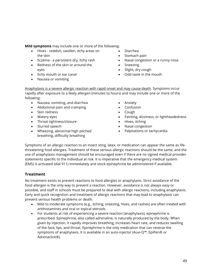**Mild symptoms** may include one or more of the following:

- Hives reddish, swollen, itchy areas on the skin
- Eczema a persistent dry, itchy rash
- Redness of the skin or around the eyes
- Itchy mouth or ear canal
- Nausea or vomiting
- Diarrhea
- Stomach pain
- Nasal congestion or a runny nose
- **Sneezing**
- Slight, dry cough
- Odd taste in the mouth

Anaphylaxis is a severe allergic reaction with rapid onset and may cause death. Symptoms occur rapidly after exposure to a likely allergen (minutes to hours) and may include one or more of the following:

- Nausea, vomiting, and diarrhea
- Abdominal pain and cramping
- Skin redness
- Watery eyes
- Throat tightness/closure
- Slurred speech
- Wheezing, abnormal high pitched breathing, difficulty breathing
- **Anxiety**
- Confusion
- Cough
- Fainting, dizziness, or lightheadedness
- Hives, itching
- Nasal congestion
- Palpitations or tachycardia

Symptoms of an allergic reaction to an insect sting, latex, or medication can appear the same as lifethreatening food allergies. Treatment of these serious allergic reactions should be the same, and the use of anaphylaxis management should be encouraged even if there are no signed medical provider statements specific to the individual at risk. It is imperative that the emergency medical system (EMS) is activated (dial 911) immediately and stock epinephrine be administered if available.

#### **Treatment**

No treatment exists to prevent reactions to food allergies or anaphylaxis. Strict avoidance of the food allergen is the only way to prevent a reaction. However, avoidance is not always easy or possible, and staff in schools must be prepared to deal with allergic reactions, including anaphylaxis. Early and quick recognition and treatment of allergic reactions that may lead to anaphylaxis can prevent serious health problems or death.

- Mild to moderate symptoms (e.g., itching, sneezing, hives, and rashes) are often treated with antihistamines and oral or topical steroids.
- For students at risk of experiencing a severe reaction (anaphylaxis), epinephrine is prescribed. Epinephrine, also called adrenaline, is naturally produced by the body. When given by injection, it rapidly improves breathing, increases heart rate, and reduces swelling of the face, lips, and throat. Epinephrine is the only medication that can reverse the symptoms of anaphylaxis. It is available in an auto-injector (Auvi-Q™, EpiPen® or Adrenaclick®).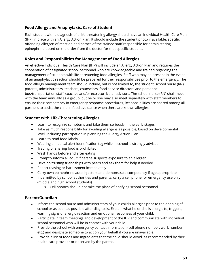## **Food Allergy and Anaphylaxis: Care of Student**

Each student with a diagnosis of a life-threatening allergy should have an Individual Health Care Plan (IHP) in place with an Allergy Action Plan. It should include the student photo if available, specific offending allergen of reaction and names of the trained staff responsible for administering epinephrine based on the order from the doctor for that specific student.

## **Roles and Responsibilities for Management of Food Allergies**

An effective Individual Health Care Plan (IHP) will include an Allergy Action Plan and requires the cooperation of designated school personnel who are knowledgeable and trained regarding the management of students with life-threatening food allergies. Staff who may be present in the event of an anaphylactic reaction should be prepared for their responsibilities prior to the emergency. The food allergy management team should include, but is not limited to, the student, school nurse (RN), parents, administrators, teachers, counselors, food service directors and personnel, bus/transportation staff, coaches and/or extracurricular advisors. The school nurse (RN) shall meet with the team annually as a group, but he or she may also meet separately with staff members to ensure their competency in emergency response procedures, Responsibilities are shared among all partners to assist the child in food avoidance when there are known allergies.

## **Student with Life-Threatening Allergies**

- Learn to recognize symptoms and take them seriously in the early stages
- Take as much responsibility for avoiding allergens as possible, based on developmental level, including participation in planning the Allergy Action Plan.
- Learn to read food labels
- Wearing a medical alert identification tag while in school is strongly advised
- Trading or sharing food is prohibited
- Wash hands before and after eating
- Promptly inform all adult if he/she suspects exposure to an allergen
- Develop trusting friendships with peers and ask them for help if needed
- Report teasing or harassment immediately
- Carry own epinephrine auto-injectors and demonstrate competency if age appropriate
- If permitted by school authorities and parents, carry a cell phone for emergency use only (middle and high school students)
	- o Cell phones should not take the place of notifying school personnel

## **Parent/Guardian**

- Inform the school nurse and administrators of your child's allergies prior to the opening of school or as soon as possible after diagnosis. Explain what he or she is allergic to, triggers, warning signs of allergic reaction and emotional responses of your child.
- Participate in team meetings and development of the IHP and communicate with individual school personnel who will be in contact with your child.
- Provide the school with emergency contact information (cell phone number, work number, etc.) and designate someone to act on your behalf if you are unavailable.
- Provide a list of foods and ingredients that the child should avoid, as recommended by their health care provider or observed by the parent.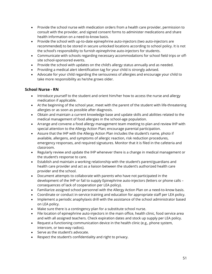- Provide the school nurse with medication orders from a health care provider, permission to consult with the provider, and signed consent forms to administer medications and share health information on a need-to-know basis.
- Provide the school with up-to-date epinephrine auto-injectors (two auto-injectors are recommended) to be stored in secure unlocked locations according to school policy. It is not the school's responsibility to furnish epinephrine auto-injectors for students.
- Communicate with schools regarding necessary accommodations for school field trips or offsite school-sponsored events.
- Provide the school with updates on the child's allergy status annually and as needed.
- Providing a medical alert identification tag for your child is strongly advised.
- Advocate for your child regarding the seriousness of allergies and encourage your child to take more responsibility as he/she grows older.

#### **School Nurse - RN**

- Introduce yourself to the student and orient him/her how to access the nurse and allergy medication if applicable.
- At the beginning of the school year, meet with the parent of the student with life-threatening allergies or as soon as possible after diagnosis.
- Obtain and maintain a current knowledge base and update skills and abilities related to the medical management of food allergies in the school-age population.
- Arrange and convene a food allergy management team meeting to plan and review IHP with special attention to the Allergy Action Plan; encourage parental participation.
- Assure that the IHP with the Allergy Action Plan includes the student's name, photo if available, allergens, and symptoms of allergic reaction, risk reduction procedures, emergency responses, and required signatures. Monitor that it is filed in the cafeteria and classroom.
- Regularly review and update the IHP whenever there is a change in medical management or the student's response to care.
- Establish and maintain a working relationship with the student's parent/guardians and health care provider and act as a liaison between the student's authorized health care provider and the school.
- Document attempts to collaborate with parents who have not participated in the development of the IHP or fail to supply Epinephrine auto-injectors (letters or phone calls – consequences of lack of cooperation per LEA policy).
- Familiarize assigned school personnel with the Allergy Action Plan on a need-to-know basis.
- Coordinate or conduct in-service training and education for appropriate staff per LEA policy.
- Implement a periodic anaphylaxis drill with the assistance of the school administrator based on LEA policy.
- Make sure there is a contingency plan for a substitute school nurse.
- File location of epinephrine auto-injectors in the main office, health clinic, food service area and with all assigned teachers. Check expiration dates and stock up supply per LEA policy.
- Request a functioning communication device in the health clinic (e.g., phone system, intercom, or two-way radios).
- Serve as the student's advocate.
- Respect the student's confidentiality and right to privacy.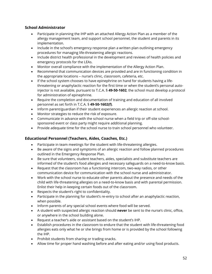## **School Administrator**

- Participate in planning the IHP with an attached Allergy Action Plan as a member of the allergy management team, and support school personnel, the student and parents in its implementation.
- Include in the school's emergency response plan a written plan outlining emergency procedures for managing life-threatening allergic reactions.
- Include district health professional in the development and reviews of health policies and emergency protocols for the LEAs.
- Monitor overall compliance with the implementation of the Allergy Action Plan.
- Recommend that communication devices are provided and are in functioning condition in the appropriate locations – nurse's clinic, classroom, cafeteria, etc.
- If the school system chooses to have epinephrine on hand for students having a lifethreatening or anaphylactic reaction for the first time or when the student's personal autoinjector is not available, pursuant to T.C.A. § **49-50-1602**, the school must develop a protocol for administration of epinephrine.
- Require the completion and documentation of training and education of all involved personnel as set forth in T.C.A. § **49-50-1602(f)**.
- Inform parent/guardian if their student experiences an allergic reaction at school.
- Monitor strategies to reduce the risk of exposure.
- Communicate in advance with the school nurse when a field trip or off-site schoolsponsored event or class party might require additional planning.
- Provide adequate time for the school nurse to train school personnel who volunteer.

## **Educational Personnel (Teachers, Aides, Coaches, Etc.)**

- Participate in team meetings for the student with life-threatening allergies.
- Be aware of the signs and symptoms of an allergic reaction and follow planned procedures outlined in the Emergency Response Plan.
- Be sure that volunteers, student teachers, aides, specialists and substitute teachers are informed of the student's food allergies and necessary safeguards on a need-to-know basis.
- Request that the classroom has a functioning intercom, two-way radios, or other communication device for communication with the school nurse and administrator.
- Work with the school nurse to educate other parents about the presence and needs of the child with life-threatening allergies on a need-to-know basis and with parental permission. Enlist their help in keeping certain foods out of the classroom.
- Respects the student's right to confidentiality.
- Participate in the planning for student's re-entry to school after an anaphylactic reaction, when possible.
- Inform parents of any special school events where food will be served.
- A student with suspected allergic reaction should **never** be sent to the nurse's clinic, office, or anywhere in the school building alone.
- Request a teacher's aide or assistant based on the student's IHP.
- Establish procedures in the classroom to endure that the student with life-threatening food allergies eats only what he or she brings from home or is provided by the school following the IHP.
- Prohibit students from sharing or trading snacks.
- Allow time for proper hand washing before and after eating and/or using food products.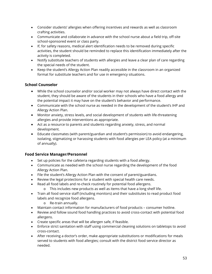- Consider students' allergies when offering incentives and rewards as well as classroom crafting activities.
- Communicate and collaborate in advance with the school nurse about a field trip, off-site school-sponsored event or class party.
- If, for safety reasons, medical alert identification needs to be removed during specific activities, the student should be reminded to replace this identification immediately after the activity is completed.
- Notify substitute teachers of students with allergies and leave a clear plan of care regarding the special needs of the student.
- Keep the student's Allergy Action Plan readily accessible in the classroom in an organized format for substitute teachers and for use in emergency situations.

### **School Counselor**

- While the school counselor and/or social worker may not always have direct contact with the student, they should be aware of the students in their schools who have a food allergy and the potential impact it may have on the student's behavior and performance.
- Communicate with the school nurse as needed in the development of the student's IHP and Allergy Action Plan.
- Monitor anxiety, stress levels, and social development of students with life-threatening allergies and provide interventions as appropriate.
- Act as a resource to parents and students regarding anxiety, stress, and normal development.
- Educate classmates (with parent/guardian and student's permission) to avoid endangering, isolating, stigmatizing or harassing students with food allergies per LEA policy (at a minimum of annually).

#### **Food Service Manager/Personnel**

- Set up policies for the cafeteria regarding students with a food allergy.
- Communicate as needed with the school nurse regarding the development of the food Allergy Action Plan.
- File the student's Allergy Action Plan with the consent of parent/guardians.
- Review the legal protections for a student with special health care needs.
- Read all food labels and re-check routinely for potential food allergens.
	- o This includes new products as well as items that have a long shelf life.
- Train all food service staff (including monitors) and their substitutes to read product food labels and recognize food allergens.
	- o Re-train annually.
- Maintain contact information for manufacturers of food products consumer hotline.
- Review and follow sound food handling practices to avoid cross-contact with potential food allergens.
- Create specific areas that will be allergen safe, if feasible.
- Enforce strict sanitation with staff using commercial cleaning solutions on tabletops to avoid cross-contact.
- After receiving a doctor's order, make appropriate substitutions or modifications for meals served to students with food allergies; consult with the district food service director as needed.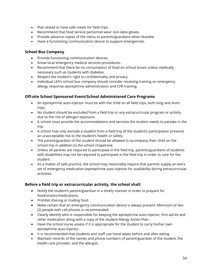- Plan ahead to have safe meals for field trips.
- Recommend that food service personnel wear non-latex gloves.
- Provide advance copies of the menu to parents/guardians when feasible.
- Have a functioning communication device to support emergencies.

#### **School Bus Company**

- Provide functioning communication devices.
- Know local emergency medical services procedures.
- Recommend that there be no consumption of food on school buses unless medically necessary such as students with diabetes.
- Respect the student's right to confidentiality and privacy.
- Individual LEA's school bus company should consider receiving training on emergency allergy response epinephrine administration and CPR training.

#### **Off-site School Sponsored Event/School Administered Care Programs**

- An epinephrine auto-injector must be with the child on all field trips, both long and short trips.
- No student should be excluded from a field trip or any extracurricular program or activity due to the risk of allergen exposure.
- A school must provide the accommodations and services the student needs to partake in the trip.
- A school may only exclude a student from a field trip of the student's participation presents an unacceptable risk to the student's health or safety.
- The parent/guardian of the student should be allowed to accompany their child on the school trip in addition to the school chaperone.
- Unless all parents are required to participate in the field trip, parents/guardians of students with disabilities may not be required to participate in the field trip in order to care for the student.
- As a matter of safe practice, the school may reasonably require that parents supply an extra set of emergency medication (epinephrine auto-injector for availability during extracurricular activities.

#### **Before a field trip or extracurricular activity, the school shall:**

- Notify the student's parent/guardian in a timely manner in order to prepare for food/snacks/medications.
- Prohibit sharing or trading food.
- Make certain that an emergency communication device is always present. Minimum of two (2) people with cell phones is recommended.
- Clearly identify who is responsible for keeping the epinephrine auto-injector, first aid kit and other medication along with a copy of the student Allergy Action Plan.
- Have the school nurse assess if it is appropriate for the student to carry his/her own epinephrine auto-injector.
- It is recommended that students and staff use hand wipes before and after eating.
- Maintain records of the names and phone numbers of parent/guardian of the student, the health care provider, and the allergist.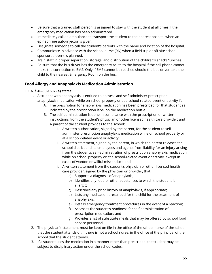- Be sure that a trained staff person is assigned to stay with the student at all times if the emergency medication has been administered.
- Immediately call an ambulance to transport the student to the nearest hospital when an epinephrine auto-injector is given.
- Designate someone to call the student's parents with the name and location of the hospital.
- Communicate in advance with the school nurse (RN) when a field trip or off-site school sponsored event is planned.
- Train staff in proper separation, storage, and distribution of the children's snacks/lunches.
- Be sure that the bus driver has the emergency route to the hospital if the cell phone cannot make the connection to EMS. Only if EMS cannot be reached should the bus driver take the child to the nearest Emergency Room on the bus.

### **Food Allergy and Anaphylaxis Medication Administration**

#### T.C.A. § **49-50-1602 (e)** states:

- 1. A student with anaphylaxis is entitled to possess and self-administer prescription anaphylaxis medication while on school property or at a school-related event or activity if:
	- A. The prescription for anaphylaxis medication has been prescribed for that student as indicated by the prescription label on the medication bottle.
	- B. The self-administration is done in compliance with the prescription or written instructions from the student's physician or other licensed health care provider; and
	- C. A parent of the student provides to the school:
		- i. A written authorization, signed by the parent, for the student to selfadminister prescription anaphylaxis medication while on school property or at a school-related event or activity;
		- ii. A written statement, signed by the parent, in which the parent releases the school district and its employees and agents from liability for an injury arising from the student's self-administration of prescription anaphylaxis medication while on school property or at a school-related event or activity, except in cases of wanton or willful misconduct; and
		- iii. A written statement from the student's physician or other licensed health care provider, signed by the physician or provider, that:
			- a) Supports a diagnosis of anaphylaxis;
			- b) Identifies any food or other substances to which the student is allergic;
			- c) Describes any prior history of anaphylaxis, if appropriate;
			- d) Lists any medication prescribed for the child for the treatment of anaphylaxis;
			- e) Details emergency treatment procedures in the event of a reaction;
			- f) Assesses the student's readiness for self-administration of prescription medication; and
			- g) Provides a list of substitute meals that may be offered by school food service personnel.
- 2. The physician's statement must be kept on file in the office of the school nurse of the school that the student attends or, if there is not a school nurse, in the office of the principal of the school that the student attends.
- 3. If a student uses the medication in a manner other than prescribed, the student may be subject to disciplinary action under the school codes.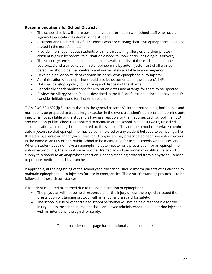#### **Recommendations for School Districts**

- The school district will share pertinent health information with school staff who have a legitimate educational interest in the student.
- A current and updated list of all students who are carrying their own epinephrine should be placed in the nurse's office.
- Provide information about students with life-threatening allergies and their photos (if consent is given by parent) to all staff on a need-to-know basis (including bus drivers).
- The school system shall maintain and make available a list of those school personnel authorized and trained to administer epinephrine by auto-injector. List of all trained personnel should be filed centrally and immediately available in an emergency.
- Develop a policy on student carrying his or her own epinephrine auto-injector.
- Administration of epinephrine should also be documented in the student's IHP.
- LEA shall develop a policy for carrying and disposal of the sharps.
- Periodically check medications for expiration dates and arrange for them to be updated.
- Review the Allergy Action Plan as described in the IHP, or if a student does not have an IHP, consider initiating one for first-time reaction.

T.C.A. § **49-50-1602(f)(3):** states that it is the general assembly's intent that schools, both public and non-public, be prepared to treat allergic reaction in the event a student's personal epinephrine autoinjector is not available or the student is having a reaction for the first time. Each school in an LEA and each non-public school is authorized to maintain at the school in at least two (2) unlocked, secure locations, including, but not limited to, the school office and the school cafeteria, epinephrine auto-injectors so that epinephrine may be administered to any student believed to be having a lifethreatening allergic or anaphylactic reaction. A physician may prescribe epinephrine auto-injectors in the name of an LEA or non-public school to be maintained for use in schools when necessary. When a student does not have an epinephrine auto-injector or a prescription for an epinephrine auto-injector on file, the school nurse or other trained school personnel may utilize the school supply to respond to an anaphylactic reaction, under a standing protocol from a physician licensed to practice medicine in all its branches.

If applicable, at the beginning of the school year, the school should inform parents of its election to maintain epinephrine auto-injectors for use in emergencies. The district's standing protocol is to be followed in those circumstances.

If a student is injured or harmed due to the administration of epinephrine:

- The physician will not be held responsible for the injury unless the physician issued the prescription or standing protocol with intentional disregard for safety.
- The school nurse or other trained school personnel will not be held responsible for the injury unless the school nurse or school employee administered the epinephrine injection with an intentional disregard for safety.

The remainder of this page has intentionally been left blank.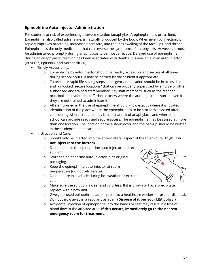## **Epinephrine Auto-Injector Administration**

For students at risk of experiencing a severe reaction (anaphylaxis), epinephrine is prescribed. Epinephrine, also called adrenaline, is naturally produced by the body. When given by injection, it rapidly improves breathing, increases heart rate, and reduces swelling of the face, lips, and throat. Epinephrine is the only medication that can reverse the symptoms of anaphylaxis. However, it must be administered promptly during anaphylaxis to be most effective. Delayed use of epinephrine during an anaphylactic reaction has been associated with deaths. It is available in an auto-injector (Auvi-Q™, EpiPen®, and Adrenaclick®).

- Timely Accessibility:
	- o Epinephrine by auto-injector should be readily accessible and secure at all times during school hours. It may be carried by the student if appropriate.
	- o To promote rapid life-saving steps, emergency medication should be in accessible and "unlocked, secure locations" that can be properly supervised by a nurse or other authorized and trained staff member. Key staff members, such as the teacher, principal, and cafeteria staff, should know where the auto-injector is stored even if they are not trained to administer it.
	- o All staff trained in the use of epinephrine should know exactly where it is located.
	- o Identification of the place where the epinephrine is to be stored is selected after considering where students may be most at risk of anaphylaxis and where the school can provide ready and secure access. The epinephrine may be stored at more than one location. The location of the auto-injector and the backup should be written in the student's health care plan.
- Instruction and Care:
	- o Should only be injected into the anterolateral aspect of the thigh (outer thigh). **Do not inject into the buttock.**
	- o Do not expose the epinephrine auto-injector to direct sunlight.
	- o Store the epinephrine auto-injector in its original packaging.
	- o Keep the epinephrine auto-injector at room temperature (do not refrigerate).
	- o Do not store in a vehicle during hot weather or extreme cold.
- - o Make sure the solution is clear and colorless. If it is brown or has a precipitate, replace with a new unit.
	- o Give your used epinephrine auto-injector to a healthcare worker for proper disposal. Do not throw away in a regular trash can. **(Dispose of it per your LEA policy.)**
	- o Accidental injection of epinephrine into the hands or feet may result in a loss of blood flow to the affected area. **If this occurs, immediately go to the nearest emergency room for treatment**.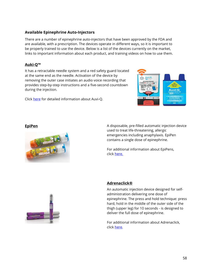## **Available Epinephrine Auto-Injectors**

There are a number of epinephrine auto-injectors that have been approved by the FDA and are available, with a prescription. The devices operate in different ways, so it is important to be properly trained to use the device. Below is a list of the devices currently on the market, links to important information about each product, and training videos on how to use them.

## **Auki-Q™**

It has a retractable needle system and a red safety guard located at the same end as the needle. Activation of the device by removing the outer case initiates an audio voice recording that provides step-by-step instructions and a five-second countdown during the injection.

Click [here](https://www.auvi-q.com/) for detailed information about Auvi-Q.





**EpiPen EpiPen A** disposable, pre-filled automatic injection device used to treat life-threatening, allergic emergencies including anaphylaxis. EpiPen contains a single dose of epinephrine.

> For additional information about EpiPens, click [here.](https://www.epipen.com/en/)



#### **Adrenaclick®**

An automatic injection device designed for selfadministration delivering one dose of epinephrine. The press and hold technique: press hard, hold in the middle of the outer side of the thigh (upper leg) for 10 seconds - is designed to deliver the full dose of epinephrine.

For additional information about Adrenaclick, click [here.](http://adrenaclick.com/)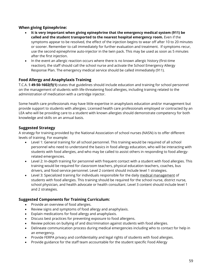#### **When giving Epinephrine:**

- **It is very important when giving epinephrine that the emergency medical system (911) be called and the student transported to the nearest hospital emergency room.** Even if the symptoms appear to be resolved, the effect of the injection begins to wear off after 10 to 20 minutes or sooner. Remember to call immediately for further evaluation and treatment. If symptoms recur, use the second epinephrine auto-injector in the twin pack. This may be used as soon as 5 minutes after the first injection.
- In the event an allergic reaction occurs where there is no known allergic history (first-time reaction), the staff should call the school nurse and activate the School Emergency Allergy Response Plan. The emergency medical service should be called immediately (911).

### **Food Allergy and Anaphylaxis Training**

T.C.A. § **49-50-1602(f)(1)** states that guidelines should include education and training for school personnel on the management of students with life-threatening food allergies, including training related to the administration of medication with a cartridge injector.

Some health care professionals may have little expertise in anaphylaxis education and/or management but provide support to students with allergies. Licensed health care professionals employed or contracted by an LEA who will be providing care to a student with known allergies should demonstrate competency for both knowledge and skills on an annual basis.

### **Suggested Strategy**

A strategy for training provided by the National Association of school nurses (NASN) is to offer different levels of training. For example:

- Level 1: General training for all school personnel. This training would be required of all school personnel who need to understand the basics in food allergy education, who will be interacting with students with food allergies, and who may be called to assist others in responding to food allergyrelated emergencies.
- Level 2: In-depth training for personnel with frequent contact with a student with food allergies. This training would be required for classroom teachers, physical education teachers, coaches, bus drivers, and food service personnel. Level 2 content should include level 1 strategies.
- Level 3: Specialized training for individuals responsible for the daily medical management of students with food allergies. This training should be required for the school nurse, district nurse, school physician, and health advocate or health consultant. Level 3 content should include level 1 and 2 strategies.

#### **Suggested Components for Training Curriculum:**

- Provide an overview of food allergies.
- Review signs and symptoms of food allergy and anaphylaxis.
- Explain medications for food allergy and anaphylaxis.
- Discuss best practices for preventing exposure to food allergens.
- Review policies on bullying of and discrimination against students with food allergies.
- Delineate communication process during medical emergencies including who to contact for help in an emergency.
- Provide FERPA privacy and confidentiality and legal rights of students with food allergies.
- Provide guidance for the staff team accountable for the student specific Food Allergy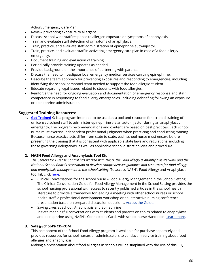Action/Emergency Care Plan.

- Review preventing exposure to allergens.
- Discuss school-wide staff response to allergen exposure or symptoms of anaphylaxis.
- Train and evaluate staff detection of symptoms of anaphylaxis.
- Train, practice, and evaluate staff administration of epinephrine auto-injector.
- Train, practice, and evaluate staff in activating emergency care plan in case of a food allergy emergency.
- Document training and evaluation of training.
- Periodically provide training updates as needed.
- Provide background on the importance of partnering with parents.
- Discuss the need to investigate local emergency medical services carrying epinephrine.
- Describe the team approach for preventing exposures and responding to emergencies, including identifying the school personnel team needed to support the food allergic student.
- Educate regarding legal issues related to students with food allergies.
- Reinforce the need for ongoing evaluation and documentation of emergency response and staff competence in responding to food allergy emergencies, including debriefing following an exposure or epinephrine administration.

#### **Suggested Training Resources:**

**1. [Get Trained](https://www.nasn.org/nasn/programs/skills-training/gettrained) ©** is a program intended to be used as a tool and resource for scripted training of unlicensed school staff to administer epinephrine via an auto-injector during an anaphylactic emergency. The program recommendations and content are based on best practices. Each school nurse must exercise independent professional judgment when practicing and conducting training. Because nurse practice acts differ from state to state, each school nurse must ensure before presenting the training that it is consistent with applicable state laws and regulations, including those governing delegations, as well as applicable school district policies and procedure.

#### **2. NASN Food Allergy and Anaphylaxis Tool Kit**

*The Centers for Disease Control has worked with NASN, the Food Allergy & Anaphylaxis Network and the National School Boards Association to develop comprehensive guidance and resources for food allergy and anaphylaxis management in the school setting.* To access NASN's Food Allergy and Anaphylaxis tool kit, click [here.](http://www.nasn.org/ToolsResources/FoodAllergyandAnaphylaxis)

- Clinical Conversations for the school nurse Food Allergy Management in the School Setting. The Clinical Conversation Guide for Food Allergy Management in the School Setting provides the school nursing professional with access to recently published articles in the school health literature to provide a framework for leading a meeting with other school nurses or school health staff, a professional development workshop or an interactive nursing conference presentation based on prepared discussion questions. [Access the Guide.](https://www.nasn.org/ToolsResources/FoodAllergyandAnaphylaxis/ClinicalConversationsfortheSchoolNurse)
- Saving Lives at School: Anaphylaxis and Epinephrine Initiate meaningful conversations with students and parents on topics related to anaphylaxis and epinephrine using NASN's Connections Cards with school nurse Handbook[. Learn more.](https://www.nasn.org/ToolsResources/FoodAllergyandAnaphylaxis/SavingLivesatSchoolAnaphylaxisandEpinephrine)

#### **3. Safe@School® CD-ROM**

This component of the School Food Allergy program is available for purchase separately and provides resources for school nurses or administrators to conduct in-service training about food allergies and anaphylaxis.

Making a presentation about food allergies in schools will be simplified with the use of this CD,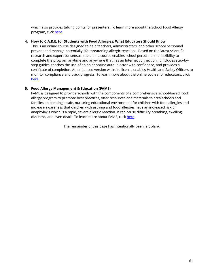which also provides talking points for presenters. To learn more about the School Food Allergy program, click [here.](http://store.foodallergy.org/ProductDetails.asp?ProductCode=SAS)

#### **4. How to C.A.R.E. for Students with Food Allergies: What Educators Should Know**

This is an online course designed to help teachers, administrators, and other school personnel prevent and manage potentially life-threatening allergic reactions. Based on the latest scientific research and expert consensus, the online course enables school personnel the flexibility to complete the program anytime and anywhere that has an Internet connection. It includes step-bystep guides, teaches the use of an epinephrine auto-injector with confidence, and provides a certificate of completion. An enhanced version with site license enables Health and Safety Officers to monitor compliance and track progress. To learn more about the online course for educators, click [here.](https://www.allergyready.com/product/)

#### **5. Food Allergy Management & Education (FAME)**

FAME is designed to provide schools with the components of a comprehensive school-based food allergy program to promote best practices, offer resources and materials to area schools and families on creating a safe, nurturing educational environment for children with food allergies and increase awareness that children with asthma and food allergies have an increased risk of anaphylaxis which is a rapid, severe allergic reaction. It can cause difficulty breathing, swelling, dizziness, and even death. To learn more about FAME, click [here.](http://www.stlouischildrens.org/health-resources/advocacy-outreach/food-allergy-management-and-education)

The remainder of this page has intentionally been left blank.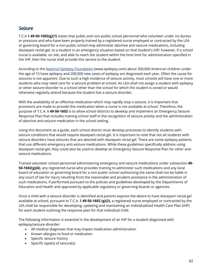# *Seizure*

T.C.A § **49-50-1602(g)(1)** states that public and non-public school personnel who volunteer under no duress or pressure and who have been properly trained by a registered nurse employed or contracted by the LEA or governing board for a non-public school may administer abortive anti-seizure medications, including diazepam rectal gel, to a student in an emergency situation based on that student's IHP; however, if a school nurse is available, on site, and able to reach the student within the time limit for administration specified in the IHP, then the nurse shall provide this service to the student.

According to the [National Epilepsy Foundation](http://www.epilepsy.com/) [\(](http://www.epilepsy.com/)www.epilepsy.com) about 300,000 American children under the age of 15 have epilepsy and 200,000 new cases of epilepsy are diagnosed each year. Often the cause for seizures is not apparent. Due to such a high incidence of seizure activity, most schools will have one or more students who may need care for a seizure problem at school. An LEA shall not assign a student with epilepsy or other seizure disorder to a school other than the school for which the student is zoned or would otherwise regularly attend because the student has a seizure disorder.

With the availability of an effective medication which may rapidly stop a seizure, it is important that provisions are made to provide this medication when a nurse is not available at school. Therefore, the purpose of T.C.A. § **49-50-1602** is to allow school districts to develop and implement an Emergency Seizure Response Plan that includes training school staff in the recognition of seizure activity and the administration of abortive anti-seizure medication in the school setting.

Using this document as a guide, each school district must develop processes to identify students with seizure conditions that would require diazepam rectal gel. It is important to note that not all students with seizure disorders have seizures that are aborted with diazepam rectal gel. There are some epilepsy patients that use different emergency anti-seizure medications. While these guidelines specifically address using diazepam rectal gel, they could also be used to develop an Emergency Seizure Response Plan for other antiseizure medications.

Trained volunteer school personnel administering emergency anti-seizure medications under subsection **49- 50-1602(g)(6)**, any registered nurse who provides training to administer such medications and any local board of education or governing board for a non-public school authorizing the same shall not be liable in any court of law for injury resulting from the reasonable and prudent assistance in the administration of such medications, if performed pursuant to the policies and guidelines developed by the Departments of Education and Health and approved by applicable regulatory or governing boards or agencies.

Once a child with a seizure disorder is identified and parents express the desire to have diazepam rectal gel available at school, pursuant to T.C.A. § **49-50-1602 (g)(2)**, a registered nurse employed or contracted by the LEA shall be responsible for developing, updating and maintaining an Individualized Health Care Plan (IHP) for each student outlining the response plan for that individual child.

The following information is essential in the development of an IHP for a student diagnosed with epilepsy/seizure disorder:

- All medical diagnoses that may impact medication administration
- Known allergies to food or medication
- Specific seizure history
- Specific type(s) of seizure(s)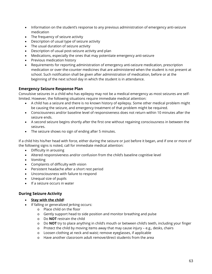- Information on the student's response to any previous administration of emergency anti-seizure medication
- The frequency of seizure activity
- Description of usual type of seizure activity
- The usual duration of seizure activity
- Description of usual post-seizure activity and plan
- Medications, especially the ones that may potentiate emergency anti-seizure
- Previous medication history
- Requirements for reporting administration of emergency anti-seizure medication, prescription medication or over-the-counter medicines that are administered when the student is not present at school. Such notification shall be given after administration of medication, before or at the beginning of the next school day in which the student is in attendance.

#### **Emergency Seizure Response Plan**

Convulsive seizures in a child who has epilepsy may not be a medical emergency as most seizures are selflimited. However, the following situations require immediate medical attention:

- A child has a seizure and there is no known history of epilepsy. Some other medical problem might be causing the seizure, and emergency treatment of that problem might be required.
- Consciousness and/or baseline level of responsiveness does not return within 10 minutes after the seizure ends.
- A second seizure begins shortly after the first one without regaining consciousness in between the seizures.
- The seizure shows no sign of ending after 5 minutes.

If a child hits his/her head with force, either during the seizure or just before it began, and if one or more of the following signs is noted, call for immediate medical attention:

- Difficulty in arousing
- Altered responsiveness and/or confusion from the child's baseline cognitive level
- Vomiting
- Complaints of difficulty with vision
- Persistent headache after a short rest period
- Unconsciousness with failure to respond
- Unequal size of pupils
- If a seizure occurs in water

#### **During Seizure Activity**

#### • **Stay with the child!**

- If falling or generalized jerking occurs:
	- o Place child on the floor
	- o Gently support head to side position and monitor breathing and pulse
	- o Do **NOT** restrain the child
	- o Do **NOT** try to place anything in child's mouth or between child's teeth, including your finger
	- o Protect the child by moving items away that may cause injury e.g., desks, chairs
	- o Loosen clothing at neck and waist; remove eyeglasses, if applicable
	- o Have another classroom adult remove/direct students from the area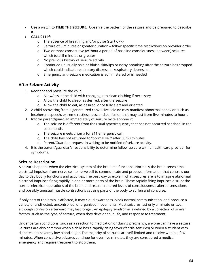- Use a watch to **TIME THE SEIZURE.** Observe the pattern of the seizure and be prepared to describe it.
- **CALL 911 if:**
	- o The absence of breathing and/or pulse (start CPR)
	- o Seizure of 5 minutes or greater duration follow specific time restrictions on provider order
	- o Two or more consecutive (without a period of baseline consciousness between) seizures which total 5 minutes or greater
	- o No previous history of seizure activity
	- o Continued unusually pale or bluish skin/lips or noisy breathing after the seizure has stopped which could indicate respiratory distress or respiratory depression
	- o Emergency anti-seizure medication is administered or is needed

### **After Seizure Activity**

- 1. Reorient and reassure the child
	- a. Allow/assist the child with changing into clean clothing if necessary
	- b. Allow the child to sleep, as desired, after the seizure
	- c. Allow the child to eat, as desired, once fully alert and oriented
- 2. A child recovering from a generalized convulsive seizure may manifest abnormal behavior such as incoherent speech, extreme restlessness, and confusion that may last from five minutes to hours.
- 3. Inform parent/guardian immediately of seizure by telephone if:
	- a. The seizure is different from the usual type/frequency that has not occurred at school in the past month.
	- b. The seizure meets criteria for 911 emergency call.
	- c. The child has not returned to "normal self" after 30/60 minutes.
	- d. Parent/Guardian request in writing to be notified of seizure activity.
- 4. It is the parent/guardian's responsibility to determine follow-up care with a health care provider for symptoms.

## **Seizure Description**

A seizure happens when the electrical system of the brain malfunctions. Normally the brain sends small electrical impulses from nerve cell to nerve cell to communicate and process information that controls our day to day bodily functions and activities. The best way to explain what seizures are is to imagine abnormal electrical impulses firing rapidly in one or more parts of the brain. These rapidly firing impulses disrupt the normal electrical operations of the brain and result in altered levels of consciousness, altered sensations, and possibly unusual muscle contractions causing parts of the body to stiffen and convulse.

If only part of the brain is affected, it may cloud awareness, block normal communication, and produce a variety of undirected, uncontrolled, unorganized movements. Most seizures last only a minute or two, although confusion afterward may last longer. An epilepsy syndrome is defined by a collection of similar factors, such as the type of seizure, when they developed in life, and response to treatment.

Under certain conditions, such as a reaction to medication or during pregnancy, anyone can have a seizure. Seizures are also common when a child has a rapidly rising fever (febrile seizures) or when a student with diabetes has severely low blood sugar. The majority of seizures are self-limited and resolve within a few minutes. When convulsive seizures continue for over five minutes, they are considered a medical emergency and require treatment to stop them.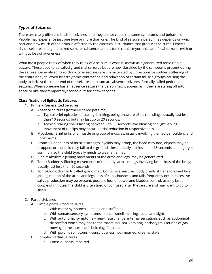## **Types of Seizures**

There are many different kinds of seizures, and they do not cause the same symptoms and behaviors. People may experience just one type or more than one. The kind of seizure a person has depends on which part and how much of the brain is affected by the electrical disturbance that produces seizures. Experts divide seizures into generalized seizures (absence, atonic, tonic-clonic, myoclonic) and focal seizures (with or without loss of awareness).

What most people think of when they think of a seizure is what is known as a generalized tonic-clonic seizure. These used to be called grand mal seizures but are now classified by the symptoms present during the seizure. Generalized tonic-clonic type seizures are characterized by unresponsive sudden stiffening of the entire body followed by arrhythmic contraction and relaxation of certain muscle groups causing the body to jerk. At the other end of the seizure spectrum are absence seizures, formally called petit mal seizures. When someone has an absence seizure the person might appear as if they are staring off into space or like they temporarily "zoned out" for a few seconds.

#### **Classification of Epileptic Seizures**

- 1. Primary Generalized Seizures
	- A. Absence seizures (formerly called petit mal):
		- a. Typical brief episodes of staring, blinking, being unaware of surroundings; usually last less than 10 seconds but may last up to 20 seconds.
		- b. Atypical staring spells lasting between 5 to 30 seconds, eye blinking or slight jerking movement of the lips may occur; partial reduction in responsiveness.
	- B. Myoclonic: Brief jerks of a muscle or group of muscles; usually involving the neck, shoulders, and upper arms.
	- C. Atonic: Sudden loss of muscle strength, eyelids may droop, the head may nod, objects may be dropped, or the child may fall to the ground; these usually last less than 15 seconds, and injury is common, so the child typically needs to wear a helmet.
	- D. Clonic: Rhythmic jerking movements of the arms and legs, may be generalized
	- E. Tonic: Sudden stiffening movements of the body, arms, or legs involving both sides of the body; usually last less than 20 seconds.
	- F. Tonic-Clonic (formerly called grand mal): Convulsive seizures; body briefly stiffens followed by a jerking motion of the arms and legs; loss of consciousness and falls frequently occur, excessive saliva production may be present, possible loss of bowel and bladder control; usually last a couple of minutes; the child is often tired or confused after the seizure and may want to go to sleep.

#### 2. Partial Seizures

- A. Simple partial (focal seizures)
	- a. With motor symptoms jerking and stiffening
	- b. With somatosensory symptoms touch, smell, hearing, taste, and sight
	- c. With autonomic symptoms heart rate change, internal sensations such as abdominal discomfort which may rise to the throat, nausea, vomiting, borborygmi (sounds of gas moving in the intestines), belching, flatulence
	- d. With psychic symptoms consciousness not impaired; dreamy state
- B. Complex Partial Seizures
	- a. Consciousness impaired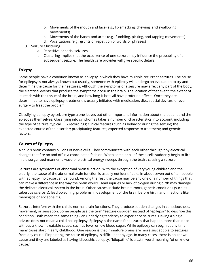- b. Movements of the mouth and face (e.g., lip smacking, chewing, and swallowing movements)
- c. Movements of the hands and arms (e.g., fumbling, picking, and tapping movements)
- d. Vocalizations (e.g., grunts or repetition of words or phrases)
- 3. Seizure Clustering
	- a. Repetitive or serial seizures
	- b. Clustering implies that the occurrence of one seizure may influence the probability of a subsequent seizure. The health care provider will give specific details.

## **Epilepsy**

Some people have a condition known as epilepsy in which they have multiple recurrent seizures. The cause for epilepsy is not always known but usually, someone with epilepsy will undergo an evaluation to try and determine the cause for their seizures. Although the symptoms of a seizure may affect any part of the body, the electrical events that produce the symptoms occur in the brain. The location of that event, the extent of its reach with the tissue of the brain, and how long it lasts all have profound effects. Once they are determined to have epilepsy, treatment is usually initiated with medication, diet, special devices, or even surgery to treat the problem.

Classifying epilepsy by seizure type alone leaves out other important information about the patient and the episodes themselves. Classifying into syndromes takes a number of characteristics into account, including the type of seizure; typical EEG recordings; clinical features such as behavior during the seizure; the expected course of the disorder; precipitating features; expected response to treatment; and genetic factors.

## **Causes of Epilepsy**

A child's brain contains billions of nerve cells. They communicate with each other through tiny electrical charges that fire on and off in a coordinated fashion. When some or all of these cells suddenly begin to fire in a disorganized manner, a wave of electrical energy sweeps through the brain, causing a seizure.

Seizures are symptoms of abnormal brain function. With the exception of very young children and the elderly, the cause of the abnormal brain function is usually not identifiable. In about seven out of ten people with epilepsy, no cause can be found. Among the rest, the cause may be any one of a number of things that can make a difference in the way the brain works. Head injuries or lack of oxygen during birth may damage the delicate electrical system in the brain. Other causes include brain tumors, genetic conditions (such as tuberous sclerosis), lead poisoning, problems in development of the brain before birth, and infections like meningitis or encephalitis.

Seizures interfere with the child's normal brain functions. They produce sudden changes in consciousness, movement, or sensation. Some people use the term "seizure disorder" instead of "epilepsy" to describe this condition. Both mean the same thing - an underlying tendency to experience seizures. Having a single seizure does not mean a child has epilepsy. Epilepsy is the name for seizures that happen more than once without a known treatable cause, such as fever or low blood sugar. While epilepsy can begin at any time, many cases start in early childhood. One reason is that immature brains are more susceptible to seizures from any cause. Pinpointing the cause of epilepsy is difficult at any age. In many cases, there is no known cause and they are labeled as having idiopathic epilepsy. "Idiopathic" is a Latin word meaning "of unknown cause."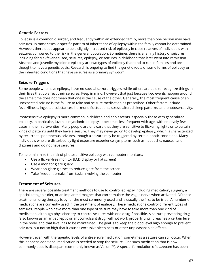#### **Genetic Factors**

Epilepsy is a common disorder, and frequently within an extended family, more than one person may have seizures. In most cases, a specific pattern of inheritance of epilepsy within the family cannot be determined. However, there does appear to be a slightly increased risk of epilepsy in close relatives of individuals with seizures compared to the risk in the general population. Sometimes there is a family history of seizures, including febrile (fever-caused) seizures, epilepsy, or seizures in childhood that later went into remission. Absence and juvenile myoclonic epilepsy are two types of epilepsy that tend to run in families and are thought to have a genetic basis. Research is ongoing to find the genetic roots of some forms of epilepsy or the inherited conditions that have seizures as a primary symptom.

#### **Seizure Triggers**

Some people who have epilepsy have no special seizure triggers, while others are able to recognize things in their lives that do affect their seizures. Keep in mind, however, that just because two events happen around the same time does not mean that one is the cause of the other. Generally, the most frequent cause of an unexpected seizure is the failure to take anti-seizure medication as prescribed. Other factors include fever/illness, ingested substances, hormone fluctuations, stress, altered sleep patterns, and photosensitivity.

Photosensitive epilepsy is more common in children and adolescents, especially those with generalized epilepsy, in particular, juvenile myoclonic epilepsy. It becomes less frequent with age, with relatively few cases in the mid-twenties. Many people are unaware that they are sensitive to flickering lights or to certain kinds of patterns until they have a seizure. They may never go on to develop epilepsy, which is characterized by recurrent spontaneous seizures, though a seizure may be triggered by certain photic conditions. Many individuals who are disturbed by light exposure experience symptoms such as headache, nausea, and dizziness and do not have seizures.

To help minimize the risk of photosensitive epilepsy with computer monitors:

- Use a flicker-free monitor (LCD display or flat screen)
- Use a monitor glare guard
- Wear non-glare glasses to reduce glare from the screen
- Take frequent breaks from tasks involving the computer

#### **Treatment of Seizures**

There are several possible treatment methods to use to control epilepsy including medication, surgery, a special ketogenic diet, or an implanted magnet that can stimulate the vagus nerve when activated. Of these treatments, drug therapy is by far the most commonly used and is usually the first to be tried. A number of medications are currently used in the treatment of epilepsy. These medications control different types of seizures. People who have more than one type of seizure may have to take more than one kind of medication, although physicians try to control seizures with one drug if possible. A seizure preventing drug (also known as an antiepileptic or anticonvulsant drug) will not work properly until it reaches a certain level in the body, and that level has to be maintained. The goal is to keep the blood level high enough to prevent seizures, but not so high that it causes excessive sleepiness or other unpleasant side effects.

However, even with therapeutic levels of anti-seizure medication, sometimes a seizure can still occur. When this happens additional medication is needed to stop the seizure. One such medication that is now commonly used is diazepam (commonly known as Valium™). A special formulation of diazepam has been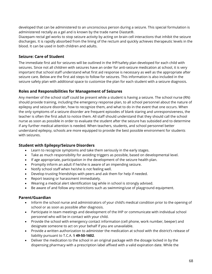developed that can be administered to an unconscious person during a seizure. This special formulation is administered rectally as a gel and is known by the trade name Diastat®.

Diazepam rectal gel works to stop seizure activity by acting on brain cell interactions that inhibit the seizure discharges. It is rapidly absorbed from the lining of the rectum and quickly achieves therapeutic levels in the blood. It can be used in both children and adults.

#### **Seizure: Care of Student**

The immediate first aid for seizures will be outlined in the IHP/safety plan developed for each child with seizures. Since not all children with seizures have an order for anti-seizure medication at school, it is very important that school staff understand what first aid response is necessary as well as the appropriate after seizure care. Below are the first aid steps to follow for seizures. This information is also included in the seizure safety plan with additional space to customize the plan for each student with a seizure diagnosis.

#### **Roles and Responsibilities for Management of Seizures**

Any member of the school staff could be present while a student is having a seizure. The school nurse (RN) should provide training, including the emergency response plan, to all school personnel about the nature of epilepsy and seizure disorder, how to recognize them, and what to do in the event that one occurs. When the only symptoms of a seizure disorder are frequent episodes of blank staring and unresponsiveness, the teacher is often the first adult to notice them. All staff should understand that they should call the school nurse as soon as possible in order to evaluate the student after the seizure has subsided and to determine if any further medical attention is needed. When teachers, students, and school personnel better understand epilepsy, schools are more equipped to provide the best possible environment for students with seizures.

#### **Student with Epilepsy/Seizure Disorders**

- Learn to recognize symptoms and take them seriously in the early stages.
- Take as much responsibility for avoiding triggers as possible, based on developmental level.
- If age appropriate, participation in the development of the seizure health plan.
- Promptly inform an adult if he/she is aware of an impending seizure.
- Notify school staff when he/she is not feeling well.
- Develop trusting friendships with peers and ask them for help if needed.
- Report teasing or harassment immediately.
- Wearing a medical alert identification tag while in school is strongly advised.
- Be aware of and follow any restrictions such as swimming/use of playground equipment.

#### **Parent/Guardian**

- Inform the school nurse and administrators of your child's medical condition prior to the opening of school or as soon as possible after diagnosis.
- Participate in team meetings and development of the IHP or communicate with individual school personnel who will be in contact with your child.
- Provide the school with emergency contact information (cell phone, work number, beeper) and designate someone to act on your behalf if you are unavailable.
- Provide a written authorization to administer the medication at school with the district's release of liability pursuant to T.C.A. § **49-50-1602**.
- Deliver the medication to the school in an original package with the dosage locked in by the dispensing pharmacy with a prescription label affixed with a valid expiration date. While the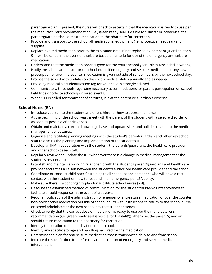parent/guardian is present, the nurse will check to ascertain that the medication is ready to use per the manufacturer's recommendation (i.e., green ready seal is visible for Diastat®); otherwise, the parent/guardian should return medication to the pharmacy for correction.

- Provide and transport to the school all medications, equipment (i.e., protective headgear) and supplies.
- Replace expired medication prior to the expiration date. If not replaced by parent or guardian, then 911 will be called in the event of a seizure based on criteria for use of the emergency anti-seizure medication.
- Understand that the medication order is good for the entire school year unless rescinded in writing.
- Notify the school administrator or school nurse if emergency anti-seizure medication or any new prescription or over-the-counter medication is given outside of school hours by the next school day.
- Provide the school with updates on the child's medical status annually and as needed.
- Providing medical alert identification tag for your child is strongly advised.
- Communicate with schools regarding necessary accommodations for parent participation on school field trips or off-site school-sponsored events.
- When 911 is called for treatment of seizures, it is at the parent or guardian's expense.

#### **School Nurse (RN)**

- Introduce yourself to the student and orient him/her how to access the nurse.
- At the beginning of the school year, meet with the parent of the student with a seizure disorder or as soon as possible after diagnosis.
- Obtain and maintain a current knowledge base and update skills and abilities related to the medical management of seizures.
- Organize and facilitate planning meetings with the student's parent/guardian and other key school staff to discuss the planning and implementation of the student's IHP.
- Develop an IHP in cooperation with the student, the parents/guardians, the health care provider, and other school-based staff.
- Regularly review and update the IHP whenever there is a change in medical management or the student's response to care.
- Establish and maintain a working relationship with the student's parent/guardians and health care provider and act as a liaison between the student's authorized health care provider and the school.
- Coordinate or conduct child-specific training to all school-based personnel who will have direct contact with the student on how to respond in an emergency per LEA policy.
- Make sure there is a contingency plan for substitute school nurse (RN).
- Describe the established method of communication for the student/nurse/volunteer/witness to facilitate a rapid response in the event of a seizure.
- Require notification of the administration of emergency anti-seizure medication or over the counter non-prescription medication outside of school hours with instructions to return to the school nurse or school administrator the next school day that student attends.
- Check to verify that the correct dose of medication is ready to use per the manufacturer's recommendation (i.e., green ready seal is visible for Diastat®); otherwise, the parent/guardian should return medication to the pharmacy for correction.
- Identify the location of the medication in the school.
- Identify any specific storage and handling required for the medication.
- Determine the plan for anti-seizure medication that is transported daily to and from school.
- Indicate the specific time frame for the administration of emergency anti-seizure medication intervention.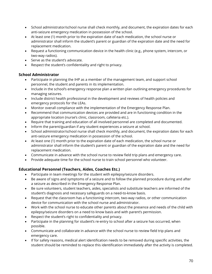- School administrator/school nurse shall check monthly, and document, the expiration dates for each anti-seizure emergency medication in possession of the school.
- At least one (1) month prior to the expiration date of each medication, the school nurse or administrator shall inform the student's parent or guardian of the expiration date and the need for replacement medication.
- Request a functioning communication device in the health clinic (e.g., phone system, intercom, or two-way radios).
- Serve as the student's advocate.
- Respect the student's confidentiality and right to privacy.

#### **School Administrator**

- Participate in planning the IHP as a member of the management team, and support school personnel, the student and parents in its implementation.
- Include in the school's emergency response plan a written plan outlining emergency procedures for managing seizures.
- Include district health professional in the development and reviews of health policies and emergency protocols for the LEAs.
- Monitor overall compliance with the implementation of the Emergency Response Plan.
- Recommend that communication devices are provided and are in functioning condition in the appropriate location (nurse's clinic, classroom, cafeteria etc.).
- Require that training and education of all involved personnel are completed and documented.
- Inform the parent/guardian if any student experiences a seizure at school.
- School administrator/school nurse shall check monthly, and document, the expiration dates for each anti-seizure emergency medication in possession of the school.
- At least one (1) month prior to the expiration date of each medication, the school nurse or administrator shall inform the student's parent or guardian of the expiration date and the need for replacement medication.
- Communicate in advance with the school nurse to review field trip plans and emergency care.
- Provide adequate time for the school nurse to train school personnel who volunteer.

## **Educational Personnel (Teachers, Aides, Coaches Etc.)**

- Participate in team meetings for the student with epilepsy/seizure disorders.
- Be aware of signs and symptoms of a seizure and to follow the planned procedure during and after a seizure as described in the Emergency Response Plan.
- Be sure volunteers, student teachers, aides, specialists and substitute teachers are informed of the student's diagnosis and necessary safeguards on a need-to-know basis.
- Request that the classroom has a functioning intercom, two-way radios, or other communication device for communication with the school nurse and administrator.
- Work with the school nurse to educate other parents about the presence and needs of the child with epilepsy/seizure disorders on a need to know basis and with parent's permission.
- Respect the student's right to confidentiality and privacy.
- Participate in the planning for student's re-entry to school after a seizure has occurred, when possible.
- Communicate and collaborate in advance with the school nurse to review field trip plans and emergency care.
- If for safety reasons, medical alert identification needs to be removed during specific activities, the student should be reminded to replace this identification immediately after the activity is completed.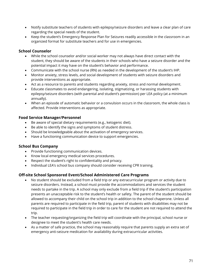- Notify substitute teachers of students with epilepsy/seizure disorders and leave a clear plan of care regarding the special needs of the student.
- Keep the student's Emergency Response Plan for Seizures readily accessible in the classroom in an organized format for substitute teachers and for use in emergencies.

#### **School Counselor**

- While the school counselor and/or social worker may not always have direct contact with the student, they should be aware of the students in their schools who have a seizure disorder and the potential impact it may have on the student's behavior and performance.
- Communicate with the school nurse (RN) as needed in the development of the student's IHP.
- Monitor anxiety, stress levels, and social development of students with seizure disorders and provide interventions as appropriate.
- Act as a resource to parents and students regarding anxiety, stress and normal development.
- Educate classmates to avoid endangering, isolating, stigmatizing, or harassing students with epilepsy/seizure disorders (with parental and student's permission) per LEA policy (at a minimum annually).
- When an episode of automatic behavior or a convulsion occurs in the classroom, the whole class is affected. Provide interventions as appropriate.

#### **Food Service Manager/Personnel**

- Be aware of special dietary requirements (e.g., ketogenic diet).
- Be able to identify the signs and symptoms of student distress.
- Should be knowledgeable about the activation of emergency services.
- Have a functioning communication device to support emergencies.

## **School Bus Company**

- Provide functioning communication devices.
- Know local emergency medical services procedures.
- Respect the student's right to confidentiality and privacy.
- Individual LEA's school bus company should consider receiving CPR training.

## **Off-site School Sponsored Event/School Administered Care Programs**

- No student should be excluded from a field trip or any extracurricular program or activity due to seizure disorders. Instead, a school must provide the accommodations and services the student needs to partake in the trip. A school may only exclude from a field trip if the student's participation presents an unacceptable risk to the student's health or safety. The parent of the student should be allowed to accompany their child on the school trip in addition to the school chaperone. Unless all parents are required to participate in the field trip, parent of students with disabilities may not be required to participate in the field trip in order to care for the student are not required to attend the trip.
- The teacher requesting/organizing the field trip will coordinate with the principal, school nurse or designee to meet the student's health care needs.
- As a matter of safe practice, the school may reasonably require that parents supply an extra set of emergency anti-seizure medication for availability during extracurricular activities.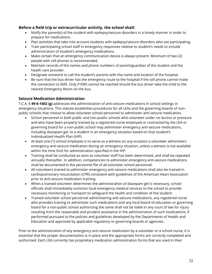# **Before a field trip or extracurricular activity, the school shall:**

- Notify the parent(s) of the student with epilepsy/seizure disorders in a timely manner in order to prepare for medications.
- Plan activities that take into account students with epilepsy/seizure disorders who are participating.
- Train participating school staff in emergency responses relative to student's needs to include administration of student's emergency medications.
- Make certain that an emergency communication device is always present. Minimum of two (2) people with cell phones is recommended.
- Maintain records of the names and phone numbers of parent/guardian of the student and the health care provider.
- Designate someone to call the student's parents with the name and location of the hospital.
- Be sure that the bus driver has the emergency route to the hospital if the cell phone cannot make the connection to EMS. Only if EMS cannot be reached should the bus driver take the child to the nearest Emergency Room on the bus.

# **Seizure Medication Administration**

T.C.A. § **49-6-1602 (g)** addresses the administration of anti-seizure medications in school settings in emergency situations. This statute establishes procedures for all LEAs and the governing boards of nonpublic schools that choose to allow volunteer school personnel to administer anti-seizure medication.

- School personnel in both public and non-public schools who volunteer under no duress or pressure and who have been properly trained by a registered nurse employed or contracted by the LEA or governing board for a non-public school may administer emergency anti-seizure medications, including diazepam gel, to a student in an emergency situation based on that student's Individualized Health Plan (IHP).
- At least one (1) school employee is to serve as a witness on any occasion a volunteer administers emergency anti-seizure medication during an emergency situation, unless a witness is not available within the time limit for administration specified in the IHP.
- Training shall be conducted as soon as volunteer staff has been determined, and shall be repeated annually thereafter. In addition, competencies to administer emergency anti-seizure medications shall be documented in the personnel file of all volunteer school personnel.
- All volunteers trained to administer emergency anti-seizure medications shall also be trained in cardiopulmonary resuscitation (CPR) consistent with guidelines of the American Heart Association prior to anti-seizure medication training.
- When a trained volunteer determines the administration of diazepam gel is necessary, school officials shall immediately summon local emergency medical services to the school to provide necessary monitoring or transport to safeguard the health and condition of the student.
- Trained volunteer school personnel administering anti-seizure medications, any registered nurse who provides training to administer such medications and any local board of education or governing board for a non-public school authorizing the same shall not be liable in any court of law for injury resulting from the reasonable and prudent assistance in the administration of such medications, if performed pursuant to the policies and guidelines developed by the Departments of Health and Education and approved by applicable regulatory or governing boards or agencies.

Prior to the administration of any emergency anti-seizure medication by a volunteer or a school nurse, it is essential that the proper documentation is in place and the appropriate forms are correctly completed and authorized. Each LEA currently has proprietary medication administration forms that are used in their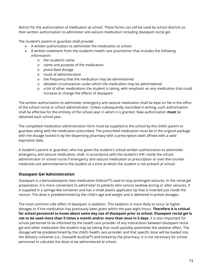district for the authorization of medication at school. These forms can still be used by school districts as their written authorization to administer anti-seizure medication including diazepam rectal gel.

The student's parent or guardian shall provide:

- A written authorization to administer the medication at school.
- A written statement from the student's health care practitioner that includes the following information:
	- o the student's name
	- o name and purpose of the medication
	- o prescribed dosage
	- o route of administration
	- o the frequency that the medication may be administered
	- o detailed circumstances under which the medication may be administered
	- o a list of other medications the student is taking, with emphasis on any medication that could increase or change the effects of diazepam

The written authorization to administer emergency anti-seizure medication shall be kept on file in the office of the school nurse or school administrator. Unless subsequently rescinded in writing, such authorization shall be effective for the entirety of the school year in which it is granted. New authorization **must** be obtained each school year.

The completed medication administration form must be supplied to the school by the child's parent or guardian along with the medication prescribed. The prescribed medication must be in the original package with the dosage locked in by the dispensing pharmacy with a prescription label affixed with a valid expiration date.

A student's parent or guardian, who has given the student's school written authorization to administer emergency anti-seizure medication, shall, in accordance with the student's IHP, notify the school administrator or school nurse if emergency anti-seizure medication or prescription or over-the-counter medicines are administered to the student at a time at which the student is not present at school.

# **Diazepam Gel Administration**

Diazepam is a benzodiazepine class medication (Valium™) used to stop prolonged seizures. In the rectal gel preparation, it is more convenient to administer to patients who cannot swallow during or after seizures. It is supplied in a syringe-like container and has a small plastic applicator tip that is inserted just inside the rectum. The dose is predetermined by the child's age and weight and is delivered in preset dosages.

The most common side effect of diazepam is sedation. This sedation is more likely to occur at higher dosages or if the medication has previously been given within the past eight hours. **Therefore it is critical for school personnel to know about same day use of diazepam prior to school. Diazepam rectal gel is not to be used more than 5 times a month and/or more than once in 5 days.** It is also important for school personnel to be informed by the health care provider of any interactions between diazepam rectal gel and other medication the student may be taking that could possibly potentiate the sedative effect. The dosage will be predetermined by the child's health care provider and that specific dose will be loaded into the delivery container (i.e., Diastat® AcuDial™) and locked by the pharmacy. It is not necessary for school personnel to calculate the dose to be administered at school.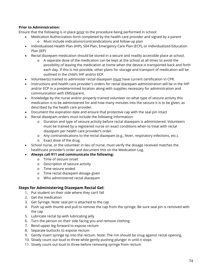# **Prior to Administration:**

Ensure that the following is in place prior to the procedure being performed in school:

- Medication Authorization form completed by the health care provider and signed by a parent
	- o Must include indications/contraindications and follow-up plan
- Individualized Health Plan (IHP), 504 Plan, Emergency Care Plan (ECP), or Individualized Education Plan (IEP)
- Rectal diazepam medication should be stored in a secure and readily accessible place at school.
	- o A separate dose of the medication can be kept at the school at all times to avoid the possibility of leaving the medication at home when the device is transported back and forth each day. If this is not possible, other plans for storage and transport of medication will be outlined in the child's IHP and/or ECP.
- Volunteer(s) trained to administer rectal diazepam must have current certification in CPR.
- Instructions and health care provider's orders for rectal diazepam administration will be in the IHP and/or ECP in a predetermined location along with supplies necessary for administration and communication with EMS/parent.
- Knowledge by the nurse and/or properly trained volunteer on what type of seizure activity this medication is to be administered for and how many minutes into the seizure it is to be given, as described by the health care provider.
- Document the expiration date and ensure that protective cap with the seal pin intact
- Rectal diazepam orders must include the following information:
	- o Duration and type of seizure activity before rectal diazepam is administered. Volunteers must be trained by a registered nurse on exact conditions when to treat with rectal diazepam per health care provider's order.
	- o Any contraindications to the rectal diazepam (e.g., fever, respiratory infections, etc.).
	- o Exact dose of the drug.
- School nurse, or the volunteer in lieu of nurse, must verify the dosage received matches the healthcare provider's order and document this on the Medication Log.
- **Always call 911 and communicate the following:**
	- o Time of seizure onset
	- o Description of seizure activity
	- o Time seizure ended
	- o Time rectal diazepam dosage given
	- o Who administered rectal diazepam

# **Steps for Administering Diazepam Rectal Gel:**

- 1. Put student on their side where they can't fall
- 2. Get the medication
- 3. Get Syringe. Note: seal pin is attached to the cap
- 4. Push up with thumb and pull to remove the cap from the syringe. Be sure seal pin is removed with the cap
- 5. Lubricate rectal tip with lubricating jelly
- 6. Turn the person on their side facing you and remove clothing
- 7. Bend upper leg forward to expose rectum
- 8. Separate buttocks to expose rectum
- 9. Gently insert syringe tip into the rectum. Note: The rim should be snug against rectal opening.
- 10. Slowly count out loud to three while gently pushing plunger in until it stops
- 11. Slowly count out loud to three before removing syringe from rectum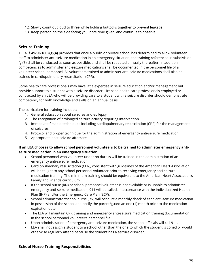- 12. Slowly count out loud to three while holding buttocks together to prevent leakage
- 13. Keep person on the side facing you, note time given, and continue to observe

# **Seizure Training**

T.C.A. § **49-50-1602(g)(4)** provides that once a public or private school has determined to allow volunteer staff to administer anti-seizure medication in an emergency situation, the training referenced in subdivision (g)(3) shall be conducted as soon as possible, and shall be repeated annually thereafter. In addition, competencies to administer anti-seizure medications shall be documented in the personnel file of all volunteer school personnel. All volunteers trained to administer anti-seizure medications shall also be trained in cardiopulmonary resuscitation (CPR).

Some health care professionals may have little expertise in seizure education and/or management but provide support to a student with a seizure disorder. Licensed health care professionals employed or contracted by an LEA who will be providing care to a student with a seizure disorder should demonstrate competency for both knowledge and skills on an annual basis.

The curriculum for training includes:

- 1. General education about seizures and epilepsy
- 2. The recognition of prolonged seizure activity requiring intervention
- 3. Immediate first aid techniques including cardiopulmonary resuscitation (CPR) for the management of seizures
- 4. Protocol and proper technique for the administration of emergency anti-seizure medication
- 5. Appropriate post-seizure aftercare

# **If an LEA chooses to allow school personnel volunteers to be trained to administer emergency antiseizure medication in an emergency situation:**

- School personnel who volunteer under no duress will be trained in the administration of an emergency anti-seizure medication.
- Cardiopulmonary resuscitation (CPR), consistent with guidelines of the American Heart Association, will be taught to any school personnel volunteer prior to receiving emergency anti-seizure medication training. The minimum training should be equivalent to the American Heart Association's Family and Friends curriculum.
- If the school nurse (RN) or school personnel volunteer is not available or is unable to administer emergency anti-seizure medication, 911 will be called, in accordance with the Individualized Health Plan (IHP) and/or the Emergency Care Plan (ECP).
- School administrator/school nurse (RN) will conduct a monthly check of each anti-seizure medication in possession of the school and notify the parent/guardian one (1) month prior to the medication expiration date.
- The LEA will maintain CPR training and emergency anti-seizure medication training documentation in the school personnel volunteer's personnel file.
- Upon administration of emergency anti-seizure medication, the school officials will call 911.
- LEA shall not assign a student to a school other than the one to which the student is zoned or would otherwise regularly attend because the student has a seizure disorder.

# **School Nurse Training Responsibilities**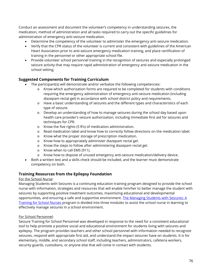Conduct an assessment and document the volunteer's competency in understanding seizures, the medication, method of administration and all tasks required to carry out the specific guidelines for administration of emergency anti-seizure medication.

- Determine the competency of the volunteer to administer the emergency anti-seizure medication.
- Verify that the CPR status of the volunteer is current and consistent with guidelines of the American Heart Association prior to anti-seizure emergency medication training, and place certification of training in the personnel or other appropriate school file.
- Provide volunteer school personnel training in the recognition of seizures and especially prolonged seizure activity that may require rapid administration of emergency anti-seizure medication in the school setting.

# **Suggested Components for Training Curriculum**

- The participant(s) will demonstrate and/or verbalize the following competencies:
	- o Know which authorization forms are required to be completed for students with conditions requiring the emergency administration of emergency anti-seizure medication (including diazepam rectal gel) in accordance with school district policy and requirements.
	- o Have a basic understanding of seizures and the different types and characteristics of each type of seizure.
	- o Develop an understanding of how to manage seizures during the school day based upon health care provider's seizure authorization, including immediate first aid for seizures and techniques for CPR.
	- o Know the five rights (5 R's) of medication administration.
	- o Read medication label and know how to correctly follow directions on the medication label.
	- o Know what the proper storage of prescription medication.
	- o Know how to appropriately administer diazepam rectal gel.
	- o Know the steps to follow after administering diazepam rectal gel.
	- o Know when to call EMS (911).
	- o Know how to dispose of unused emergency anti-seizure medication/delivery device.
- Both a written test and a skills check should be included, and the learner must demonstrate competency on both.

# **Training Resources from the Epilepsy Foundation**

# For the School Nurse:

Managing Students with Seizures is a continuing education training program designed to provide the school nurse with information, strategies and resources that will enable him/her to better manage the student with seizures by supporting positive treatment outcomes, maximizing educational and developmental opportunities, and ensuring a safe and supportive environment. The Managing Students with Seizures: A [Training for School Nurses](http://www.epilepsy.com/node/2000921) program is divided into three modules to assist the school nurse in learning to effectively manage seizures in a school environment.

# For School Personnel:

Seizure Training for School Personnel was developed in response to the need for a consistent educational tool to help promote a positive social and educational environment for students living with seizures and epilepsy. The program provides teachers and other school personnel with information needed to recognize seizures, respond with appropriate first aid, and understand the impact seizures have on students. It is for elementary, middle, and secondary school staff, including teachers, administrators, cafeteria workers, security guards, custodians, or anyone else that will come in contact with students.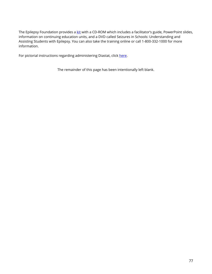The Epilepsy Foundation provides a [kit](http://www.epilepsy.com/get-help/services-and-support/training-programs/seizure-%20training-school-personnel) with a CD-ROM which includes a facilitator's guide, PowerPoint slides, information on continuing education units, and a DVD called Seizures in Schools: Understanding and Assisting Students with Epilepsy. You can also take the training online or call 1-800-332-1000 for more information.

For pictorial instructions regarding administering Diastat, click [here.](http://www.tsbvi.edu/images/documents/Health_Center/child_diastat_instructions.pdf)

The remainder of this page has been intentionally left blank.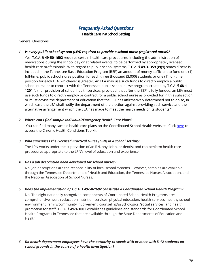# *Frequently Asked Questions*

**Health Care in a School Setting**

General Questions

### *1. Is every public school system (LEA) required to provide a school nurse (registered nurse)?*

Yes. T.C.A. § **49-50-1602** requires certain health care procedures, including the administration of medications during the school day or at related events, to be performed by appropriately licensed health care professionals. With regard to public school systems, T.C.A. § **49-3- 359 (c)(1)** states "There is included in the Tennessee Basic Education Program (BEP) an amount of money sufficient to fund one (1) full-time, public school nurse position for each three thousand (3,000) students or one (1) full-time position for each LEA, whichever is greater. An LEA may use such funds to directly employ a public school nurse or to contract with the Tennessee public school nurse program, created by T.C.A. § **68-1- 1201** (a), for provision of school health services; provided, that after the BEP is fully funded, an LEA must use such funds to directly employ or contract for a public school nurse as provided for in this subsection or must advise the department of education that the LEA has affirmatively determined not to do so, in which case the LEA shall notify the department of the election against providing such service and the alternative arrangement which the LEA has made to meet the health needs of its students."

#### *2. Where can I find sample Individual/Emergency Health Care Plans?*

You can find many sample health care plans on the Coordinated School Health website. Click [here](https://www.tn.gov/content/dam/tn/education/csh/Chronic_Health_Conditions_Toolkit.pdf) to access the Chronic Health Conditions Toolkit.

# *3. Who supervises the Licensed Practical Nurse (LPN) in a school setting?*

The LPN works under the supervision of an RN, physician, or dentist and can perform health care procedures appropriate to the LPN's level of education and experience.

# *4. Has a job description been developed for school nurses?*

No. Job descriptions are the responsibility of local school systems. However, samples are available through the Tennessee Departments of Health and Education, the Tennessee Nurses Association, and the National Association of School Nurses.

#### **5.** *Does the implementation of T.C.A. § 49-50-1602 constitute a Coordinated School Health Program?*

No. The eight nationally recognized components of Coordinated School Health Programs are: comprehensive health education, nutrition services, physical education, health services, healthy school environment, family/community involvement, counseling/psychological/social services, and health promotion for staff. T.C.A. § **49-1-1002** establishes guidelines and standards for Coordinated School Health Programs in Tennessee that are available through the State Departments of Education and Health.

# *6. Do health department employees have the authority to speak with or meet with K-12 students on school grounds in the course of a health investigation?*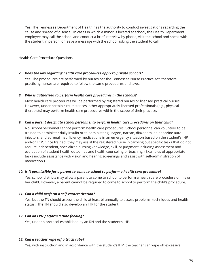Yes. The Tennessee Department of Health has the authority to conduct investigations regarding the cause and spread of disease. In cases in which a minor is located at school, the Health Department employee may call the school and conduct a brief interview by phone, visit the school and speak with the student in person, or leave a message with the school asking the student to call.

#### Health Care Procedure Questions

#### *7. Does the law regarding health care procedures apply to private schools?*

Yes. The procedures are performed by nurses per the Tennessee Nurse Practice Act, therefore, practicing nurses are required to follow the same procedures and laws.

#### *8. Who is authorized to perform health care procedures in the schools?*

Most health care procedures will be performed by registered nurses or licensed practical nurses. However, under certain circumstances, other appropriately licensed professionals (e.g., physical therapists) may perform health care procedures within the scope of their practice.

#### *9. Can a parent designate school personnel to perform health care procedures on their child?*

No, school personnel cannot perform health care procedures. School personnel can volunteer to be trained to administer daily insulin or to administer glucagon, narcan, diazepam, epinephrine autoinjectors, and adrenal insufficiency medications in an emergency situation based on the student's IHP and/or ECP. Once trained, they may assist the registered nurse in carrying out specific tasks that do not require independent, specialized nursing knowledge, skill, or judgment including assessment and evaluation of student health outcomes and health counseling or teaching. (Examples of appropriate tasks include assistance with vision and hearing screenings and assist with self-administration of medication.)

#### *10. Is it permissible for a parent to come to school to perform a health care procedure?*

Yes, school districts may allow a parent to come to school to perform a health care procedure on his or her child. However, a parent cannot be required to come to school to perform the child's procedure.

#### *11. Can a child perform a self-catheterization?*

Yes, but the TN should assess the child at least bi-annually to assess problems, techniques and health status. The TN should also develop an IHP for the student.

#### *12. Can an LPN perform a tube feeding?*

Yes, under a protocol established by an RN and the student's IHP.

#### *13. Can a teacher wipe off a trach tube?*

Yes, with instruction and in accordance with the student's IHP, the teacher can wipe off excessive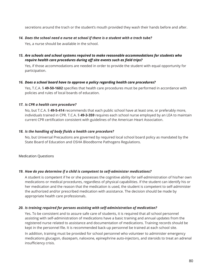secretions around the trach or the student's mouth provided they wash their hands before and after.

#### *14. Does the school need a nurse at school if there is a student with a trach tube?*

Yes, a nurse should be available in the school.

*15. Are schools and school systems required to make reasonable accommodations for students who require health care procedures during off site events such as field trips?*

Yes, if those accommodations are needed in order to provide the student with equal opportunity for participation.

#### *16. Does a school board have to approve a policy regarding health care procedures?*

Yes, T.C.A. § **49-50-1602** specifies that health care procedures must be performed in accordance with policies and rules of local boards of education.

# *17. Is CPR a health care procedure?*

No, but T.C.A. § **49-5-414** recommends that each public school have at least one, or preferably more, individuals trained in CPR. T.C.A. § **49-3-359** requires each school nurse employed by an LEA to maintain current CPR certification consistent with guidelines of the American Heart Association.

# *18. Is the handling of body fluids a health care procedure?*

No, but Universal Precautions are governed by required local school board policy as mandated by the State Board of Education and OSHA Bloodborne Pathogens Regulations.

# Medication Questions

# *19. How do you determine if a child is competent to self-administer medications?*

A student is competent if he or she possesses the cognitive ability for self-administration of his/her own medications or medical procedures, regardless of physical capabilities. If the student can identify his or her medication and the reason that the medication is used, the student is competent to self-administer the authorized and/or prescribed medication with assistance. The decision should be made by appropriate health care professionals.

# *20. Is training required for persons assisting with self-administration of medication?*

Yes. To be consistent and to assure safe care of students, it is required that all school personnel assisting with self-administration of medications have a basic training and annual updates from the registered nurse related to assistance and documentation of medications. Training records should be kept in the personnel file. It is recommended back-up personnel be trained at each school site.

In addition, training must be provided for school personnel who volunteer to administer emergency medications glucagon, diazepam, naloxone, epinephrine auto-injectors, and steroids to treat an adrenal insufficiency crisis.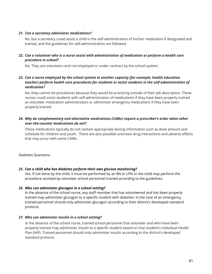#### *21. Can a secretary administer medications?*

No, but a secretary could assist a child in the self-administration of his/her medication if designated and trained, and the guidelines for self-administration are followed.

# **22.** *Can a volunteer who is a nurse assist with administration of medication or perform a health care procedure in school?*

No. They are volunteers and not employed or under contract by the school system.

# *23. Can a nurse employed by the school system in another capacity (for example, health education teacher) perform health care procedures for students or assist students in the self-administration of medication?*

No, they cannot do procedures because they would be practicing outside of their job description. These nurses could assist students with self-administration of medications if they have been properly trained as volunteer medication administrators or administer emergency medications if they have been properly trained.

# *24. Why do complementary and alternative medications (CAMs) require a prescriber's order when other over-the-counter medications do not?*

These medications typically do not contain appropriate dosing information such as dose amount and schedule for children and youth. There are also possible unknown drug interactions and adverse effects that may occur with some CAMs.

Diabetes Questions

# *25. Can a child who has diabetes perform their own glucose monitoring?*

Yes. If not done by the child, it must be performed by an RN or LPN or the child may perform the procedure assisted by volunteer school personnel trained according to the guidelines.

# *26. Who can administer glucagon in a school setting?*

In the absence of the school nurse, any staff member that has volunteered and has been properly trained may administer glucagon to a specific student with diabetes. In the case of an emergency, trained personnel should only administer glucagon according to their district's developed standard protocol.

#### *27. Who can administer insulin in a school setting?*

In the absence of the school nurse, trained school personnel that volunteer and who have been properly trained may administer insulin to a specific student based on that student's Individual Health Plan (IHP). Trained personnel should only administer insulin according to the district's developed standard protocol.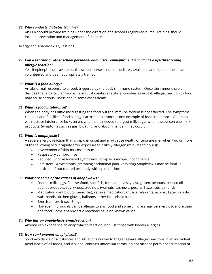#### *28. Who conducts diabetes training?*

An LEA should provide training under the direction of a school's registered nurse. Training should include prevention and management of diabetes.

Allergy and Anaphylaxis Questions

# *29. Can a teacher or other school personnel administer epinephrine if a child has a life-threatening allergic reaction?*

Yes, if epinephrine is available, the school nurse is not immediately available, and if personnel have volunteered and been appropriately trained.

# *30. What is a food allergy?*

An abnormal response to a food, triggered by the body's immune system. Once the immune system decides that a particular food is harmful, it creates specific antibodies against it. Allergic reaction to food may cause serious illness and in some cases death.

# *31. What is food intolerance?*

When the body has difficulty digesting the food but the immune system is not affected. The symptoms can look and feel like a food allergy. Lactose intolerance is one example of food intolerance. A person with lactose intolerance lacks an enzyme that is needed to digest milk sugar when the person eats milk products. Symptoms such as gas, bloating, and abdominal pain may occur.

# *32. What is anaphylaxis?*

A severe allergic reaction that is rapid in onset and may cause death. Criteria are met when two or more of the following occur rapidly after exposure to a likely allergen (minutes to hours):

- Involvement of skin-mucosal tissue
- Respiratory compromise
- Reduced BP or associated symptoms (collapse, syncope, incontinence)
- Persistent GI symptoms (cramping abdominal pain, vomiting) Anaphylaxis may be fatal, in particular if not treated promptly with epinephrine.

# *33. What are some of the causes of anaphylaxis?*

- Foods milk, eggs, fish, seafood, shellfish, food additives, yeast, gluten, peanuts, peanut oil, peanut products, soy, wheat, tree nuts (walnuts, cashews, pecans, hazelnuts, almonds).
- Medication antibiotics (penicillin), seizure medication, muscle relaxants, aspirin. Latex elastic waistbands, kitchen gloves, balloons, other household items.
- Exercise rare Insect Stings
- However, individuals can be allergic to any food and some children may be allergic to more than one food. Some anaphylactic reactions have no known cause.

# *34. Who has an anaphylaxis event/reaction?*

Anyone can experience an anaphylactic reaction, not just those with known allergies.

# *35. How can I prevent anaphylaxis?*

Strict avoidance of substances and situations known to trigger severe allergic reactions in an individual. Read labels of all foods, and if a label contains unfamiliar terms, do not offer or permit consumption of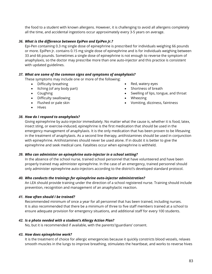the food to a student with known allergens. However, it is challenging to avoid all allergens completely all the time, and accidental ingestions occur approximately every 3-5 years on average.

### *36. What is the difference between EpiPen and EpiPen Jr.?*

Epi-Pen containing 0.3 mg single dose of epinephrine is prescribed for individuals weighing 66 pounds or more. EpiPen Jr. contains 0.15 mg single dose of epinephrine and is for individuals weighing between 33 and 66 pounds. Sometimes a single dose of epinephrine is not enough to reverse the symptom of anaphylaxis, so the doctor may prescribe more than one auto-injector and this practice is consistent with updated guidelines.

#### *37. What are some of the common signs and symptoms of anaphylaxis?*

These symptoms may include one or more of the following:

- Difficulty breathing
- Itching (of any body part)
- Coughing
- Difficulty swallowing
- Flushed or pale skin
- Hives

# • Shortness of breath

Red, watery eyes

- Swelling of lips, tongue, and throat
- Wheezing
- Vomiting, dizziness, faintness

#### *38. How do I respond to anaphylaxis?*

Giving epinephrine by auto-injector immediately. No matter what the cause is, whether it is food, latex, insect sting, or exercise-induced, epinephrine is the first medication that should be used in the emergency management of anaphylaxis. It is the only medication that has been proven to be lifesaving in the treatment of anaphylaxis. As a second line therapy, antihistamines should be used in conjunction with epinephrine. Antihistamines should never be used alone. If in doubt it is better to give the epinephrine and seek medical care. Fatalities occur when epinephrine is withheld.

#### *39. Who can administer an epinephrine auto-injector in a school setting?*

In the absence of the school nurse, trained school personnel that have volunteered and have been properly trained may administer epinephrine. In the case of an emergency, trained personnel should only administer epinephrine auto-injectors according to the district's developed standard protocol.

#### *40. Who conducts the trainings for epinephrine auto-injector administration?*

An LEA should provide training under the direction of a school registered nurse. Training should include prevention, recognition and management of an anaphylactic reaction.

# *41. How often should I be trained?*

Recommended minimum of once a year for all personnel that has been trained, including nurses. It is also recommended that there be a minimum of three to five staff members trained at a school to ensure adequate provision for emergency situations, and additional staff for every 100 students.

#### *42. Is a photo needed with a student's Allergy Action Plan?*

No, but it is recommended if available, with the parents'/guardians' consent.

#### *43. How does epinephrine work?*

It is the treatment of choice for allergic emergencies because it quickly constricts blood vessels, relaxes smooth muscles in the lungs to improve breathing, stimulates the heartbeat, and works to reverse hives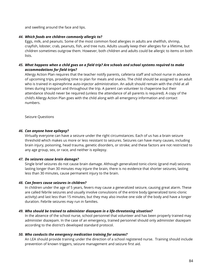and swelling around the face and lips.

### *44. Which foods are children commonly allergic to?*

Eggs, milk, and peanuts. Some of the most common food allergies in adults are shellfish, shrimp, crayfish, lobster, crab, peanuts, fish, and tree nuts. Adults usually keep their allergies for a lifetime, but children sometimes outgrow them. However, both children and adults could be allergic to items on both lists.

# *45. What happens when a child goes on a field trip? Are schools and school systems required to make accommodations for field trips?*

Allergy Action Plan requires that the teacher notify parents, cafeteria staff and school nurse in advance of upcoming trips, providing time to plan for meals and snacks. The child should be assigned to an adult who is trained in epinephrine auto-injector administration. An adult should remain with the child at all times during transport and throughout the trip. A parent can volunteer to chaperone but their attendance should never be required (unless the attendance of all parents is required). A copy of the child's Allergy Action Plan goes with the child along with all emergency information and contact numbers.

Seizure Questions

#### *46. Can anyone have epilepsy?*

Virtually everyone can have a seizure under the right circumstances. Each of us has a brain seizure threshold which makes us more or less resistant to seizures. Seizures can have many causes, including brain injury, poisoning, head trauma, genetic disorders, or stroke; and these factors are not restricted to any age group, sex, or race, and neither is epilepsy.

#### *47. Do seizures cause brain damage?*

Single brief seizures do not cause brain damage. Although generalized tonic-clonic (grand mal) seizures lasting longer than 30 minutes may injure the brain, there is no evidence that shorter seizures, lasting less than 30 minutes, cause permanent injury to the brain.

#### *48. Can fevers cause seizures in children?*

In children under the age of 5 years, fevers may cause a generalized seizure, causing great alarm. These are called febrile seizures and usually involve convulsions of the entire body (generalized tonic-clonic activity) and last less than 15 minutes, but they may also involve one side of the body and have a longer duration. Febrile seizures may run in families.

#### *49. Who should be trained to administer diazepam in a life-threatening situation?*

In the absence of the school nurse, school personnel that volunteer and has been properly trained may administer diazepam. In the case of an emergency, trained personnel should only administer diazepam according to the district's developed standard protocol.

#### *50. Who conducts the emergency medication training for seizures?*

An LEA should provide training under the direction of a school registered nurse. Training should include prevention of known triggers, seizure management and seizure first aid.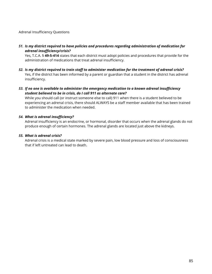#### Adrenal Insufficiency Questions

*51. Is my district required to have policies and procedures regarding administration of medication for adrenal insufficiency/crisis?* 

Yes, T.C.A. § **49-5-414** states that each district must adopt policies and procedures that provide for the administration of medications that treat adrenal insufficiency.

- *52. Is my district required to train staff to administer medication for the treatment of adrenal crisis?*  Yes, if the district has been informed by a parent or guardian that a student in the district has adrenal insufficiency.
- *53. If no one is available to administer the emergency medication to a known adrenal insufficiency student believed to be in crisis, do I call 911 as alternate care?*

While you should call (or instruct someone else to call) 911 when there is a student believed to be experiencing an adrenal crisis, there should ALWAYS be a staff member available that has been trained to administer the medication when needed.

#### *54. What is adrenal insufficiency?*

Adrenal insufficiency is an endocrine, or hormonal, disorder that occurs when the adrenal glands do not produce enough of certain hormones. The adrenal glands are located just above the kidneys.

#### *55. What is adrenal crisis?*

Adrenal crisis is a medical state marked by severe pain, low blood pressure and loss of consciousness that if left untreated can lead to death.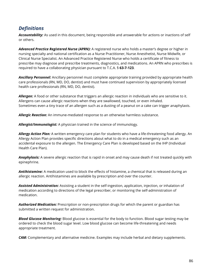# *Definitions*

*Accountability:* As used in this document, being responsible and answerable for actions or inactions of self or others.

*Advanced Practice Registered Nurse (APRN):* A registered nurse who holds a master's degree or higher in nursing specialty and national certification as a Nurse Practitioner, Nurse Anesthetist, Nurse Midwife, or Clinical Nurse Specialist. An Advanced Practice Registered Nurse who holds a certificate of fitness to prescribe may diagnose and prescribe treatments, diagnostics, and medications. An APRN who prescribes is required to have a collaborating physician pursuant to T.C.A. § **63-7-123**.

*Ancillary Personnel:* Ancillary personnel must complete appropriate training provided by appropriate health care professionals (RN, MD, DO, dentist) and must have continued supervision by appropriately licensed health care professionals (RN, MD, DO, dentist).

*Allergen:* A food or other substance that triggers an allergic reaction in individuals who are sensitive to it. Allergens can cause allergic reactions when they are swallowed, touched, or even inhaled. Sometimes even a tiny trace of an allergen such as a dusting of a peanut on a cake can trigger anaphylaxis.

*Allergic Reaction:* An immune-mediated response to an otherwise harmless substance.

*Allergist/Immunologist:* A physician trained in the science of immunology.

*Allergy Action Plan:* A written emergency care plan for students who have a life-threatening food allergy. An Allergy Action Plan provides specific directions about what to do in a medical emergency such as an accidental exposure to the allergen. The Emergency Care Plan is developed based on the IHP (Individual Health Care Plan).

*Anaphylaxis:* A severe allergic reaction that is rapid in onset and may cause death if not treated quickly with epinephrine.

*Antihistamine:* A medication used to block the effects of histamine, a chemical that is released during an allergic reaction. Antihistamines are available by prescription and over the counter.

*Assisted Administration:* Assisting a student in the self-ingestion, application, injection, or inhalation of medication according to directions of the legal prescriber, or monitoring the self-administration of medication.

*Authorized Medication:* Prescription or non-prescription drugs for which the parent or guardian has submitted a written request for administration.

*Blood Glucose Monitoring:* Blood glucose is essential for the body to function. Blood sugar testing may be ordered to check the blood sugar level. Low blood glucose can become life-threatening and needs appropriate treatment.

*CAM:* Complementary and alternative medicine. Examples may include herbal and dietary supplements.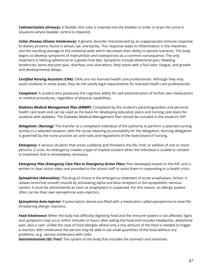*Catheterization (Urinary):* A flexible, thin tube is inserted into the bladder in order to drain the urine in situations where bladder control is impaired.

*Celiac Disease (Gluten Intolerance):* A genetic disorder characterized by an inappropriate immune response to dietary proteins found in wheat, rye, and barley. This response leads to inflammation in the intestines and the resulting damage to the intestinal walls which decreases their ability to absorb nutrients. The body begins to develop symptoms of malnutrition and osteoporosis as a common consequence. The only treatment is lifelong adherence to a gluten-free diet. Symptoms include abdominal pain, bleeding tendencies, bone and joint pain, diarrhea, oral ulcerations, fatty stools with a foul odor, fatigue, and growth and developmental delays.

*Certified Nursing Assistant (CNA):* CNAs are not licensed health care professionals. Although they may assist students in some areas, they do not satisfy legal requirements for licensed health care professionals.

*Competent:* A student who possesses the cognitive ability for self-administration of his/her own medications or medical procedures, regardless of physical capabilities.

*Diabetes Medical Management Plan (DMMP):* Completed by the student's parents/guardian and personal health care team and can be used as the basis for developing education plans and nursing care plans for students with diabetes. The Diabetes Medical Management Plan should be included in the student's IHP.

*Delegation: (Nursing):* The transfer to a competent individual of the authority to perform a selected nursing activity in a selected situation, with the nurse retaining accountability for the delegation. Nursing delegation is governed by the nurse practice act and rules and regulations of the state board of nursing.

*Emergency:* A serious situation that arises suddenly and threatens the life, limb, or welfare of one or more persons; a crisis. An emergency creates a type of implied consent when the individual is unable to consent to treatment that is immediately necessary.

*Emergency Plan (Emergency Care Plan or Emergency Action Plan):* Plan developed based on the IHP, and is written in clear action steps and provided to the school staff to assist them in responding to a health crisis.

*Epinephrine (Adrenaline):* The drug of choice in the emergency treatment of acute anaphylaxis. Action: It relaxes bronchial smooth muscle by stimulating alpha and beta receptors in the sympathetic nervous system. It must be administered as soon as anaphylaxis is suspected. For this reason, an allergic patient often carries their own epinephrine auto-injectors.

*Epinephrine Auto-Injector:* A prescription device pre-filled with a medication called epinephrine to treat lifethreatening allergic reactions.

*Food Intolerance:* When the body has difficulty digesting food and the immune system is not affected. Signs and symptoms may occur within minutes or hours after eating the food and includes headaches, abdominal pain, also a rash. Unlike the case of food allergies where only a tiny amount of the food is needed to trigger a reaction, with intolerance the person may be able to eat small quantities of the food without any problems, (e.g., lactose intolerance with milk).

*Gastrointestinal (GI) Tract:* The system of the body that includes the stomach and intestines.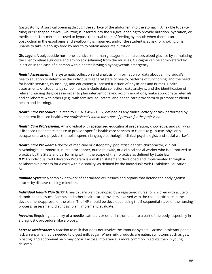Gastrostomy: A surgical opening through the surface of the abdomen into the stomach. A flexible tube (Gtube) or "T" shaped device (G-button) is inserted into the surgical opening to provide nutrition, hydration, or medication. This method is used to bypass the usual route of feeding by mouth when there is an obstruction in the esophagus and swallowing is impaired, and/or the student is at risk for choking or is unable to take in enough food by mouth to obtain adequate nutrition.

**Glucagon:** A polypeptide hormone identical to human glucagon that increases blood glucose by stimulating the liver to release glucose and amino acid (alanine) from the muscles. Glucagon can be administered by injection in the case of a person with diabetes having a hypoglycemic emergency.

*Health Assessment:* The systematic collection and analysis of information or data about an individual's health situation to determine the individual's general state of health, patterns of functioning, and the need for health services, counseling, and education; a licensed function of physicians and nurses. Health assessments of students by school nurses include data collection, data analysis, and the identification of relevant nursing diagnoses in order to plan interventions and accommodations, make appropriate referrals and collaborate with others (e.g., with families, educators, and health care providers) to promote students' health and learning).

*Health Care Procedure:* Related to T.C.A. § **49-6-1602**, defined as any clinical activity or task performed by competent licensed health *care professionals within the scope of practice for the profession.*

*Health Care Professional:* An individual with specialized educational preparation, knowledge, and skill who is licensed under state statute to provide specific health care services to clients (e.g., nurse, physician, occupational and physical therapist, speech-language pathologist, clinical psychologist, and social worker).

*Health Care Provider:* A doctor of medicine or osteopathy, podiatrist, dentist, chiropractor, clinical psychologist, optometrist, nurse practitioner, nurse-midwife, or a clinical social worker who is authorized to practice by the State and performing within the scope of their practice as defined by State law. *IEP*: An Individualized Education Program is a written statement developed and implemented through a collaborative process for a child with a disability, as defined by the Individuals with Disabilities Education Act.

*Immune System:* A complex network of specialized cell tissues and organs that defend the body against attacks by disease-causing microbes.

*Individual Health Plan (IHP):* A health care plan developed by a registered nurse for children with acute or chronic health issues. Parents and other health care providers involved with the child participate in the development/approval of the plan. The IHP should be developed using the 5 sequential steps of the nursing process: assessment, diagnosis, plan, implement, evaluate.

*Invasive:* Requiring the entry of a needle, catheter, or other instrument into a part of the body, especially in a diagnostic procedure, like a biopsy.

*Lactose Intolerance:* A reaction to milk that does not involve the immune system. Lactose intolerant people lack an enzyme that is needed to digest milk sugar. When milk products are eaten, symptoms such as gas, bloating, and abdominal pain may occur. Lactose intolerance is more common in adults than in young children.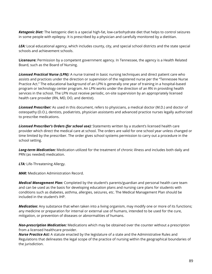*Ketogenic Diet:* The ketogenic diet is a special high-fat, low-carbohydrate diet that helps to control seizures in some people with epilepsy. It is prescribed by a physician and carefully monitored by a dietitian.

*LEA:* Local educational agency, which includes county, city, and special school districts and the state special schools and achievement schools.

**Licensure:** Permission by a competent government agency. In Tennessee, the agency is a Health Related Board, such as the Board of Nursing.

*Licensed Practical Nurse (LPN):* A nurse trained in basic nursing techniques and direct patient care who assists and practices under the direction or supervision of the registered nurse per the "Tennessee Nurse Practice Act." The educational background of an LPN is generally one year of training in a hospital-based program or technology center program. An LPN works under the direction of an RN in providing health services in the school. The LPN must receive periodic, on-site supervision by an appropriately licensed health care provider (RN, MD, DO, and dentist).

*Licensed Prescriber:* As used in this document, refers to physicians, a medical doctor (M.D.) and doctor of osteopathy (D.O.), dentists, podiatrists, physician assistants and advanced practice nurses legally authorized to prescribe medications.

*Licensed Prescriber's Orders (for school use):* Statements written by a student's licensed health care provider which direct the medical care at school. The orders are valid for one school year unless changed or time limited by the prescriber. The order gives school systems permission to carry out a procedure in the school setting.

*Long-term Medication:* Medication utilized for the treatment of chronic illness and includes both daily and PRN (as needed) medication.

*LTA:* Life-Threatening Allergy.

*MAR:* Medication Administration Record.

*Medical Management Plan:* Completed by the student's parents/guardian and personal health care team and can be used as the basis for developing education plans and nursing care plans for students with conditions such as diabetes, asthma, allergies, seizures, etc. The Medical Management Plan should be included in the student's IHP.

*Medication:* Any substance that when taken into a living organism, may modify one or more of its functions; any medicine or preparation for internal or external use of humans, intended to be used for the cure, mitigation, or prevention of diseases or abnormalities of humans.

*Non-prescription Medication:* Medications which may be obtained over the counter without a prescription from a licensed healthcare provider.

*Nurse Practice Act:* A statute enacted by the legislature of a state and the Administrative Rules and Regulations that delineates the legal scope of the practice of nursing within the geographical boundaries of the jurisdiction.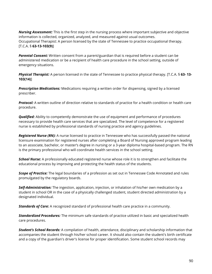*Nursing Assessment:* This is the first step in the nursing process where important subjective and objective information is collected, organized, analyzed, and measured against usual outcomes. Occupational Therapist: A person licensed by the state of Tennessee to practice occupational therapy. [T.C.A. § **63-13-103(9)**]

*Parental Consent:* Written consent from a parent/guardian that is required before a student can be administered medication or be a recipient of health care procedure in the school setting, outside of emergency situations.

*Physical Therapist:* A person licensed in the state of Tennessee to practice physical therapy. [T.C.A. § **63- 13- 103(14)**]

*Prescription Medications:* Medications requiring a written order for dispensing, signed by a licensed prescriber.

*Protocol:* A written outline of direction relative to standards of practice for a health condition or health care procedure.

*Qualified:* Ability to competently demonstrate the use of equipment and performance of procedures necessary to provide health care services that are specialized. The level of competence for a registered nurse is established by professional standards of nursing practice and agency guidelines.

*Registered Nurse (RN):* A nurse licensed to practice in Tennessee who has successfully passed the national licensure examination for registered nurses after completing a Board of Nursing approved program leading to an associate, bachelor, or master's degree in nursing or a 3-year diploma hospital-based program. The RN is the primary professional who will coordinate health services in the school setting.

*School Nurse:* A professionally educated registered nurse whose role it is to strengthen and facilitate the educational process by improving and protecting the health status of the students.

*Scope of Practice:* The legal boundaries of a profession as set out in Tennessee Code Annotated and rules promulgated by the regulatory boards.

*Self-Administration:* The ingestion, application, injection, or inhalation of his/her own medication by a student in school OR in the case of a physically challenged student, student directed administration by a designated individual.

*Standards of Care:* A recognized standard of professional health care practice in a community.

*Standardized Procedures:* The minimum safe standards of practice utilized in basic and specialized health care procedures.

*Student's School Records:* A compilation of health, attendance, disciplinary and scholarship information that accompanies the student through his/her school career. It should also contain the student's birth certificate and a copy of the guardian's driver's license for proper identification. Some student school records may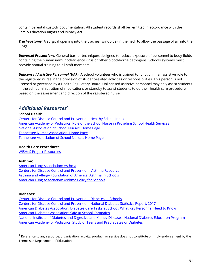contain parental custody documentation. All student records shall be remitted in accordance with the Family Education Rights and Privacy Act.

*Tracheostomy:* A surgical opening into the trachea (windpipe) in the neck to allow the passage of air into the lungs.

*Universal Precautions:* General barrier techniques designed to reduce exposure of personnel to body fluids containing the human immunodeficiency virus or other blood-borne pathogens. Schools systems must provide annual training to all staff members.

*Unlicensed Assistive Personnel (UAP):* A school volunteer who is trained to function in an assistive role to the registered nurse in the provision of student-related activities or responsibilities. This person is not licensed or governed by a Health Regulatory Board. Unlicensed assistive personnel may only assist students in the self-administration of medications or standby to assist students to do their health care procedure based on the assessment and direction of the registered nurse.

# *Additional Resources[1](#page-91-0)*

#### **School Health:**

[Centers for Disease Control and Prevention:](https://www.cdc.gov/healthyschools/index.htm) Healthy School Index [American Academy of Pediatrics: Role of the School Nurse in Providing School Health Services](https://pediatrics.aappublications.org/content/137/6/e20160852) [National Association of School Nurses:](https://www.nasn.org/home) Home Page [Tennessee Nurses Association:](https://www.tnaonline.org/) Home Page [Tennessee Association of School Nurses:](http://tnschoolnurses.com/) Home Page

# **Health Care Procedures:**

[WISHeS Project](https://www.wpha.org/page/Resourcesprojects) Resources

# **Asthma:**

[American Lung Association:](https://www.lung.org/lung-health-and-diseases/lung-disease-lookup/asthma/) Asthma [Centers for Disease Control and Prevention: Asthma Resource](https://www.cdc.gov/asthma/default.htm) [Asthma and Allergy Foundation of America: Asthma in Schools](https://www.aafa.org/asthma-in-schools/) [American Lung Association: Asthma Policy for Schools](https://www.lung.org/lung-health-and-diseases/lung-disease-lookup/asthma/asthma-education-advocacy/national-asthma-public-policy-agenda/asthma-policy-for-schools.html)

# **Diabetes:**

 $\overline{a}$ 

[Centers for Disease Control and Prevention:](https://www.cdc.gov/healthyschools/npao/diabetes.htm) Diabetes in Schools [Centers for Disease Control and Prevention:](https://www.cdc.gov/diabetes/library/index.html) National Diabetes Statistics Report, 2017 [American Diabetes Association: Diabetes Care Tasks at School: What Key Personnel Need to Know](http://www.diabetes.org/living-with-diabetes/parents-and-kids/diabetes-care-at-school/school-staff-trainings/diabetes-care-tasks.html) [American Diabetes Association: Safe at School Campaign](http://www.diabetes.org/living-with-diabetes/parents-and-kids/diabetes-care-at-school/) [National Institute of Diabetes and Digestive and Kidney Diseases: National Diabetes Education Program](https://www.niddk.nih.gov/health-information/communication-programs/ndep) [American Academy of Pediatrics: Study of Teens and Prediabetes or Diabetes](https://www.aap.org/en-us/about-the-aap/aap-press-room/Pages/Study-Finds-23-Percent-of-Teens-Have-Prediabetes-or-Diabetes.aspx)

<span id="page-91-0"></span> $1$  Reference to any resource, organization, activity, product, or service does not constitute or imply endorsement by the Tennessee Department of Education.